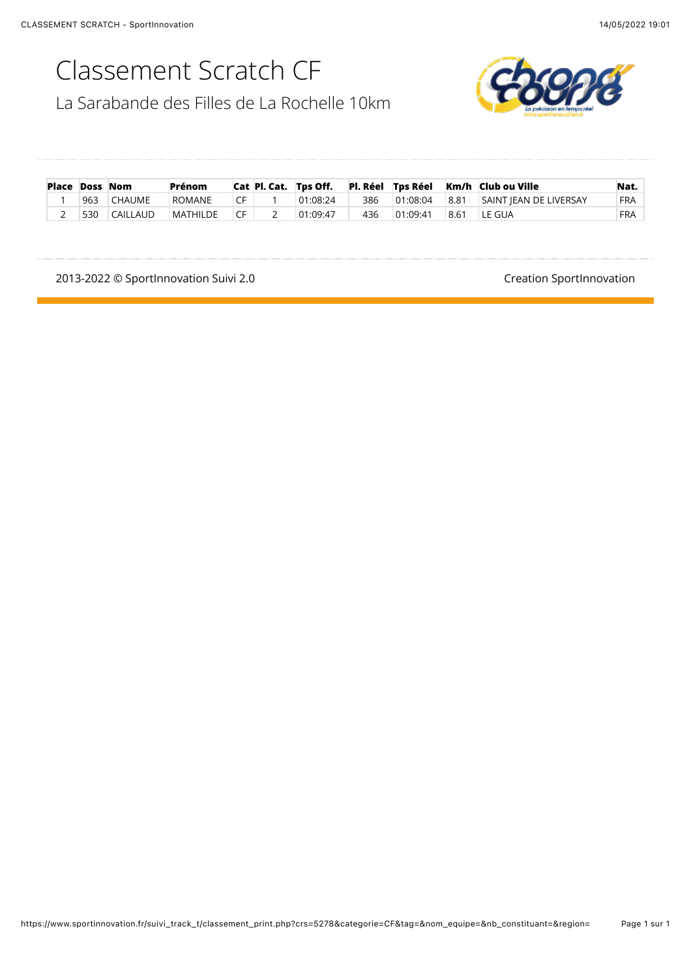### Classement Scratch CF

La Sarabande des Filles de La Rochelle 10km



| <b>Place Doss Nom</b> |     |               | Prénom          |                  |          |     |          |      | Cat Pl. Cat. Tps Off. Pl. Réel Tps Réel Km/h Club ou Ville | Nat.       |
|-----------------------|-----|---------------|-----------------|------------------|----------|-----|----------|------|------------------------------------------------------------|------------|
|                       | 963 | <b>CHAUME</b> | ROMANE          | CF.              | 01:08:24 | 386 |          |      | $\vert$ 01:08:04 $\vert$ 8.81 SAINT IEAN DE LIVERSAY       | <b>FRA</b> |
|                       | 530 | CAILLAUD      | <b>MATHILDE</b> | $\overline{C}$ F | 01:09:47 | 436 | 01:09:41 | 8.61 | LE GUA                                                     | <b>FRA</b> |

2013-2022 © SportInnovation Suivi 2.0<br>
and the contract of the contract of the Creation SportInnovation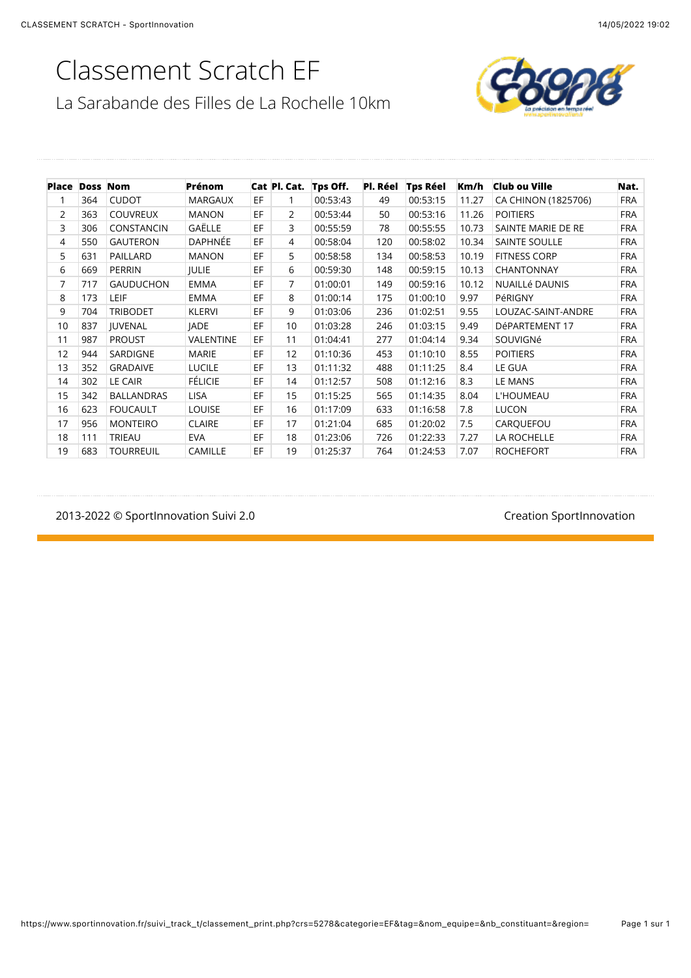# Classement Scratch EF

La Sarabande des Filles de La Rochelle 10km



| <b>Place Doss Nom</b> |     |                   | Prénom           |    | Cat Pl. Cat.   | Tps Off. | Pl. Réel | <b>Tps Réel</b> | Km/h  | <b>Club ou Ville</b>  | Nat.       |
|-----------------------|-----|-------------------|------------------|----|----------------|----------|----------|-----------------|-------|-----------------------|------------|
|                       | 364 | <b>CUDOT</b>      | <b>MARGAUX</b>   | EF |                | 00:53:43 | 49       | 00:53:15        | 11.27 | CA CHINON (1825706)   | <b>FRA</b> |
| 2                     | 363 | <b>COUVREUX</b>   | <b>MANON</b>     | EF | $\overline{2}$ | 00:53:44 | 50       | 00:53:16        | 11.26 | <b>POITIERS</b>       | <b>FRA</b> |
| 3                     | 306 | CONSTANCIN        | GAËLLE           | EF | 3              | 00:55:59 | 78       | 00:55:55        | 10.73 | SAINTE MARIE DE RE    | <b>FRA</b> |
| $\overline{4}$        | 550 | <b>GAUTERON</b>   | <b>DAPHNÉE</b>   | EF | $\overline{4}$ | 00:58:04 | 120      | 00:58:02        | 10.34 | <b>SAINTE SOULLE</b>  | <b>FRA</b> |
| 5                     | 631 | PAILLARD          | <b>MANON</b>     | EF | 5              | 00:58:58 | 134      | 00:58:53        | 10.19 | <b>FITNESS CORP</b>   | <b>FRA</b> |
| 6                     | 669 | PERRIN            | <b>JULIE</b>     | EF | 6              | 00:59:30 | 148      | 00:59:15        | 10.13 | <b>CHANTONNAY</b>     | <b>FRA</b> |
| 7                     | 717 | <b>GAUDUCHON</b>  | <b>EMMA</b>      | EF | $\overline{7}$ | 01:00:01 | 149      | 00:59:16        | 10.12 | <b>NUAILLÉ DAUNIS</b> | <b>FRA</b> |
| 8                     | 173 | LEIF              | <b>EMMA</b>      | EF | 8              | 01:00:14 | 175      | 01:00:10        | 9.97  | PéRIGNY               | <b>FRA</b> |
| 9                     | 704 | <b>TRIBODET</b>   | <b>KLERVI</b>    | EF | 9              | 01:03:06 | 236      | 01:02:51        | 9.55  | LOUZAC-SAINT-ANDRE    | <b>FRA</b> |
| 10                    | 837 | <b>IUVENAL</b>    | <b>JADE</b>      | EF | 10             | 01:03:28 | 246      | 01:03:15        | 9.49  | DéPARTEMENT 17        | <b>FRA</b> |
| 11                    | 987 | <b>PROUST</b>     | <b>VALENTINE</b> | EF | 11             | 01:04:41 | 277      | 01:04:14        | 9.34  | SOUVIGNé              | <b>FRA</b> |
| 12                    | 944 | SARDIGNE          | <b>MARIE</b>     | EF | 12             | 01:10:36 | 453      | 01:10:10        | 8.55  | <b>POITIERS</b>       | <b>FRA</b> |
| 13                    | 352 | <b>GRADAIVE</b>   | <b>LUCILE</b>    | EF | 13             | 01:11:32 | 488      | 01:11:25        | 8.4   | LE GUA                | <b>FRA</b> |
| 14                    | 302 | <b>LE CAIR</b>    | <b>FÉLICIE</b>   | EF | 14             | 01:12:57 | 508      | 01:12:16        | 8.3   | LE MANS               | <b>FRA</b> |
| 15                    | 342 | <b>BALLANDRAS</b> | <b>LISA</b>      | EF | 15             | 01:15:25 | 565      | 01:14:35        | 8.04  | L'HOUMEAU             | <b>FRA</b> |
| 16                    | 623 | <b>FOUCAULT</b>   | <b>LOUISE</b>    | EF | 16             | 01:17:09 | 633      | 01:16:58        | 7.8   | <b>LUCON</b>          | <b>FRA</b> |
| 17                    | 956 | <b>MONTEIRO</b>   | <b>CLAIRE</b>    | EF | 17             | 01:21:04 | 685      | 01:20:02        | 7.5   | CARQUEFOU             | <b>FRA</b> |
| 18                    | 111 | TRIEAU            | <b>EVA</b>       | EF | 18             | 01:23:06 | 726      | 01:22:33        | 7.27  | LA ROCHELLE           | <b>FRA</b> |
| 19                    | 683 | <b>TOURREUIL</b>  | CAMILLE          | EF | 19             | 01:25:37 | 764      | 01:24:53        | 7.07  | <b>ROCHEFORT</b>      | <b>FRA</b> |

2013-2022 © SportInnovation Suivi 2.0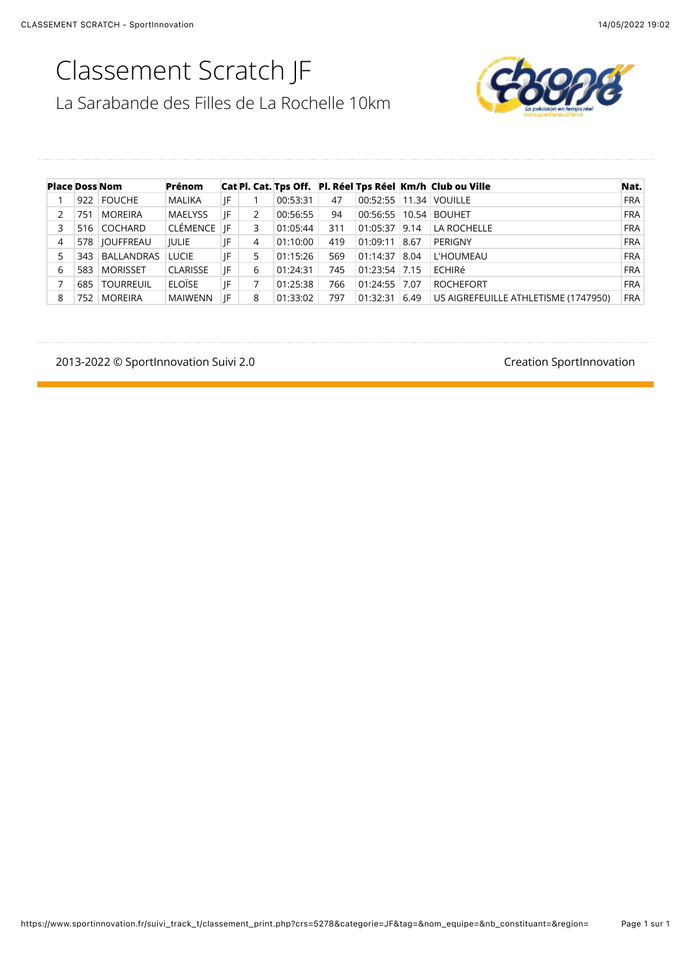# Classement Scratch JF



| La Sarabande des Filles de La Rochelle 10km |  |
|---------------------------------------------|--|
|---------------------------------------------|--|

|   | <b>Place Doss Nom</b> |                 | Prénom          |    |   |          |     |                 |      | Cat Pl. Cat. Tps Off. Pl. Réel Tps Réel Km/h Club ou Ville | Nat.       |
|---|-----------------------|-----------------|-----------------|----|---|----------|-----|-----------------|------|------------------------------------------------------------|------------|
|   |                       | 922 FOUCHE      | MALIKA          | JF |   | 00:53:31 | 47  |                 |      | 00:52:55 11.34 VOUILLE                                     | <b>FRA</b> |
|   | 751                   | <b>MOREIRA</b>  | <b>MAELYSS</b>  | IF | 2 | 00:56:55 | 94  |                 |      | 00:56:55 10.54 BOUHET                                      | <b>FRA</b> |
| 3 |                       | 516 COCHARD     | CLÉMENCE        | IF | 3 | 01:05:44 | 311 | $01:05:37$ 9.14 |      | LA ROCHELLE                                                | <b>FRA</b> |
| 4 |                       | 578   JOUFFREAU | <b>IULIE</b>    | JF | 4 | 01:10:00 | 419 | 01:09:11        | 8.67 | PERIGNY                                                    | <b>FRA</b> |
| 5 | 343                   | BALLANDRAS      | <b>LUCIE</b>    | JF | 5 | 01:15:26 | 569 | 01:14:37        | 8.04 | L'HOUMEAU                                                  | <b>FRA</b> |
| 6 | 583                   | <b>MORISSET</b> | <b>CLARISSE</b> | IF | 6 | 01:24:31 | 745 | 01:23:54 7.15   |      | ECHIRé                                                     | <b>FRA</b> |
|   |                       | 685   TOURREUIL | <b>ELOÏSE</b>   | IF |   | 01:25:38 | 766 | 01:24:55 7.07   |      | <b>ROCHEFORT</b>                                           | <b>FRA</b> |
| 8 | 752                   | <b>MOREIRA</b>  | <b>MAIWENN</b>  | IF | 8 | 01:33:02 | 797 | 01:32:31        | 6.49 | US AIGREFEUILLE ATHLETISME (1747950)                       | <b>FRA</b> |

2013-2022 © SportInnovation Suivi 2.0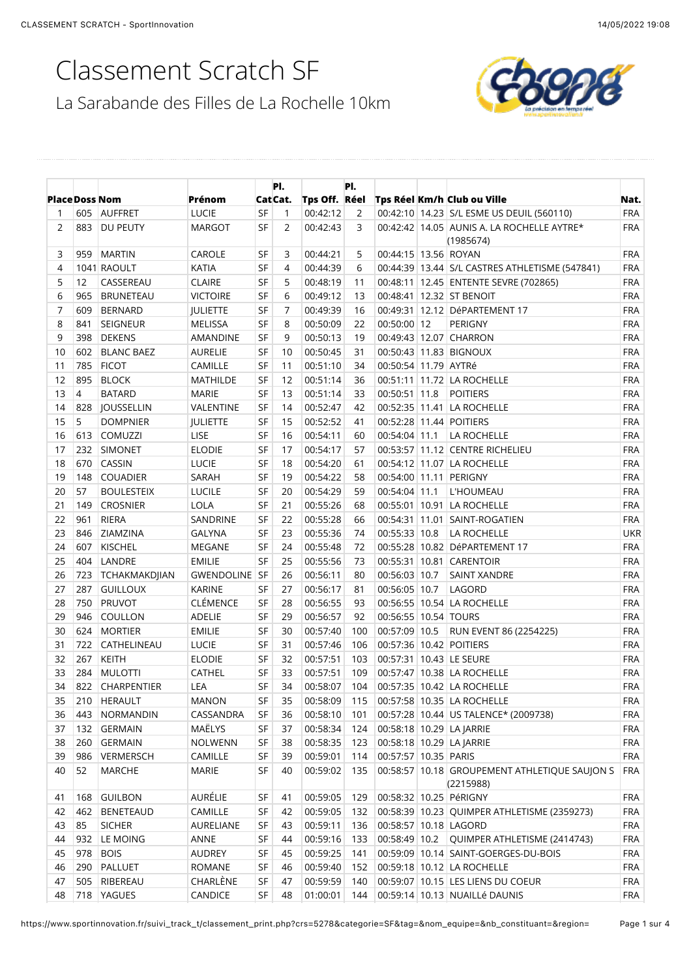### Classement Scratch SF



|                       |     |                     |                   |           | PI.      |               | PI.        |                      |                                                         |            |
|-----------------------|-----|---------------------|-------------------|-----------|----------|---------------|------------|----------------------|---------------------------------------------------------|------------|
| <b>Place Doss Nom</b> |     |                     | Prénom            |           | Cat Cat. | Tps Off. Réel |            |                      | Tps Réel Km/h Club ou Ville                             | Nat.       |
| 1                     | 605 | <b>AUFFRET</b>      | <b>LUCIE</b>      | <b>SF</b> | 1        | 00:42:12      | 2          |                      | 00:42:10 14.23 S/L ESME US DEUIL (560110)               | <b>FRA</b> |
| 2                     | 883 | DU PEUTY            | <b>MARGOT</b>     | SF        | 2        | 00:42:43      | 3          |                      | 00:42:42 14.05 AUNIS A. LA ROCHELLE AYTRE*<br>(1985674) | <b>FRA</b> |
| 3                     | 959 | <b>MARTIN</b>       | CAROLE            | SF        | 3        | 00:44:21      | 5          | 00:44:15 13.56 ROYAN |                                                         | <b>FRA</b> |
| 4                     |     | 1041 RAOULT         | <b>KATIA</b>      | SF        | 4        | 00:44:39      | 6          |                      | 00:44:39 13.44 S/L CASTRES ATHLETISME (547841)          | <b>FRA</b> |
| 5                     | 12  | CASSEREAU           | <b>CLAIRE</b>     | <b>SF</b> | 5        | 00:48:19      | 11         |                      | 00:48:11   12.45   ENTENTE SEVRE (702865)               | <b>FRA</b> |
| 6                     | 965 | <b>BRUNETEAU</b>    | <b>VICTOIRE</b>   | <b>SF</b> | 6        | 00:49:12      | 13         |                      | 00:48:41 12.32 ST BENOIT                                | <b>FRA</b> |
| 7                     | 609 | <b>BERNARD</b>      | <b>JULIETTE</b>   | <b>SF</b> | 7        | 00:49:39      | 16         |                      | 00:49:31 12.12 DéPARTEMENT 17                           | <b>FRA</b> |
| 8                     | 841 | SEIGNEUR            | <b>MELISSA</b>    | <b>SF</b> | 8        | 00:50:09      | 22         | 00:50:00 12          | PERIGNY                                                 | <b>FRA</b> |
| 9                     | 398 | <b>DEKENS</b>       | AMANDINE          | <b>SF</b> | 9        | 00:50:13      | 19         |                      | 00:49:43 12.07 CHARRON                                  | <b>FRA</b> |
| 10                    | 602 | <b>BLANC BAEZ</b>   | <b>AURELIE</b>    | <b>SF</b> | 10       | 00:50:45      | 31         |                      | 00:50:43 11.83 BIGNOUX                                  | <b>FRA</b> |
| 11                    | 785 | <b>FICOT</b>        | CAMILLE           | SF        | 11       | 00:51:10      | 34         | 00:50:54 11.79 AYTRé |                                                         | <b>FRA</b> |
| 12                    | 895 | <b>BLOCK</b>        | <b>MATHILDE</b>   | <b>SF</b> | 12       | 00:51:14      | 36         |                      | 00:51:11 11.72 LA ROCHELLE                              | <b>FRA</b> |
| 13                    | 4   | <b>BATARD</b>       | <b>MARIE</b>      | SF        | 13       | 00:51:14      | 33         | 00:50:51 11.8        | <b>POITIERS</b>                                         | <b>FRA</b> |
| 14                    | 828 | <b>IOUSSELLIN</b>   | VALENTINE         | SF        | 14       | 00:52:47      | 42         |                      | 00:52:35 11.41 LA ROCHELLE                              | <b>FRA</b> |
| 15                    | 5   | <b>DOMPNIER</b>     | <b>JULIETTE</b>   | SF        | 15       | 00:52:52      | 41         |                      | 00:52:28 11.44 POITIERS                                 | <b>FRA</b> |
| 16                    | 613 | COMUZZI             | LISE              | SF        | 16       | 00:54:11      | 60         | 00:54:04 11.1        | LA ROCHELLE                                             | <b>FRA</b> |
| 17                    | 232 | <b>SIMONET</b>      | <b>ELODIE</b>     | SF        | 17       | 00:54:17      | 57         |                      | 00:53:57 11.12 CENTRE RICHELIEU                         | <b>FRA</b> |
| 18                    | 670 | CASSIN              | <b>LUCIE</b>      | SF        | 18       | 00:54:20      | 61         |                      | 00:54:12 11.07 LA ROCHELLE                              | <b>FRA</b> |
| 19                    | 148 | <b>COUADIER</b>     | SARAH             | SF        | 19       | 00:54:22      | 58         |                      | 00:54:00 11.11 PERIGNY                                  | <b>FRA</b> |
| 20                    | 57  | <b>BOULESTEIX</b>   | <b>LUCILE</b>     | SF        | 20       | 00:54:29      | 59         | 00:54:04 11.1        | L'HOUMEAU                                               | <b>FRA</b> |
| 21                    | 149 | <b>CROSNIER</b>     | <b>LOLA</b>       | SF        | 21       | 00:55:26      | 68         |                      | 00:55:01 10.91 LA ROCHELLE                              | <b>FRA</b> |
| 22                    | 961 | <b>RIERA</b>        | SANDRINE          | SF        | 22       | 00:55:28      | 66         |                      | 00:54:31   11.01   SAINT-ROGATIEN                       | <b>FRA</b> |
| 23                    | 846 | ZIAMZINA            | <b>GALYNA</b>     | SF        | 23       | 00:55:36      | 74         | 00:55:33 10.8        | LA ROCHELLE                                             | <b>UKR</b> |
| 24                    | 607 | <b>KISCHEL</b>      | MEGANE            | SF        | 24       | 00:55:48      | 72         |                      | 00:55:28 10.82 DéPARTEMENT 17                           | <b>FRA</b> |
| 25                    | 404 | LANDRE              | <b>EMILIE</b>     | <b>SF</b> | 25       | 00:55:56      | 73         |                      | 00:55:31 10.81 CARENTOIR                                | <b>FRA</b> |
| 26                    | 723 | TCHAKMAKDJIAN       | <b>GWENDOLINE</b> | <b>SF</b> | 26       | 00:56:11      | 80         | 00:56:03 10.7        | <b>SAINT XANDRE</b>                                     | <b>FRA</b> |
| 27                    | 287 | <b>GUILLOUX</b>     | <b>KARINE</b>     | SF        | 27       | 00:56:17      | 81         | 00:56:05 10.7        | LAGORD                                                  | <b>FRA</b> |
| 28                    | 750 | PRUVOT              | CLÉMENCE          | SF        | 28       | 00:56:55      | 93         |                      | 00:56:55 10.54 LA ROCHELLE                              | <b>FRA</b> |
| 29                    | 946 | COULLON             | ADELIE            | SF        | 29       | 00:56:57      | 92         | 00:56:55 10.54 TOURS |                                                         | <b>FRA</b> |
| 30                    | 624 | <b>MORTIER</b>      | <b>EMILIE</b>     | SF        | 30       | 00:57:40      | 100        | 00:57:09 10.5        | RUN EVENT 86 (2254225)                                  | <b>FRA</b> |
| 31                    | 722 | CATHELINEAU         | <b>LUCIE</b>      | SF        | 31       | 00:57:46      | 106        |                      | 00:57:36 10.42 POITIERS                                 | <b>FRA</b> |
| 32                    | 267 | <b>KEITH</b>        | <b>ELODIE</b>     | SF        | 32       | 00:57:51      | 103        |                      | 00:57:31 10.43 LE SEURE                                 | <b>FRA</b> |
| 33                    | 284 | <b>MULOTTI</b>      | CATHEL            | SF        | 33       | 00:57:51      | 109        |                      | 00:57:47 10.38 LA ROCHELLE                              | <b>FRA</b> |
| 34                    | 822 | <b>CHARPENTIER</b>  | LEA               | SF        | 34       | 00:58:07      | 104        |                      | 00:57:35 10.42 LA ROCHELLE                              | <b>FRA</b> |
| 35                    | 210 | <b>HERAULT</b>      | <b>MANON</b>      | SF        | 35       | 00:58:09      | 115        |                      | 00:57:58 10.35 LA ROCHELLE                              | <b>FRA</b> |
| 36                    | 443 | NORMANDIN           | CASSANDRA         | SF        | 36       | 00:58:10      |            |                      | 00:57:28 10.44 US TALENCE* (2009738)                    | <b>FRA</b> |
| 37                    | 132 | <b>GERMAIN</b>      | MAËLYS            | SF        |          | 00:58:34      | 101        |                      |                                                         | <b>FRA</b> |
| 38                    | 260 | <b>GERMAIN</b>      | <b>NOLWENN</b>    | SF        | 37       | 00:58:35      | 124        |                      | 00:58:18 10.29 LA JARRIE                                | <b>FRA</b> |
| 39                    | 986 |                     | CAMILLE           | SF        | 38       | 00:59:01      | 123        | 00:57:57 10.35 PARIS | 00:58:18 10.29 LA JARRIE                                | <b>FRA</b> |
| 40                    | 52  | VERMERSCH<br>MARCHE | <b>MARIE</b>      | SF        | 39<br>40 | 00:59:02      | 114<br>135 |                      | 00:58:57 10.18 GROUPEMENT ATHLETIQUE SAUJON S           | <b>FRA</b> |
|                       |     |                     |                   |           |          |               |            |                      | (2215988)                                               |            |
| 41                    | 168 | <b>GUILBON</b>      | AURÉLIE           | <b>SF</b> | 41       | 00:59:05      | 129        |                      | 00:58:32 10.25 PéRIGNY                                  | FRA        |
| 42                    | 462 | <b>BENETEAUD</b>    | CAMILLE           | <b>SF</b> | 42       | 00:59:05      | 132        |                      | 00:58:39 10.23 QUIMPER ATHLETISME (2359273)             | <b>FRA</b> |
| 43                    | 85  | <b>SICHER</b>       | AURELIANE         | SF        | 43       | 00:59:11      | 136        |                      | 00:58:57 10.18 LAGORD                                   | FRA        |
| 44                    | 932 | LE MOING            | ANNE              | <b>SF</b> | 44       | 00:59:16      | 133        |                      | 00:58:49 10.2 QUIMPER ATHLETISME (2414743)              | FRA        |
| 45                    | 978 | <b>BOIS</b>         | <b>AUDREY</b>     | SF        | 45       | 00:59:25      | 141        |                      | 00:59:09 10.14 SAINT-GOERGES-DU-BOIS                    | <b>FRA</b> |
| 46                    | 290 | <b>PALLUET</b>      | <b>ROMANE</b>     | SF        | 46       | 00:59:40      | 152        |                      | 00:59:18 10.12 LA ROCHELLE                              | <b>FRA</b> |
| 47                    | 505 | RIBEREAU            | CHARLÈNE          | <b>SF</b> | 47       | 00:59:59      | 140        |                      | 00:59:07 10.15 LES LIENS DU COEUR                       | <b>FRA</b> |
| 48                    | 718 | YAGUES              | CANDICE           | <b>SF</b> | 48       | 01:00:01      | 144        |                      | 00:59:14 10.13 NUAILLé DAUNIS                           | <b>FRA</b> |

```
https://www.sportinnovation.fr/suivi_track_t/classement_print.php?crs=5278&categorie=SF&tag=&nom_equipe=&nb_constituant=&region=
```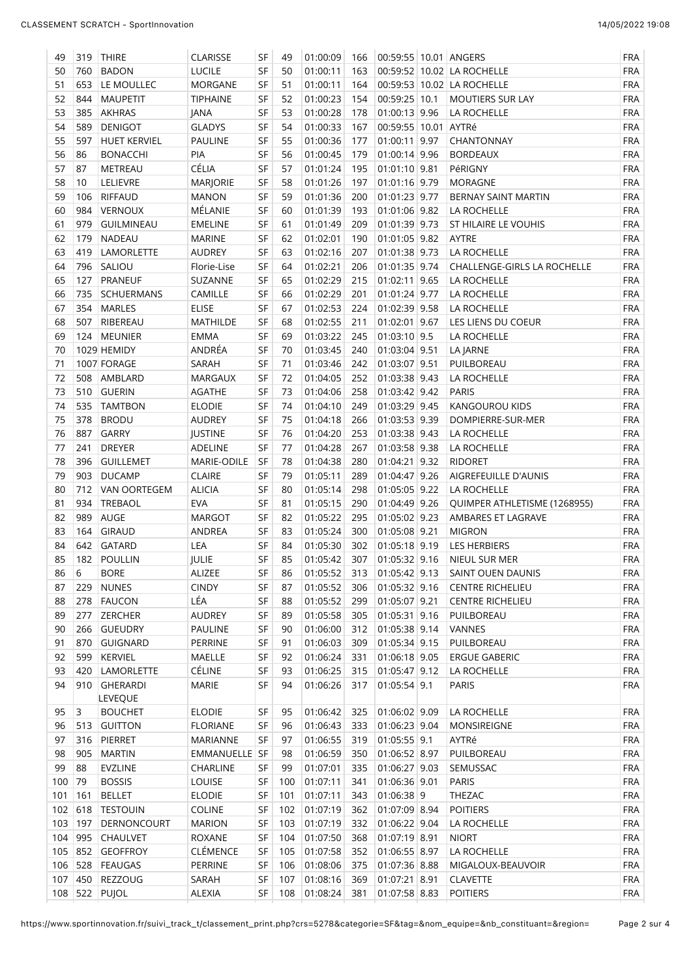| 49  |            | 319 THIRE           | <b>CLARISSE</b> | SF        | 49  | 01:00:09         | 166 | 00:59:55 10.01 ANGERS |                              | FRA        |
|-----|------------|---------------------|-----------------|-----------|-----|------------------|-----|-----------------------|------------------------------|------------|
| 50  | 760        | <b>BADON</b>        | <b>LUCILE</b>   | <b>SF</b> | 50  | 01:00:11         | 163 |                       | 00:59:52 10.02 LA ROCHELLE   | FRA        |
| 51  |            | 653 LE MOULLEC      | <b>MORGANE</b>  | SF        | 51  | 01:00:11         | 164 |                       | 00:59:53 10.02 LA ROCHELLE   | FRA        |
| 52  | 844        | <b>MAUPETIT</b>     | <b>TIPHAINE</b> | SF        | 52  | 01:00:23         | 154 | 00:59:25 10.1         | <b>MOUTIERS SUR LAY</b>      | FRA        |
| 53  | 385        | <b>AKHRAS</b>       | JANA            | SF        | 53  | 01:00:28         | 178 | 01:00:13 9.96         | LA ROCHELLE                  | FRA        |
| 54  | 589        | <b>DENIGOT</b>      | <b>GLADYS</b>   | SF        | 54  | 01:00:33         | 167 | 00:59:55 10.01 AYTRé  |                              | FRA        |
| 55  | 597        | <b>HUET KERVIEL</b> | PAULINE         | SF        | 55  | 01:00:36         | 177 | $01:00:11$ 9.97       | CHANTONNAY                   | <b>FRA</b> |
| 56  | 86         | <b>BONACCHI</b>     | PIA             | SF        | 56  | 01:00:45         | 179 | 01:00:14 9.96         | <b>BORDEAUX</b>              | FRA        |
| 57  | 87         | METREAU             | CÉLIA           | SF        | 57  | 01:01:24         | 195 | 01:01:10 9.81         | PéRIGNY                      | FRA        |
| 58  | 10         | LELIEVRE            |                 | SF        | 58  |                  | 197 |                       |                              |            |
|     |            |                     | MARJORIE        |           |     | 01:01:26         |     | 01:01:16 9.79         | <b>MORAGNE</b>               | FRA        |
| 59  | 106        | <b>RIFFAUD</b>      | <b>MANON</b>    | SF        | 59  | 01:01:36         | 200 | $01:01:23$ 9.77       | BERNAY SAINT MARTIN          | FRA        |
| 60  | 984        | VERNOUX             | MÉLANIE         | SF        | 60  | 01:01:39         | 193 | 01:01:06 9.82         | LA ROCHELLE                  | <b>FRA</b> |
| 61  | 979        | GUILMINEAU          | <b>EMELINE</b>  | SF        | 61  | 01:01:49         | 209 | 01:01:39 9.73         | ST HILAIRE LE VOUHIS         | <b>FRA</b> |
| 62  | 179        | <b>NADEAU</b>       | <b>MARINE</b>   | SF        | 62  | 01:02:01         | 190 | 01:01:05 9.82         | AYTRE                        | <b>FRA</b> |
| 63  | 419        | LAMORLETTE          | <b>AUDREY</b>   | SF        | 63  | 01:02:16         | 207 | 01:01:38 9.73         | LA ROCHELLE                  | <b>FRA</b> |
| 64  | 796        | SALIOU              | Florie-Lise     | SF        | 64  | 01:02:21         | 206 | 01:01:35 9.74         | CHALLENGE-GIRLS LA ROCHELLE  | <b>FRA</b> |
| 65  | 127        | PRANEUF             | SUZANNE         | SF        | 65  | 01:02:29         | 215 | 01:02:11 9.65         | LA ROCHELLE                  | FRA        |
| 66  | 735        | <b>SCHUERMANS</b>   | CAMILLE         | SF        | 66  | 01:02:29         | 201 | 01:01:24 9.77         | LA ROCHELLE                  | FRA        |
| 67  | 354        | <b>MARLES</b>       | <b>ELISE</b>    | SF        | 67  | 01:02:53         | 224 | 01:02:39 9.58         | LA ROCHELLE                  | FRA        |
| 68  | 507        | RIBEREAU            | MATHILDE        | SF        | 68  | 01:02:55         | 211 | $01:02:01$ 9.67       | LES LIENS DU COEUR           | FRA        |
| 69  |            | 124 MEUNIER         | <b>EMMA</b>     | SF        | 69  | 01:03:22         | 245 | $01:03:10$ 9.5        | LA ROCHELLE                  | <b>FRA</b> |
| 70  |            | 1029 HEMIDY         | ANDRÉA          | SF        | 70  | 01:03:45         | 240 | 01:03:04 9.51         | LA JARNE                     | <b>FRA</b> |
| 71  |            | 1007 FORAGE         | SARAH           | SF        | 71  | 01:03:46         | 242 | 01:03:07 9.51         | PUILBOREAU                   | <b>FRA</b> |
| 72  |            | 508 AMBLARD         | MARGAUX         | SF        | 72  | 01:04:05         | 252 | 01:03:38 9.43         | LA ROCHELLE                  | FRA        |
| 73  |            | 510 GUERIN          | <b>AGATHE</b>   | SF        | 73  | 01:04:06         | 258 | 01:03:42 9.42         | <b>PARIS</b>                 | FRA        |
| 74  |            | 535 TAMTBON         | <b>ELODIE</b>   | SF        | 74  | 01:04:10         | 249 | 01:03:29 9.45         | <b>KANGOUROU KIDS</b>        | FRA        |
| 75  | 378        | <b>BRODU</b>        | <b>AUDREY</b>   | SF        | 75  | 01:04:18         | 266 | 01:03:53 9.39         | DOMPIERRE-SUR-MER            | FRA        |
| 76  | 887        | <b>GARRY</b>        | <b>JUSTINE</b>  | SF        | 76  | 01:04:20         | 253 | 01:03:38 9.43         | LA ROCHELLE                  | <b>FRA</b> |
| 77  | 241        | <b>DREYER</b>       | ADELINE         | SF        | 77  | 01:04:28         | 267 | 01:03:58 9.38         | LA ROCHELLE                  | <b>FRA</b> |
| 78  | 396        | <b>GUILLEMET</b>    | MARIE-ODILE     | SF        | 78  | 01:04:38         | 280 | 01:04:21 9.32         | <b>RIDORET</b>               | <b>FRA</b> |
| 79  | 903        | <b>DUCAMP</b>       | <b>CLAIRE</b>   | SF        | 79  | 01:05:11         | 289 | 01:04:47 9.26         | AIGREFEUILLE D'AUNIS         | <b>FRA</b> |
| 80  | 712        |                     |                 | SF        |     |                  | 298 |                       |                              | <b>FRA</b> |
|     |            | VAN OORTEGEM        | <b>ALICIA</b>   |           | 80  | 01:05:14         |     | 01:05:05 9.22         | LA ROCHELLE                  |            |
| 81  | 934        | <b>TREBAOL</b>      | <b>EVA</b>      | SF        | 81  | 01:05:15         | 290 | 01:04:49 9.26         | QUIMPER ATHLETISME (1268955) | <b>FRA</b> |
| 82  | 989        | AUGE                | <b>MARGOT</b>   | SF        | 82  | 01:05:22         | 295 | 01:05:02 9.23         | AMBARES ET LAGRAVE           | FRA        |
| 83  | 164        | <b>GIRAUD</b>       | ANDREA          | SF        | 83  | 01:05:24         | 300 | 01:05:08 9.21         | <b>MIGRON</b>                | FRA        |
| 84  |            | 642 GATARD          | LEA             | SF        | 84  | 01:05:30         | 302 | 01:05:18 9.19         | LES HERBIERS                 | <b>FRA</b> |
| 85  |            | 182 POULLIN         | JULIE           | SF        | 85  | 01:05:42         | 307 | 01:05:32 9.16         | NIEUL SUR MER                | <b>FRA</b> |
| 86  | $\sqrt{6}$ | <b>BORE</b>         | ALIZEE          | SF        | 86  | 01:05:52         | 313 | 01:05:42 9.13         | SAINT OUEN DAUNIS            | FRA        |
| 87  | 229        | <b>NUNES</b>        | <b>CINDY</b>    | SF        | 87  | 01:05:52         | 306 | $01:05:32$ 9.16       | <b>CENTRE RICHELIEU</b>      | FRA        |
| 88  | 278        | <b>FAUCON</b>       | LÉA             | SF        | 88  | 01:05:52         | 299 | 01:05:07 9.21         | <b>CENTRE RICHELIEU</b>      | FRA        |
| 89  | 277        | ZERCHER             | <b>AUDREY</b>   | SF        | 89  | 01:05:58         | 305 | 01:05:31 9.16         | PUILBOREAU                   | FRA        |
| 90  | 266        | <b>GUEUDRY</b>      | <b>PAULINE</b>  | SF        | 90  | 01:06:00         | 312 | 01:05:38 9.14         | VANNES                       | FRA        |
| 91  | 870        | <b>GUIGNARD</b>     | PERRINE         | SF        | 91  | 01:06:03         | 309 | 01:05:34 9.15         | PUILBOREAU                   | FRA        |
| 92  | 599        | KERVIEL             | MAELLE          | SF        | 92  | 01:06:24         | 331 | 01:06:18 9.05         | <b>ERGUE GABERIC</b>         | FRA        |
| 93  | 420        | LAMORLETTE          | CÉLINE          | SF        | 93  | 01:06:25         | 315 | $01:05:47$ 9.12       | LA ROCHELLE                  | FRA        |
| 94  | 910        | <b>GHERARDI</b>     | <b>MARIE</b>    | SF        | 94  | 01:06:26         | 317 | 01:05:54 9.1          | <b>PARIS</b>                 | <b>FRA</b> |
|     |            | <b>LEVEQUE</b>      |                 |           |     |                  |     |                       |                              |            |
| 95  | 3          | <b>BOUCHET</b>      | <b>ELODIE</b>   | SF        | 95  | 01:06:42         | 325 | 01:06:02 9.09         | LA ROCHELLE                  | <b>FRA</b> |
| 96  |            | 513 GUITTON         | <b>FLORIANE</b> | SF        | 96  | 01:06:43         | 333 | 01:06:23 9.04         | MONSIREIGNE                  | FRA        |
| 97  | 316        | PIERRET             | <b>MARIANNE</b> | SF        | 97  | 01:06:55         | 319 | $01:05:55$ 9.1        | AYTRé                        | FRA        |
| 98  | 905        | <b>MARTIN</b>       | EMMANUELLE SF   |           | 98  | 01:06:59         | 350 | 01:06:52 8.97         | PUILBOREAU                   | FRA        |
| 99  | 88         | <b>EVZLINE</b>      | CHARLINE        | SF        | 99  | 01:07:01         | 335 | 01:06:27 9.03         | SEMUSSAC                     | FRA        |
| 100 | 79         | <b>BOSSIS</b>       | LOUISE          | SF        | 100 | 01:07:11         | 341 | 01:06:36 9.01         | PARIS                        | FRA        |
| 101 | 161        | <b>BELLET</b>       | <b>ELODIE</b>   | <b>SF</b> | 101 | 01:07:11         | 343 | 01:06:38 9            | THEZAC                       | FRA        |
|     |            | 102 618 TESTOUIN    | <b>COLINE</b>   | SF        | 102 | 01:07:19         | 362 | 01:07:09 8.94         | <b>POITIERS</b>              | FRA        |
|     | 103   197  | DERNONCOURT         | <b>MARION</b>   | <b>SF</b> | 103 | 01:07:19         | 332 | 01:06:22 9.04         | LA ROCHELLE                  | FRA        |
|     |            |                     |                 |           |     |                  |     |                       |                              |            |
|     | 104 995    | <b>CHAULVET</b>     | <b>ROXANE</b>   | <b>SF</b> | 104 | 01:07:50         | 368 | 01:07:19 8.91         | <b>NIORT</b>                 | FRA        |
|     |            | 105 852 GEOFFROY    | CLÉMENCE        | SF        | 105 | 01:07:58         | 352 | 01:06:55 8.97         | LA ROCHELLE                  | FRA        |
|     |            | 106 528 FEAUGAS     | PERRINE         | SF        | 106 | 01:08:06         | 375 | 01:07:36 8.88         | MIGALOUX-BEAUVOIR            | FRA        |
|     |            | 107 450 REZZOUG     | SARAH           | SF        | 107 | 01:08:16         | 369 | 01:07:21 8.91         | <b>CLAVETTE</b>              | FRA        |
|     |            | 108 522 PUJOL       | ALEXIA          | SF        |     | 108 01:08:24 381 |     | 01:07:58 8.83         | <b>POITIERS</b>              | FRA        |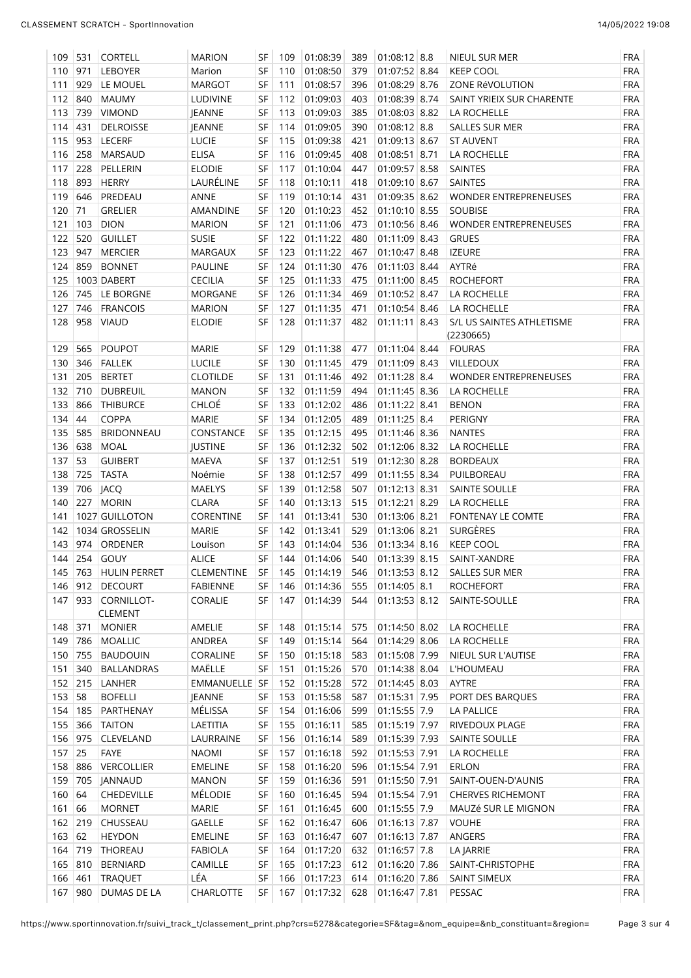| 109                          | 531     | <b>CORTELL</b>               | <b>MARION</b>    | SF        | 109 | 01:08:39             | 389 | $01:08:12$ 8.8                 | NIEUL SUR MER                          | <b>FRA</b> |
|------------------------------|---------|------------------------------|------------------|-----------|-----|----------------------|-----|--------------------------------|----------------------------------------|------------|
| 110                          | 971     | LEBOYER                      | Marion           | SF        | 110 | 01:08:50             | 379 | 01:07:52 8.84                  | <b>KEEP COOL</b>                       | <b>FRA</b> |
| 111                          | 929     | LE MOUEL                     | <b>MARGOT</b>    | SF        | 111 | 01:08:57             | 396 | 01:08:29 8.76                  | ZONE RÉVOLUTION                        | <b>FRA</b> |
| 112 840                      |         | <b>MAUMY</b>                 | <b>LUDIVINE</b>  | SF        | 112 | 01:09:03             | 403 | 01:08:39 8.74                  | SAINT YRIEIX SUR CHARENTE              | <b>FRA</b> |
| 113                          | 739     | <b>VIMOND</b>                | JEANNE           | SF        | 113 | 01:09:03             | 385 | 01:08:03 8.82                  | LA ROCHELLE                            | <b>FRA</b> |
| 114                          | 431     | <b>DELROISSE</b>             | JEANNE           | SF        | 114 | 01:09:05             | 390 | $01:08:12$ 8.8                 | <b>SALLES SUR MER</b>                  | <b>FRA</b> |
| 115                          | 953     | LECERF                       | <b>LUCIE</b>     | SF        | 115 | 01:09:38             | 421 | 01:09:13 8.67                  | <b>ST AUVENT</b>                       | <b>FRA</b> |
| 116                          | 258     | MARSAUD                      | <b>ELISA</b>     | SF        | 116 | 01:09:45             | 408 | $01:08:51$ 8.71                | LA ROCHELLE                            | <b>FRA</b> |
| 117                          | 228     | PELLERIN                     | <b>ELODIE</b>    | SF        | 117 | 01:10:04             | 447 | 01:09:57 8.58                  | SAINTES                                | <b>FRA</b> |
| 118                          | 893     | <b>HERRY</b>                 | LAURÉLINE        | SF        | 118 | 01:10:11             | 418 | 01:09:10 8.67                  | <b>SAINTES</b>                         | <b>FRA</b> |
| 119                          | 646     | PREDEAU                      | ANNE             | <b>SF</b> | 119 | 01:10:14             | 431 | 01:09:35 8.62                  | <b>WONDER ENTREPRENEUSES</b>           | <b>FRA</b> |
|                              |         |                              |                  |           |     |                      |     |                                |                                        |            |
| 120                          | 71      | <b>GRELIER</b>               | AMANDINE         | SF        | 120 | 01:10:23             | 452 | 01:10:10 8.55                  | <b>SOUBISE</b>                         | <b>FRA</b> |
| 121                          | 103     | <b>DION</b>                  | <b>MARION</b>    | SF        | 121 | 01:11:06             | 473 | 01:10:56 8.46                  | <b>WONDER ENTREPRENEUSES</b>           | <b>FRA</b> |
| 122                          | 520     | <b>GUILLET</b>               | <b>SUSIE</b>     | <b>SF</b> | 122 | 01:11:22             | 480 | 01:11:09 8.43                  | <b>GRUES</b>                           | <b>FRA</b> |
| 123                          | 947     | <b>MERCIER</b>               | <b>MARGAUX</b>   | SF        | 123 | 01:11:22             | 467 | 01:10:47 8.48                  | <b>IZEURE</b>                          | <b>FRA</b> |
| 124                          | 859     | <b>BONNET</b>                | PAULINE          | SF        | 124 | 01:11:30             | 476 | 01:11:03 8.44                  | AYTRé                                  | <b>FRA</b> |
| 125                          |         | 1003 DABERT                  | <b>CECILIA</b>   | SF        | 125 | 01:11:33             | 475 | 01:11:00 8.45                  | <b>ROCHEFORT</b>                       | <b>FRA</b> |
| 126                          | 745     | LE BORGNE                    | MORGANE          | SF        | 126 | 01:11:34             | 469 | 01:10:52 8.47                  | LA ROCHELLE                            | <b>FRA</b> |
| 127                          | 746     | <b>FRANCOIS</b>              | <b>MARION</b>    | SF        | 127 | 01:11:35             | 471 | 01:10:54 8.46                  | LA ROCHELLE                            | <b>FRA</b> |
| 128                          | 958     | <b>VIAUD</b>                 | <b>ELODIE</b>    | <b>SF</b> | 128 | 01:11:37             | 482 | 01:11:11 8.43                  | S/L US SAINTES ATHLETISME<br>(2230665) | <b>FRA</b> |
| 129                          | 565     | <b>POUPOT</b>                | <b>MARIE</b>     | SF        | 129 | 01:11:38             | 477 | 01:11:04 8.44                  | <b>FOURAS</b>                          | <b>FRA</b> |
| 130                          | 346     | <b>FALLEK</b>                | <b>LUCILE</b>    | SF        | 130 | 01:11:45             | 479 | 01:11:09 8.43                  | VILLEDOUX                              | <b>FRA</b> |
| 131                          | 205     | <b>BERTET</b>                | <b>CLOTILDE</b>  | SF        | 131 | 01:11:46             | 492 | $01:11:28$ 8.4                 | <b>WONDER ENTREPRENEUSES</b>           | <b>FRA</b> |
| 132                          | 710     | <b>DUBREUIL</b>              | <b>MANON</b>     | SF        | 132 | 01:11:59             | 494 | 01:11:45 8.36                  | LA ROCHELLE                            | <b>FRA</b> |
| 133                          | 866     | <b>THIBURCE</b>              | CHLOÉ            | SF        | 133 | 01:12:02             | 486 | 01:11:22 8.41                  | <b>BENON</b>                           | <b>FRA</b> |
| 134                          | 44      | <b>COPPA</b>                 | <b>MARIE</b>     | SF        | 134 | 01:12:05             | 489 | $01:11:25$ 8.4                 | PERIGNY                                | <b>FRA</b> |
| 135                          | 585     | <b>BRIDONNEAU</b>            | CONSTANCE        | SF        | 135 | 01:12:15             | 495 | 01:11:46 8.36                  | <b>NANTES</b>                          | <b>FRA</b> |
|                              |         |                              |                  |           |     |                      |     | 01:12:06 8.32                  |                                        | <b>FRA</b> |
| 136                          | 638     | MOAL                         | <b>JUSTINE</b>   | SF        | 136 | 01:12:32             | 502 |                                | LA ROCHELLE                            |            |
| 137                          | 53      | <b>GUIBERT</b>               | <b>MAEVA</b>     | SF        | 137 | 01:12:51             | 519 | 01:12:30 8.28                  | <b>BORDEAUX</b>                        | <b>FRA</b> |
| 138                          | 725     | <b>TASTA</b>                 | Noémie           | SF        | 138 | 01:12:57             | 499 | 01:11:55 8.34                  | PUILBOREAU                             | <b>FRA</b> |
| 139                          | 706     | <b>JACQ</b>                  | <b>MAELYS</b>    | SF        | 139 | 01:12:58             | 507 | 01:12:13 8.31                  | SAINTE SOULLE                          | <b>FRA</b> |
| 140                          | 227     | <b>MORIN</b>                 | <b>CLARA</b>     | SF        | 140 | 01:13:13             | 515 | $01:12:21$ 8.29                | LA ROCHELLE                            | <b>FRA</b> |
| 141                          |         | 1027 GUILLOTON               | <b>CORENTINE</b> | SF        | 141 | 01:13:41             | 530 | 01:13:06 8.21                  | <b>FONTENAY LE COMTE</b>               | <b>FRA</b> |
| 142                          |         | 1034 GROSSELIN               | <b>MARIE</b>     | SF        | 142 | 01:13:41             | 529 | 01:13:06 8.21                  | SURGÈRES                               | <b>FRA</b> |
| 143                          | 974     | ORDENER                      | Louison          | SF        | 143 | 01:14:04             | 536 | $01:13:34$ 8.16                | <b>KEEP COOL</b>                       | <b>FRA</b> |
| 144                          |         | 254 GOUY                     | <b>ALICE</b>     | <b>SF</b> | 144 | 01:14:06             | 540 | 01:13:39 8.15                  | SAINT-XANDRE                           | <b>FRA</b> |
| 145                          | 763     | <b>HULIN PERRET</b>          | CLEMENTINE       | SF        | 145 | 01:14:19             | 546 | 01:13:53 8.12                  | <b>SALLES SUR MER</b>                  | <b>FRA</b> |
| 146                          |         | 912 DECOURT                  | <b>FABIENNE</b>  | SF        | 146 | 01:14:36             | 555 | $01:14:05$ 8.1                 | <b>ROCHEFORT</b>                       | <b>FRA</b> |
| 147                          | 933     | CORNILLOT-<br><b>CLEMENT</b> | CORALIE          | <b>SF</b> | 147 | 01:14:39             | 544 | 01:13:53 8.12                  | SAINTE-SOULLE                          | <b>FRA</b> |
| 148                          | 371     | <b>MONIER</b>                | AMELIE           | SF        | 148 | 01:15:14             | 575 | 01:14:50 8.02                  | LA ROCHELLE                            | <b>FRA</b> |
| 149                          | 786     | MOALLIC                      | ANDREA           | SF        | 149 | 01:15:14             | 564 | 01:14:29 8.06                  | LA ROCHELLE                            | <b>FRA</b> |
| 150                          | 755     | <b>BAUDOUIN</b>              | CORALINE         | SF        | 150 | 01:15:18             | 583 | 01:15:08 7.99                  | NIEUL SUR L'AUTISE                     | <b>FRA</b> |
| 151                          | 340     | <b>BALLANDRAS</b>            | MAËLLE           | SF        | 151 | 01:15:26             | 570 | 01:14:38 8.04                  | L'HOUMEAU                              | <b>FRA</b> |
|                              | 152 215 | LANHER                       | EMMANUELLE SF    |           | 152 | 01:15:28             | 572 | 01:14:45 8.03                  | AYTRE                                  | <b>FRA</b> |
| 153                          | 58      | <b>BOFELLI</b>               | JEANNE           | SF        | 153 | 01:15:58             | 587 | 01:15:31 7.95                  | PORT DES BARQUES                       | <b>FRA</b> |
|                              |         | PARTHENAY                    |                  |           |     |                      |     |                                |                                        |            |
| 154 185                      |         |                              | MÉLISSA          | SF        | 154 | 01:16:06             | 599 | $01:15:55$ 7.9                 | <b>LA PALLICE</b>                      | <b>FRA</b> |
| 155                          | 366     | <b>TAITON</b>                | LAETITIA         | SF        | 155 | 01:16:11             | 585 | 01:15:19 7.97                  | RIVEDOUX PLAGE                         | <b>FRA</b> |
| 156                          | 975     | CLEVELAND                    | LAURRAINE        | SF        | 156 | 01:16:14             | 589 | 01:15:39 7.93                  | SAINTE SOULLE                          | <b>FRA</b> |
| 157                          | 25      | FAYE                         | NAOMI            | SF        | 157 | 01:16:18             | 592 | 01:15:53 7.91                  | LA ROCHELLE                            | <b>FRA</b> |
| 158                          | 886     | <b>VERCOLLIER</b>            | EMELINE          | SF        | 158 | 01:16:20             | 596 | 01:15:54 7.91                  | <b>ERLON</b>                           | <b>FRA</b> |
| 159                          | 705     | <b>JANNAUD</b>               | MANON            | SF        | 159 | 01:16:36             | 591 | 01:15:50 7.91                  | SAINT-OUEN-D'AUNIS                     | <b>FRA</b> |
|                              | 64      | CHEDEVILLE                   | <b>MÉLODIE</b>   | SF        | 160 | 01:16:45             | 594 | 01:15:54 7.91                  | <b>CHERVES RICHEMONT</b>               | <b>FRA</b> |
|                              |         | <b>MORNET</b>                | <b>MARIE</b>     | <b>SF</b> | 161 | 01:16:45             | 600 | $01:15:55$ 7.9                 | MAUZé SUR LE MIGNON                    | <b>FRA</b> |
|                              | 66      |                              |                  |           |     |                      |     | 01:16:13 7.87                  | <b>VOUHE</b>                           | <b>FRA</b> |
|                              |         | CHUSSEAU                     | <b>GAELLE</b>    | <b>SF</b> | 162 | 01:16:47             | 606 |                                |                                        |            |
| 160<br>161<br>162 219<br>163 | 62      | <b>HEYDON</b>                | EMELINE          | SF        | 163 | 01:16:47             | 607 | 01:16:13 7.87                  | ANGERS                                 | <b>FRA</b> |
|                              |         | THOREAU                      | FABIOLA          | SF        | 164 | 01:17:20             | 632 | $01:16:57$ 7.8                 | LA JARRIE                              | <b>FRA</b> |
|                              | 810     | <b>BERNIARD</b>              | CAMILLE          | SF        | 165 |                      | 612 |                                | SAINT-CHRISTOPHE                       | <b>FRA</b> |
| 164 719<br>165<br>166        | 461     | <b>TRAQUET</b>               | LÉA              | SF        | 166 | 01:17:23<br>01:17:23 | 614 | 01:16:20 7.86<br>01:16:20 7.86 | SAINT SIMEUX                           | <b>FRA</b> |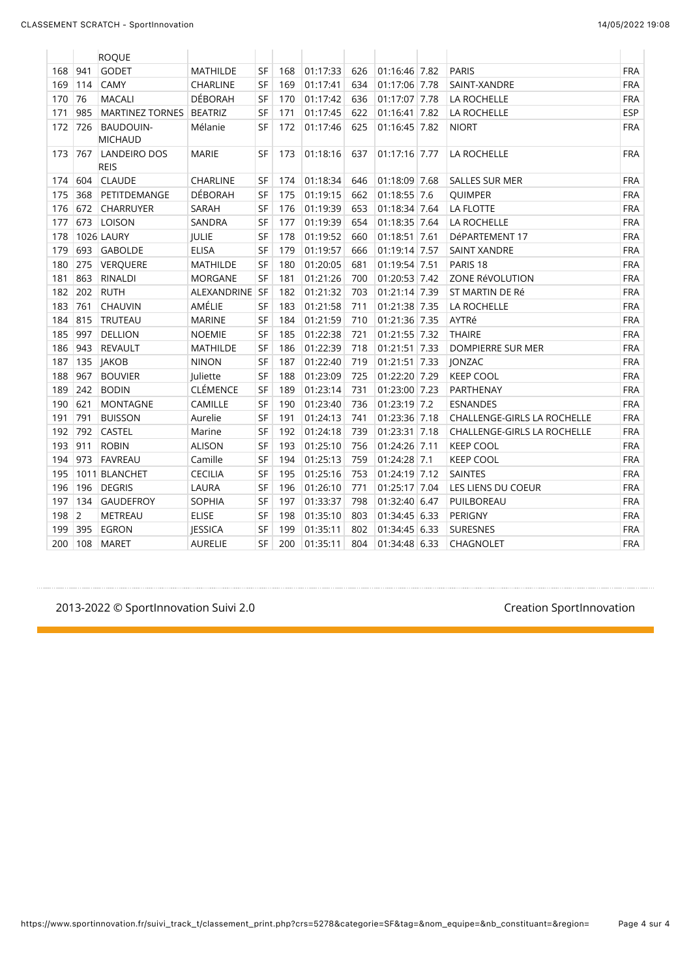|     |                | <b>ROQUE</b>                       |                 |           |     |          |     |               |                                    |            |
|-----|----------------|------------------------------------|-----------------|-----------|-----|----------|-----|---------------|------------------------------------|------------|
| 168 | 941            | <b>GODET</b>                       | <b>MATHILDE</b> | SF        | 168 | 01:17:33 | 626 | 01:16:46 7.82 | <b>PARIS</b>                       | <b>FRA</b> |
| 169 | 114            | CAMY                               | <b>CHARLINE</b> | <b>SF</b> | 169 | 01:17:41 | 634 | 01:17:06 7.78 | SAINT-XANDRE                       | <b>FRA</b> |
| 170 | 76             | <b>MACALI</b>                      | <b>DÉBORAH</b>  | <b>SF</b> | 170 | 01:17:42 | 636 | 01:17:07 7.78 | LA ROCHELLE                        | <b>FRA</b> |
| 171 | 985            | <b>MARTINEZ TORNES</b>             | <b>BEATRIZ</b>  | <b>SF</b> | 171 | 01:17:45 | 622 | 01:16:41 7.82 | LA ROCHELLE                        | <b>ESP</b> |
| 172 | 726            | <b>BAUDOUIN-</b><br><b>MICHAUD</b> | Mélanie         | SF        | 172 | 01:17:46 | 625 | 01:16:45 7.82 | <b>NIORT</b>                       | <b>FRA</b> |
| 173 | 767            | LANDEIRO DOS<br><b>REIS</b>        | <b>MARIE</b>    | SF        | 173 | 01:18:16 | 637 | 01:17:16 7.77 | LA ROCHELLE                        | <b>FRA</b> |
| 174 | 604            | <b>CLAUDE</b>                      | CHARLINE        | SF        | 174 | 01:18:34 | 646 | 01:18:09 7.68 | <b>SALLES SUR MER</b>              | <b>FRA</b> |
| 175 | 368            | PETITDEMANGE                       | <b>DÉBORAH</b>  | <b>SF</b> | 175 | 01:19:15 | 662 | 01:18:55 7.6  | QUIMPER                            | <b>FRA</b> |
| 176 | 672            | <b>CHARRUYER</b>                   | SARAH           | SF        | 176 | 01:19:39 | 653 | 01:18:34 7.64 | LA FLOTTE                          | <b>FRA</b> |
| 177 | 673            | <b>LOISON</b>                      | SANDRA          | <b>SF</b> | 177 | 01:19:39 | 654 | 01:18:35 7.64 | LA ROCHELLE                        | <b>FRA</b> |
| 178 |                | <b>1026 LAURY</b>                  | JULIE           | SF        | 178 | 01:19:52 | 660 | 01:18:51 7.61 | DéPARTEMENT 17                     | <b>FRA</b> |
| 179 | 693            | <b>GABOLDE</b>                     | <b>ELISA</b>    | <b>SF</b> | 179 | 01:19:57 | 666 | 01:19:14 7.57 | <b>SAINT XANDRE</b>                | <b>FRA</b> |
| 180 | 275            | <b>VERQUERE</b>                    | <b>MATHILDE</b> | <b>SF</b> | 180 | 01:20:05 | 681 | 01:19:54 7.51 | PARIS <sub>18</sub>                | <b>FRA</b> |
| 181 | 863            | <b>RINALDI</b>                     | MORGANE         | <b>SF</b> | 181 | 01:21:26 | 700 | 01:20:53 7.42 | ZONE RéVOLUTION                    | <b>FRA</b> |
| 182 | 202            | <b>RUTH</b>                        | ALEXANDRINE SF  |           | 182 | 01:21:32 | 703 | 01:21:14 7.39 | ST MARTIN DE Ré                    | <b>FRA</b> |
| 183 | 761            | CHAUVIN                            | AMÉLIE          | SF        | 183 | 01:21:58 | 711 | 01:21:38 7.35 | LA ROCHELLE                        | <b>FRA</b> |
| 184 | 815            | TRUTEAU                            | <b>MARINE</b>   | SF        | 184 | 01:21:59 | 710 | 01:21:36 7.35 | AYTRé                              | <b>FRA</b> |
| 185 | 997            | <b>DELLION</b>                     | <b>NOEMIE</b>   | <b>SF</b> | 185 | 01:22:38 | 721 | 01:21:55 7.32 | <b>THAIRE</b>                      | <b>FRA</b> |
| 186 | 943            | <b>REVAULT</b>                     | <b>MATHILDE</b> | SF        | 186 | 01:22:39 | 718 | 01:21:51 7.33 | DOMPIERRE SUR MER                  | <b>FRA</b> |
| 187 | 135            | <b>JAKOB</b>                       | <b>NINON</b>    | SF        | 187 | 01:22:40 | 719 | 01:21:51 7.33 | JONZAC                             | <b>FRA</b> |
| 188 | 967            | <b>BOUVIER</b>                     | Juliette        | <b>SF</b> | 188 | 01:23:09 | 725 | 01:22:20 7.29 | <b>KEEP COOL</b>                   | <b>FRA</b> |
| 189 | 242            | <b>BODIN</b>                       | <b>CLÉMENCE</b> | SF        | 189 | 01:23:14 | 731 | 01:23:00 7.23 | PARTHENAY                          | <b>FRA</b> |
| 190 | 621            | <b>MONTAGNE</b>                    | CAMILLE         | <b>SF</b> | 190 | 01:23:40 | 736 | 01:23:19 7.2  | <b>ESNANDES</b>                    | <b>FRA</b> |
| 191 | 791            | <b>BUISSON</b>                     | Aurelie         | SF        | 191 | 01:24:13 | 741 | 01:23:36 7.18 | <b>CHALLENGE-GIRLS LA ROCHELLE</b> | <b>FRA</b> |
| 192 | 792            | <b>CASTEL</b>                      | Marine          | SF        | 192 | 01:24:18 | 739 | 01:23:31 7.18 | CHALLENGE-GIRLS LA ROCHELLE        | <b>FRA</b> |
| 193 | 911            | <b>ROBIN</b>                       | <b>ALISON</b>   | <b>SF</b> | 193 | 01:25:10 | 756 | 01:24:26 7.11 | <b>KEEP COOL</b>                   | <b>FRA</b> |
| 194 | 973            | <b>FAVREAU</b>                     | Camille         | SF        | 194 | 01:25:13 | 759 | 01:24:28 7.1  | <b>KEEP COOL</b>                   | <b>FRA</b> |
| 195 |                | 1011 BLANCHET                      | <b>CECILIA</b>  | SF        | 195 | 01:25:16 | 753 | 01:24:19 7.12 | SAINTES                            | <b>FRA</b> |
| 196 | 196            | <b>DEGRIS</b>                      | LAURA           | <b>SF</b> | 196 | 01:26:10 | 771 | 01:25:17 7.04 | LES LIENS DU COEUR                 | <b>FRA</b> |
| 197 | 134            | <b>GAUDEFROY</b>                   | SOPHIA          | SF        | 197 | 01:33:37 | 798 | 01:32:40 6.47 | PUILBOREAU                         | <b>FRA</b> |
| 198 | $\overline{2}$ | METREAU                            | <b>ELISE</b>    | SF        | 198 | 01:35:10 | 803 | 01:34:45 6.33 | PERIGNY                            | <b>FRA</b> |
| 199 | 395            | <b>EGRON</b>                       | <b>JESSICA</b>  | SF        | 199 | 01:35:11 | 802 | 01:34:45 6.33 | <b>SURESNES</b>                    | <b>FRA</b> |
| 200 | 108            | <b>MARET</b>                       | <b>AURELIE</b>  | SF        | 200 | 01:35:11 | 804 | 01:34:48 6.33 | CHAGNOLET                          | <b>FRA</b> |

2013-2022 © SportInnovation Suivi 2.0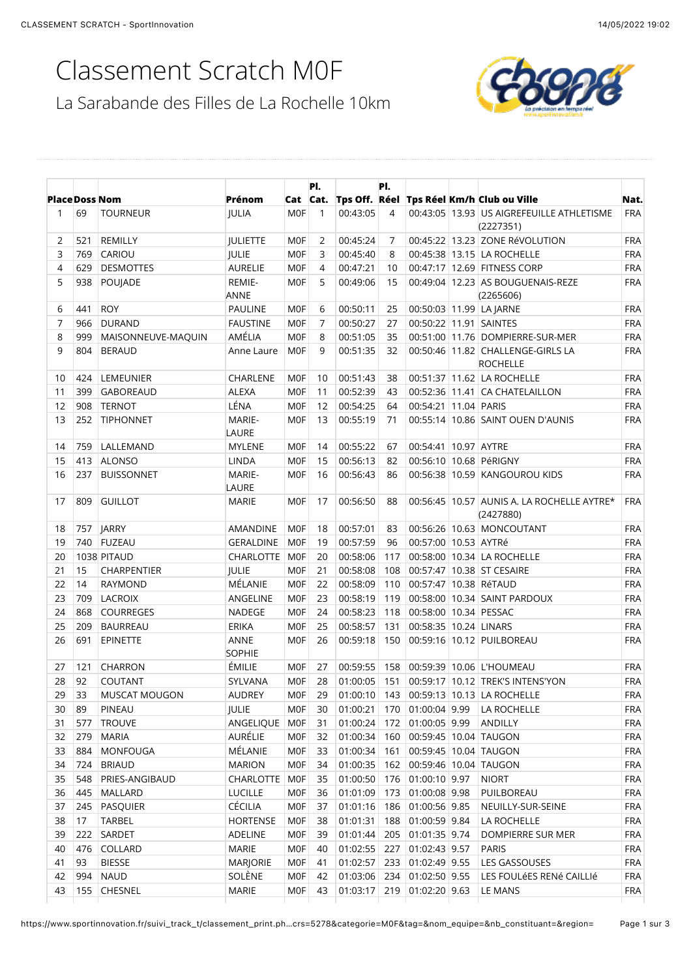## Classement Scratch M0F



|                      |     |                    |                       |                 | PI.          |              | PI. |                       |                                                             |            |
|----------------------|-----|--------------------|-----------------------|-----------------|--------------|--------------|-----|-----------------------|-------------------------------------------------------------|------------|
| <b>PlaceDoss Nom</b> |     |                    | Prénom                |                 | Cat Cat.     |              |     |                       | Tps Off. Réel Tps Réel Km/h Club ou Ville                   | Nat.       |
| 1                    | 69  | <b>TOURNEUR</b>    | <b>JULIA</b>          | <b>MOF</b>      | $\mathbf{1}$ | 00:43:05     | 4   |                       | 00:43:05   13.93 US AIGREFEUILLE ATHLETISME<br>(2227351)    | <b>FRA</b> |
| $\overline{2}$       | 521 | REMILLY            | <b>JULIETTE</b>       | <b>MOF</b>      | 2            | 00:45:24     | 7   |                       | 00:45:22 13.23 ZONE RéVOLUTION                              | <b>FRA</b> |
| 3                    | 769 | CARIOU             | JULIE                 | M <sub>OF</sub> | 3            | 00:45:40     | 8   |                       | 00:45:38 13.15 LA ROCHELLE                                  | FRA        |
| 4                    | 629 | <b>DESMOTTES</b>   | <b>AURELIE</b>        | M <sub>OF</sub> | 4            | 00:47:21     | 10  |                       | 00:47:17 12.69 FITNESS CORP                                 | FRA        |
| 5                    | 938 | POUJADE            | REMIE-<br><b>ANNE</b> | M <sub>OF</sub> | 5            | 00:49:06     | 15  |                       | 00:49:04 12.23 AS BOUGUENAIS-REZE<br>(2265606)              | <b>FRA</b> |
| 6                    | 441 | <b>ROY</b>         | <b>PAULINE</b>        | <b>MOF</b>      | 6            | 00:50:11     | 25  |                       | 00:50:03 11.99 LA JARNE                                     | <b>FRA</b> |
| $\overline{7}$       | 966 | <b>DURAND</b>      | <b>FAUSTINE</b>       | <b>MOF</b>      | 7            | 00:50:27     | 27  |                       | 00:50:22 11.91 SAINTES                                      | <b>FRA</b> |
| 8                    | 999 | MAISONNEUVE-MAQUIN | AMÉLIA                | <b>MOF</b>      | 8            | 00:51:05     | 35  |                       | 00:51:00 11.76 DOMPIERRE-SUR-MER                            | <b>FRA</b> |
| 9                    | 804 | <b>BERAUD</b>      | Anne Laure            | <b>MOF</b>      | 9            | 00:51:35     | 32  |                       | 00:50:46 11.82 CHALLENGE-GIRLS LA<br><b>ROCHELLE</b>        | <b>FRA</b> |
| 10                   | 424 | LEMEUNIER          | CHARLENE              | <b>MOF</b>      | 10           | 00:51:43     | 38  |                       | 00:51:37 11.62 LA ROCHELLE                                  | <b>FRA</b> |
| 11                   | 399 | <b>GABOREAUD</b>   | <b>ALEXA</b>          | <b>MOF</b>      | 11           | 00:52:39     | 43  |                       | 00:52:36 11.41 CA CHATELAILLON                              | <b>FRA</b> |
| 12                   | 908 | <b>TERNOT</b>      | LÉNA                  | M <sub>OF</sub> | 12           | 00:54:25     | 64  | 00:54:21 11.04 PARIS  |                                                             | <b>FRA</b> |
| 13                   | 252 | <b>TIPHONNET</b>   | MARIE-<br>LAURE       | <b>MOF</b>      | 13           | 00:55:19     | 71  |                       | 00:55:14 10.86 SAINT OUEN D'AUNIS                           | <b>FRA</b> |
| 14                   | 759 | LALLEMAND          | <b>MYLENE</b>         | <b>MOF</b>      | 14           | 00:55:22     | 67  | 00:54:41 10.97 AYTRE  |                                                             | <b>FRA</b> |
| 15                   |     | 413 ALONSO         | LINDA                 | M <sub>OF</sub> | 15           | 00:56:13     | 82  |                       | 00:56:10 10.68 PéRIGNY                                      | <b>FRA</b> |
| 16                   | 237 | <b>BUISSONNET</b>  | MARIE-<br>LAURE       | <b>MOF</b>      | 16           | 00:56:43     | 86  |                       | 00:56:38 10.59 KANGOUROU KIDS                               | <b>FRA</b> |
| 17                   | 809 | <b>GUILLOT</b>     | <b>MARIE</b>          | <b>MOF</b>      | 17           | 00:56:50     | 88  |                       | 00:56:45   10.57   AUNIS A. LA ROCHELLE AYTRE*<br>(2427880) | <b>FRA</b> |
| 18                   | 757 | JARRY              | AMANDINE              | <b>MOF</b>      | 18           | 00:57:01     | 83  |                       | 00:56:26 10.63 MONCOUTANT                                   | <b>FRA</b> |
| 19                   | 740 | FUZEAU             | <b>GERALDINE</b>      | <b>MOF</b>      | 19           | 00:57:59     | 96  | 00:57:00 10.53 AYTRé  |                                                             | <b>FRA</b> |
| 20                   |     | 1038 PITAUD        | CHARLOTTE   MOF       |                 | 20           | 00:58:06     | 117 |                       | 00:58:00 10.34 LA ROCHELLE                                  | <b>FRA</b> |
| 21                   | 15  | CHARPENTIER        | JULIE                 | <b>MOF</b>      | 21           | 00:58:08     | 108 |                       | 00:57:47 10.38 ST CESAIRE                                   | <b>FRA</b> |
| 22                   | 14  | <b>RAYMOND</b>     | MÉLANIE               | M0F             | 22           | 00:58:09     | 110 | 00:57:47 10.38 RéTAUD |                                                             | <b>FRA</b> |
| 23                   | 709 | <b>LACROIX</b>     | ANGELINE              | M0F             | 23           | 00:58:19     | 119 |                       | 00:58:00 10.34 SAINT PARDOUX                                | <b>FRA</b> |
| 24                   | 868 | <b>COURREGES</b>   | NADEGE                | M <sub>OF</sub> | 24           | 00:58:23     | 118 | 00:58:00 10.34 PESSAC |                                                             | <b>FRA</b> |
| 25                   | 209 | <b>BAURREAU</b>    | ERIKA                 | M <sub>OF</sub> | 25           | 00:58:57     | 131 | 00:58:35 10.24 LINARS |                                                             | <b>FRA</b> |
| 26                   | 691 | EPINETTE           | ANNE<br><b>SOPHIE</b> | M0F             | 26           | 00:59:18     | 150 |                       | 00:59:16 10.12 PUILBOREAU                                   | <b>FRA</b> |
| 27                   | 121 | <b>CHARRON</b>     | ÉMILIE                | <b>MOF</b>      | 27           | 00:59:55     | 158 |                       | 00:59:39 10.06 L'HOUMEAU                                    | <b>FRA</b> |
| 28                   | 92  | COUTANT            | SYLVANA               | <b>MOF</b>      | 28           |              |     |                       | 01:00:05 151 00:59:17 10.12 TREK'S INTENS'YON               | <b>FRA</b> |
| 29                   | 33  | MUSCAT MOUGON      | AUDREY                | M0F             | 29           |              |     |                       | 01:00:10 143 00:59:13 10.13 LA ROCHELLE                     | FRA        |
| 30                   | 89  | PINEAU             | JULIE                 | M0F             | 30           | 01:00:21     | 170 | 01:00:04 9.99         | LA ROCHELLE                                                 | <b>FRA</b> |
| 31                   | 577 | <b>TROUVE</b>      | ANGELIQUE MOF         |                 | 31           | 01:00:24     | 172 | 01:00:05 9.99         | ANDILLY                                                     | <b>FRA</b> |
| 32                   | 279 | <b>MARIA</b>       | AURÉLIE               | M0F             | 32           | 01:00:34     | 160 |                       | 00:59:45 10.04 TAUGON                                       | <b>FRA</b> |
| 33                   | 884 | MONFOUGA           | MÉLANIE               | M0F             | 33           | 01:00:34     | 161 |                       | 00:59:45 10.04 TAUGON                                       | <b>FRA</b> |
| 34                   | 724 | <b>BRIAUD</b>      | <b>MARION</b>         | M0F             | 34           | 01:00:35     | 162 |                       | 00:59:46 10.04 TAUGON                                       | <b>FRA</b> |
| 35                   | 548 | PRIES-ANGIBAUD     | CHARLOTTE   MOF       |                 | 35           | 01:00:50     | 176 | 01:00:10 9.97         | <b>NIORT</b>                                                | <b>FRA</b> |
| 36                   | 445 | MALLARD            | <b>LUCILLE</b>        | M0F             | 36           | 01:01:09     | 173 | 01:00:08 9.98         | PUILBOREAU                                                  | <b>FRA</b> |
| 37                   | 245 | PASQUIER           | CÉCILIA               | M0F             | 37           | 01:01:16     | 186 | 01:00:56 9.85         | NEUILLY-SUR-SEINE                                           | <b>FRA</b> |
| 38                   | 17  | <b>TARBEL</b>      | <b>HORTENSE</b>       | M0F             | 38           | 01:01:31     | 188 | 01:00:59 9.84         | LA ROCHELLE                                                 | <b>FRA</b> |
| 39                   | 222 | SARDET             | ADELINE               | M0F             | 39           | 01:01:44     | 205 | 01:01:35 9.74         | DOMPIERRE SUR MER                                           | <b>FRA</b> |
| 40                   |     | 476 COLLARD        | MARIE                 | M0F             | 40           | 01:02:55 227 |     | 01:02:43 9.57         | PARIS                                                       | <b>FRA</b> |
| 41                   | 93  | <b>BIESSE</b>      | MARJORIE              | M0F             | 41           | 01:02:57     | 233 | 01:02:49 9.55         | LES GASSOUSES                                               | <b>FRA</b> |
| 42                   | 994 | <b>NAUD</b>        | SOLÈNE                | <b>MOF</b>      | 42           | 01:03:06     |     | 234 01:02:50 9.55     | LES FOULÉES RENÉ CAILLIÉ                                    | <b>FRA</b> |
| 43                   |     | 155 CHESNEL        | MARIE                 | <b>MOF</b>      | 43           | 01:03:17 219 |     | 01:02:20 9.63         | LE MANS                                                     | FRA        |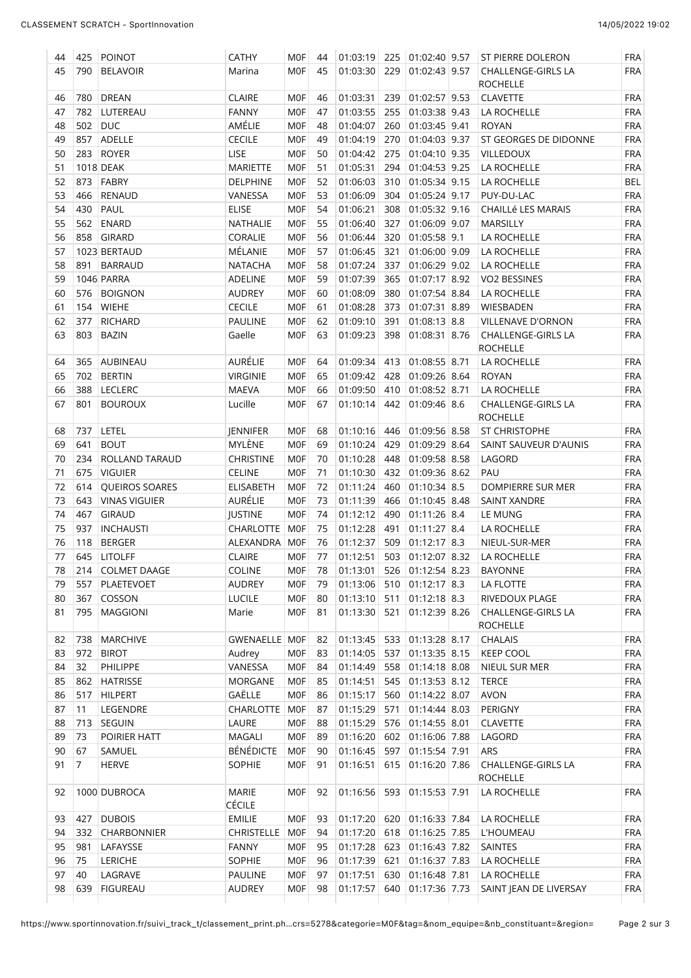| 44 | 425            | POINOT               | <b>CATHY</b>           | <b>MOF</b>      | 44 | 01:03:19 | 225 | 01:02:40 9.57     | ST PIERRE DOLERON                            | <b>FRA</b> |
|----|----------------|----------------------|------------------------|-----------------|----|----------|-----|-------------------|----------------------------------------------|------------|
| 45 | 790            | <b>BELAVOIR</b>      | Marina                 | <b>MOF</b>      | 45 | 01:03:30 | 229 | 01:02:43 9.57     | CHALLENGE-GIRLS LA<br><b>ROCHELLE</b>        | <b>FRA</b> |
| 46 | 780            | <b>DREAN</b>         | <b>CLAIRE</b>          | <b>MOF</b>      | 46 | 01:03:31 | 239 | 01:02:57 9.53     | <b>CLAVETTE</b>                              | <b>FRA</b> |
| 47 | 782            | LUTEREAU             | <b>FANNY</b>           | M <sub>OF</sub> | 47 | 01:03:55 | 255 | 01:03:38 9.43     | LA ROCHELLE                                  | <b>FRA</b> |
| 48 | 502            | <b>DUC</b>           | AMÉLIE                 | M <sub>OF</sub> | 48 | 01:04:07 | 260 | 01:03:45 9.41     | <b>ROYAN</b>                                 | <b>FRA</b> |
| 49 | 857            | ADELLE               | <b>CECILE</b>          | M0F             | 49 | 01:04:19 | 270 | 01:04:03 9.37     | ST GEORGES DE DIDONNE                        | <b>FRA</b> |
| 50 | 283            | ROYER                | LISE                   | M <sub>OF</sub> | 50 | 01:04:42 | 275 | 01:04:10 9.35     | VILLEDOUX                                    | <b>FRA</b> |
| 51 |                | 1018 DEAK            | <b>MARIETTE</b>        | M <sub>OF</sub> | 51 | 01:05:31 | 294 | 01:04:53 9.25     | LA ROCHELLE                                  | <b>FRA</b> |
| 52 | 873            | FABRY                | DELPHINE               | <b>MOF</b>      | 52 | 01:06:03 | 310 | 01:05:34 9.15     | LA ROCHELLE                                  | <b>BEL</b> |
| 53 | 466            | <b>RENAUD</b>        | VANESSA                | M <sub>OF</sub> | 53 | 01:06:09 | 304 | 01:05:24 9.17     | PUY-DU-LAC                                   | <b>FRA</b> |
| 54 | 430            | PAUL                 | <b>ELISE</b>           | M <sub>OF</sub> | 54 | 01:06:21 | 308 | 01:05:32 9.16     | <b>CHAILLÉ LES MARAIS</b>                    | <b>FRA</b> |
| 55 | 562            | <b>ENARD</b>         | NATHALIE               | M <sub>OF</sub> | 55 | 01:06:40 | 327 | 01:06:09 9.07     | MARSILLY                                     | <b>FRA</b> |
| 56 | 858            | GIRARD               | CORALIE                | M <sub>OF</sub> | 56 | 01:06:44 | 320 | 01:05:58 9.1      | LA ROCHELLE                                  | <b>FRA</b> |
| 57 |                | 1023 BERTAUD         | MÉLANIE                | <b>MOF</b>      | 57 | 01:06:45 | 321 | 01:06:00 9.09     | LA ROCHELLE                                  | <b>FRA</b> |
| 58 | 891            | <b>BARRAUD</b>       | <b>NATACHA</b>         | M <sub>OF</sub> | 58 | 01:07:24 | 337 | 01:06:29 9.02     | LA ROCHELLE                                  | <b>FRA</b> |
| 59 |                | 1046 PARRA           | ADELINE                | M <sub>OF</sub> | 59 | 01:07:39 | 365 | 01:07:17 8.92     | <b>VO2 BESSINES</b>                          | <b>FRA</b> |
| 60 | 576            | <b>BOIGNON</b>       | <b>AUDREY</b>          | M <sub>OF</sub> | 60 | 01:08:09 | 380 | 01:07:54 8.84     | LA ROCHELLE                                  | <b>FRA</b> |
| 61 | 154            | <b>WIEHE</b>         | <b>CECILE</b>          | M <sub>OF</sub> | 61 | 01:08:28 | 373 | 01:07:31 8.89     | WIESBADEN                                    | <b>FRA</b> |
| 62 | 377            | <b>RICHARD</b>       | <b>PAULINE</b>         | <b>MOF</b>      | 62 | 01:09:10 | 391 | $01:08:13$ 8.8    | <b>VILLENAVE D'ORNON</b>                     | <b>FRA</b> |
| 63 | 803            | <b>BAZIN</b>         | Gaelle                 | M0F             | 63 | 01:09:23 | 398 | 01:08:31 8.76     | <b>CHALLENGE-GIRLS LA</b><br><b>ROCHELLE</b> | <b>FRA</b> |
| 64 | 365            | <b>AUBINEAU</b>      | AURÉLIE                | <b>MOF</b>      | 64 | 01:09:34 | 413 | 01:08:55 8.71     | LA ROCHELLE                                  | <b>FRA</b> |
| 65 | 702            | <b>BERTIN</b>        | <b>VIRGINIE</b>        | <b>MOF</b>      | 65 | 01:09:42 | 428 | 01:09:26 8.64     | <b>ROYAN</b>                                 | <b>FRA</b> |
| 66 | 388            | <b>LECLERC</b>       | <b>MAEVA</b>           | <b>MOF</b>      | 66 | 01:09:50 | 410 | 01:08:52 8.71     | LA ROCHELLE                                  | <b>FRA</b> |
| 67 | 801            | <b>BOUROUX</b>       | Lucille                | <b>MOF</b>      | 67 | 01:10:14 | 442 | $01:09:46$ 8.6    | CHALLENGE-GIRLS LA<br><b>ROCHELLE</b>        | <b>FRA</b> |
| 68 | 737            | LETEL                | JENNIFER               | <b>MOF</b>      | 68 | 01:10:16 | 446 | 01:09:56 8.58     | ST CHRISTOPHE                                | <b>FRA</b> |
| 69 | 641            | <b>BOUT</b>          | MYLÈNE                 | <b>MOF</b>      | 69 | 01:10:24 | 429 | 01:09:29 8.64     | SAINT SAUVEUR D'AUNIS                        | <b>FRA</b> |
| 70 | 234            | ROLLAND TARAUD       | <b>CHRISTINE</b>       | M <sub>OF</sub> | 70 | 01:10:28 | 448 | 01:09:58 8.58     | LAGORD                                       | <b>FRA</b> |
| 71 | 675            | <b>VIGUIER</b>       | CELINE                 | <b>MOF</b>      | 71 | 01:10:30 | 432 | 01:09:36 8.62     | PAU                                          | <b>FRA</b> |
| 72 | 614            | QUEIROS SOARES       | <b>ELISABETH</b>       | <b>MOF</b>      | 72 | 01:11:24 | 460 | $01:10:34$ 8.5    | DOMPIERRE SUR MER                            | <b>FRA</b> |
| 73 | 643            | <b>VINAS VIGUIER</b> | AURÉLIE                | <b>MOF</b>      | 73 | 01:11:39 | 466 | 01:10:45 8.48     | <b>SAINT XANDRE</b>                          | <b>FRA</b> |
| 74 | 467            | <b>GIRAUD</b>        | <b>JUSTINE</b>         | <b>MOF</b>      | 74 | 01:12:12 | 490 | 01:11:26 8.4      | LE MUNG                                      | <b>FRA</b> |
| 75 | 937            | <b>INCHAUSTI</b>     | <b>CHARLOTTE</b>       | M <sub>OF</sub> | 75 | 01:12:28 | 491 | $01:11:27$ 8.4    | LA ROCHELLE                                  | <b>FRA</b> |
| 76 | 118            | <b>BERGER</b>        | ALEXANDRA              | <b>MOF</b>      | 76 | 01:12:37 | 509 | $01:12:17$ 8.3    | NIEUL-SUR-MER                                | <b>FRA</b> |
| 77 | 645            | <b>LITOLFF</b>       | <b>CLAIRE</b>          | <b>MOF</b>      | 77 | 01:12:51 | 503 | 01:12:07 8.32     | LA ROCHELLE                                  | <b>FRA</b> |
| 78 |                | 214 COLMET DAAGE     | COLINE                 | M0F             | 78 | 01:13:01 |     | 526 01:12:54 8.23 | <b>BAYONNE</b>                               | <b>FRA</b> |
| 79 | 557            | PLAETEVOET           | <b>AUDREY</b>          | M0F             | 79 | 01:13:06 |     | 510 01:12:17 8.3  | LA FLOTTE                                    | <b>FRA</b> |
| 80 | 367            | COSSON               | LUCILE                 | M <sub>OF</sub> | 80 | 01:13:10 | 511 | $01:12:18$ 8.3    | RIVEDOUX PLAGE                               | FRA        |
| 81 | 795            | MAGGIONI             | Marie                  | M0F             | 81 | 01:13:30 | 521 | 01:12:39 8.26     | <b>CHALLENGE-GIRLS LA</b><br><b>ROCHELLE</b> | <b>FRA</b> |
| 82 | 738            | MARCHIVE             | GWENAELLE MOF          |                 | 82 | 01:13:45 | 533 | 01:13:28 8.17     | CHALAIS                                      | FRA        |
| 83 | 972            | <b>BIROT</b>         | Audrey                 | M0F             | 83 | 01:14:05 | 537 | 01:13:35 8.15     | <b>KEEP COOL</b>                             | <b>FRA</b> |
| 84 | 32             | PHILIPPE             | VANESSA                | M0F             | 84 | 01:14:49 | 558 | $01:14:18$ 8.08   | NIEUL SUR MER                                | <b>FRA</b> |
| 85 | 862            | <b>HATRISSE</b>      | MORGANE                | M0F             | 85 | 01:14:51 | 545 | $01:13:53$ 8.12   | <b>TERCE</b>                                 | FRA        |
| 86 | 517            | <b>HILPERT</b>       | GAËLLE                 | <b>MOF</b>      | 86 | 01:15:17 |     | 560 01:14:22 8.07 | <b>AVON</b>                                  | FRA        |
| 87 | 11             | LEGENDRE             | CHARLOTTE              | MOF             | 87 | 01:15:29 | 571 | $01:14:44$ 8.03   | PERIGNY                                      | <b>FRA</b> |
| 88 | 713            | SEGUIN               | LAURE                  | <b>MOF</b>      | 88 | 01:15:29 |     | 576 01:14:55 8.01 | <b>CLAVETTE</b>                              | FRA        |
| 89 | 73             | POIRIER HATT         | MAGALI                 | M0F             | 89 | 01:16:20 |     | 602 01:16:06 7.88 | LAGORD                                       | FRA        |
| 90 | 67             | SAMUEL               | <b>BÉNÉDICTE</b>       | <b>MOF</b>      | 90 | 01:16:45 | 597 | $01:15:54$ 7.91   | ARS                                          | FRA        |
| 91 | $\overline{7}$ | <b>HERVE</b>         | SOPHIE                 | MOF             | 91 | 01:16:51 | 615 | 01:16:20 7.86     | CHALLENGE-GIRLS LA<br><b>ROCHELLE</b>        | <b>FRA</b> |
| 92 |                | 1000 DUBROCA         | MARIE<br><b>CÉCILE</b> | <b>MOF</b>      | 92 | 01:16:56 | 593 | 01:15:53 7.91     | LA ROCHELLE                                  | <b>FRA</b> |
| 93 | 427            | <b>DUBOIS</b>        | <b>EMILIE</b>          | M0F             | 93 | 01:17:20 | 620 | 01:16:33 7.84     | LA ROCHELLE                                  | FRA        |
| 94 | 332            | CHARBONNIER          | <b>CHRISTELLE</b>      | <b>MOF</b>      | 94 | 01:17:20 | 618 | 01:16:25 7.85     | L'HOUMEAU                                    | <b>FRA</b> |
| 95 | 981            | LAFAYSSE             | <b>FANNY</b>           | <b>MOF</b>      | 95 | 01:17:28 | 623 | 01:16:43 7.82     | SAINTES                                      | FRA        |
| 96 | 75             | LERICHE              | SOPHIE                 | M0F             | 96 | 01:17:39 | 621 | 01:16:37 7.83     | LA ROCHELLE                                  | FRA        |
| 97 | 40             | LAGRAVE              | PAULINE                | M0F             | 97 | 01:17:51 | 630 | 01:16:48 7.81     | LA ROCHELLE                                  | FRA        |
|    | 639            | <b>FIGUREAU</b>      |                        | <b>MOF</b>      |    |          |     | 01:17:36 7.73     | SAINT JEAN DE LIVERSAY                       |            |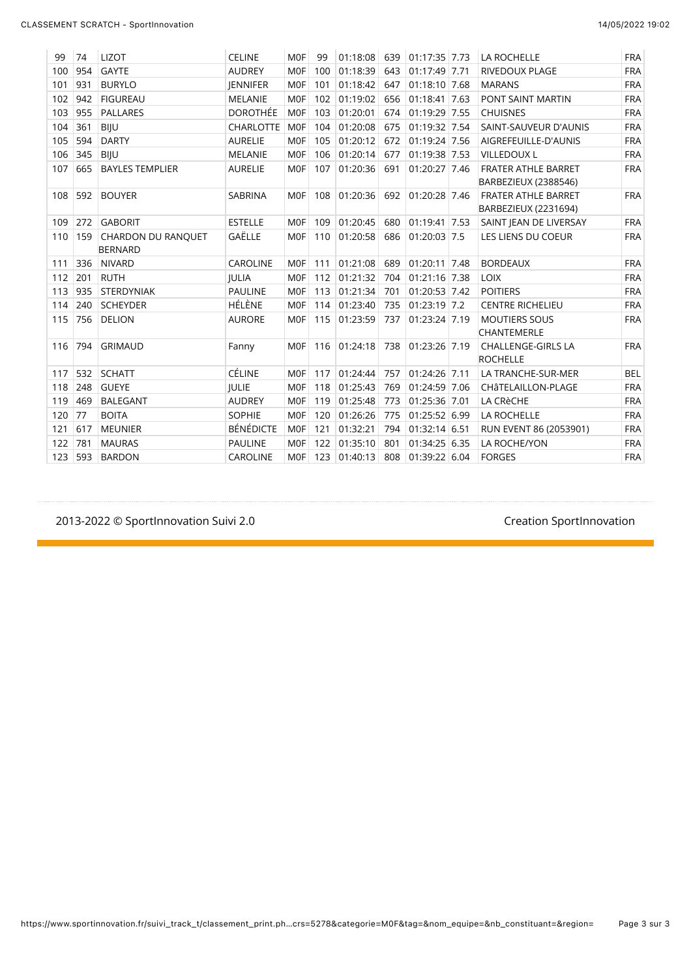| 99  | 74      | <b>LIZOT</b>                         | <b>CELINE</b>    | <b>MOF</b>      | 99  | 01:18:08 |     | 639 01:17:35 7.73 |      | LA ROCHELLE                                        | <b>FRA</b> |
|-----|---------|--------------------------------------|------------------|-----------------|-----|----------|-----|-------------------|------|----------------------------------------------------|------------|
| 100 | 954     | <b>GAYTE</b>                         | <b>AUDREY</b>    | <b>MOF</b>      | 100 | 01:18:39 | 643 | 01:17:49 7.71     |      | RIVEDOUX PLAGE                                     | <b>FRA</b> |
| 101 | 931     | <b>BURYLO</b>                        | <b>IENNIFER</b>  | <b>MOF</b>      | 101 | 01:18:42 | 647 | 01:18:10 7.68     |      | <b>MARANS</b>                                      | <b>FRA</b> |
| 102 | 942     | <b>FIGUREAU</b>                      | <b>MELANIE</b>   | <b>MOF</b>      | 102 | 01:19:02 | 656 | 01:18:41          | 7.63 | PONT SAINT MARTIN                                  | <b>FRA</b> |
| 103 | 955     | <b>PALLARES</b>                      | <b>DOROTHÉE</b>  | <b>MOF</b>      | 103 | 01:20:01 | 674 | 01:19:29 7.55     |      | <b>CHUISNES</b>                                    | <b>FRA</b> |
| 104 | 361     | <b>BIJU</b>                          | <b>CHARLOTTE</b> | <b>MOF</b>      | 104 | 01:20:08 | 675 | 01:19:32 7.54     |      | SAINT-SAUVEUR D'AUNIS                              | <b>FRA</b> |
| 105 | 594     | <b>DARTY</b>                         | <b>AURELIE</b>   | <b>MOF</b>      | 105 | 01:20:12 | 672 | 01:19:24 7.56     |      | AIGREFEUILLE-D'AUNIS                               | <b>FRA</b> |
| 106 | 345     | <b>BIJU</b>                          | <b>MELANIE</b>   | <b>MOF</b>      | 106 | 01:20:14 | 677 | 01:19:38 7.53     |      | <b>VILLEDOUXL</b>                                  | <b>FRA</b> |
| 107 | 665     | <b>BAYLES TEMPLIER</b>               | <b>AURELIE</b>   | <b>MOF</b>      | 107 | 01:20:36 | 691 | 01:20:27 7.46     |      | <b>FRATER ATHLE BARRET</b><br>BARBEZIEUX (2388546) | <b>FRA</b> |
| 108 | 592     | <b>BOUYER</b>                        | <b>SABRINA</b>   | <b>MOF</b>      | 108 | 01:20:36 | 692 | 01:20:28 7.46     |      | <b>FRATER ATHLE BARRET</b><br>BARBEZIEUX (2231694) | <b>FRA</b> |
| 109 | 272     | <b>GABORIT</b>                       | <b>ESTELLE</b>   | <b>MOF</b>      | 109 | 01:20:45 | 680 | 01:19:41 7.53     |      | SAINT JEAN DE LIVERSAY                             | <b>FRA</b> |
| 110 | 159     | CHARDON DU RANQUET<br><b>BERNARD</b> | GAËLLE           | <b>MOF</b>      | 110 | 01:20:58 | 686 | $01:20:03$ 7.5    |      | LES LIENS DU COEUR                                 | <b>FRA</b> |
| 111 | 336     | <b>NIVARD</b>                        | <b>CAROLINE</b>  | <b>MOF</b>      | 111 | 01:21:08 | 689 | $01:20:11$ 7.48   |      | <b>BORDEAUX</b>                                    | <b>FRA</b> |
| 112 | 201     | <b>RUTH</b>                          | <b>IULIA</b>     | <b>MOF</b>      | 112 | 01:21:32 | 704 | 01:21:16 7.38     |      | <b>LOIX</b>                                        | <b>FRA</b> |
| 113 | 935     | <b>STERDYNIAK</b>                    | <b>PAULINE</b>   | <b>MOF</b>      | 113 | 01:21:34 | 701 | 01:20:53 7.42     |      | <b>POITIERS</b>                                    | <b>FRA</b> |
| 114 | 240     | <b>SCHEYDER</b>                      | HÉLÈNE           | <b>MOF</b>      | 114 | 01:23:40 | 735 | $01:23:19$ 7.2    |      | <b>CENTRE RICHELIEU</b>                            | <b>FRA</b> |
| 115 | 756     | <b>DELION</b>                        | <b>AURORE</b>    | M <sub>OF</sub> | 115 | 01:23:59 | 737 | 01:23:24 7.19     |      | <b>MOUTIERS SOUS</b><br><b>CHANTEMERLE</b>         | <b>FRA</b> |
| 116 | 794     | <b>GRIMAUD</b>                       | Fanny            | <b>MOF</b>      | 116 | 01:24:18 | 738 | 01:23:26 7.19     |      | <b>CHALLENGE-GIRLS LA</b><br><b>ROCHELLE</b>       | <b>FRA</b> |
| 117 | 532     | <b>SCHATT</b>                        | CÉLINE           | <b>MOF</b>      | 117 | 01:24:44 | 757 | $01:24:26$ 7.11   |      | LA TRANCHE-SUR-MER                                 | <b>BEL</b> |
| 118 | 248     | <b>GUEYE</b>                         | <b>IULIE</b>     | <b>MOF</b>      | 118 | 01:25:43 | 769 | 01:24:59 7.06     |      | CHÂTELAILLON-PLAGE                                 | <b>FRA</b> |
| 119 | 469     | <b>BALEGANT</b>                      | <b>AUDREY</b>    | <b>MOF</b>      | 119 | 01:25:48 | 773 | 01:25:36 7.01     |      | LA CRèCHE                                          | <b>FRA</b> |
| 120 | 77      | <b>BOITA</b>                         | <b>SOPHIE</b>    | <b>MOF</b>      | 120 | 01:26:26 | 775 | 01:25:52 6.99     |      | LA ROCHELLE                                        | <b>FRA</b> |
| 121 | 617     | <b>MEUNIER</b>                       | BÉNÉDICTE        | <b>MOF</b>      | 121 | 01:32:21 | 794 | 01:32:14 6.51     |      | RUN EVENT 86 (2053901)                             | <b>FRA</b> |
| 122 | 781     | <b>MAURAS</b>                        | <b>PAULINE</b>   | <b>MOF</b>      | 122 | 01:35:10 | 801 | 01:34:25 6.35     |      | LA ROCHE/YON                                       | <b>FRA</b> |
|     | 123 593 | <b>BARDON</b>                        | <b>CAROLINE</b>  | <b>MOF</b>      | 123 | 01:40:13 | 808 | 01:39:22 6.04     |      | <b>FORGES</b>                                      | <b>FRA</b> |

2013-2022 © SportInnovation Suivi 2.0 and the state of the state of the Creation SportInnovation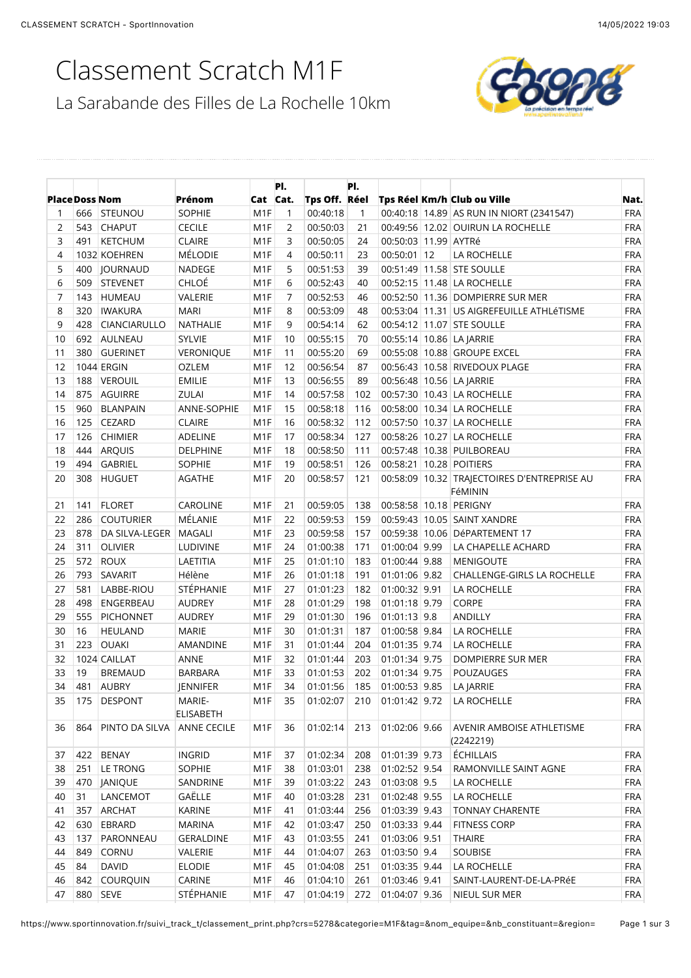# Classement Scratch M1F



|                       |     |                     |                            |                  | PI.            |               | PI.          |                      |                                               |            |
|-----------------------|-----|---------------------|----------------------------|------------------|----------------|---------------|--------------|----------------------|-----------------------------------------------|------------|
| <b>Place Doss Nom</b> |     |                     | Prénom                     | Cat Cat.         |                | Tps Off. Réel |              |                      | Tps Réel Km/h Club ou Ville                   | Nat.       |
| 1                     |     | 666 STEUNOU         | <b>SOPHIE</b>              | M <sub>1</sub> F | 1              | 00:40:18      | $\mathbf{1}$ |                      | 00:40:18 14.89 AS RUN IN NIORT (2341547)      | <b>FRA</b> |
| $\overline{2}$        | 543 | <b>CHAPUT</b>       | <b>CECILE</b>              | M <sub>1</sub> F | 2              | 00:50:03      | 21           |                      | 00:49:56 12.02 OUIRUN LA ROCHELLE             | <b>FRA</b> |
| 3                     | 491 | <b>KETCHUM</b>      | <b>CLAIRE</b>              | M <sub>1</sub> F | 3              | 00:50:05      | 24           | 00:50:03 11.99 AYTRé |                                               | <b>FRA</b> |
| 4                     |     | 1032 KOEHREN        | MÉLODIE                    | M <sub>1</sub> F | 4              | 00:50:11      | 23           | 00:50:01 12          | LA ROCHELLE                                   | <b>FRA</b> |
| 5                     | 400 | <b>JOURNAUD</b>     | NADEGE                     | M <sub>1</sub> F | 5              | 00:51:53      | 39           |                      | 00:51:49 11.58 STE SOULLE                     | <b>FRA</b> |
| 6                     | 509 | <b>STEVENET</b>     | CHLOÉ                      | M <sub>1</sub> F | 6              | 00:52:43      | 40           |                      | 00:52:15 11.48 LA ROCHELLE                    | <b>FRA</b> |
| 7                     | 143 | <b>HUMEAU</b>       | VALERIE                    | M <sub>1</sub> F | $\overline{7}$ | 00:52:53      | 46           |                      | 00:52:50 11.36 DOMPIERRE SUR MER              | <b>FRA</b> |
| 8                     | 320 | <b>IWAKURA</b>      | <b>MARI</b>                | M <sub>1</sub> F | 8              | 00:53:09      | 48           |                      | 00:53:04   11.31   US AIGREFEUILLE ATHLÉTISME | <b>FRA</b> |
| 9                     | 428 | <b>CIANCIARULLO</b> | NATHALIE                   | M <sub>1</sub> F | 9              | 00:54:14      | 62           |                      | 00:54:12 11.07 STE SOULLE                     | <b>FRA</b> |
| 10                    | 692 | AULNEAU             | <b>SYLVIE</b>              | M <sub>1</sub> F | 10             | 00:55:15      | 70           |                      | 00:55:14 10.86 LA JARRIE                      | <b>FRA</b> |
| 11                    | 380 | <b>GUERINET</b>     | <b>VERONIQUE</b>           | M <sub>1</sub> F | 11             | 00:55:20      | 69           |                      | 00:55:08 10.88 GROUPE EXCEL                   | <b>FRA</b> |
| 12                    |     | 1044 ERGIN          | <b>OZLEM</b>               | M <sub>1</sub> F | 12             | 00:56:54      | 87           |                      | 00:56:43 10.58 RIVEDOUX PLAGE                 | <b>FRA</b> |
| 13                    | 188 | <b>VEROUIL</b>      | <b>EMILIE</b>              | M <sub>1</sub> F | 13             | 00:56:55      | 89           |                      | 00:56:48 10.56 LA JARRIE                      | <b>FRA</b> |
| 14                    | 875 | <b>AGUIRRE</b>      | ZULAI                      | M <sub>1</sub> F | 14             | 00:57:58      | 102          |                      | 00:57:30 10.43 LA ROCHELLE                    | <b>FRA</b> |
| 15                    | 960 | <b>BLANPAIN</b>     | ANNE-SOPHIE                | M <sub>1</sub> F | 15             | 00:58:18      | 116          |                      | 00:58:00 10.34 LA ROCHELLE                    | <b>FRA</b> |
| 16                    | 125 | <b>CEZARD</b>       | <b>CLAIRE</b>              | M <sub>1</sub> F | 16             | 00:58:32      | 112          |                      | 00:57:50   10.37   LA ROCHELLE                | <b>FRA</b> |
| 17                    | 126 | <b>CHIMIER</b>      | <b>ADELINE</b>             | M <sub>1</sub> F | 17             | 00:58:34      | 127          |                      | 00:58:26 10.27 LA ROCHELLE                    | <b>FRA</b> |
| 18                    | 444 | <b>ARQUIS</b>       | <b>DELPHINE</b>            | M <sub>1</sub> F | 18             | 00:58:50      | 111          |                      | 00:57:48 10.38 PUILBOREAU                     | <b>FRA</b> |
| 19                    | 494 | <b>GABRIEL</b>      | SOPHIE                     | M <sub>1</sub> F | 19             | 00:58:51      | 126          |                      | 00:58:21 10.28 POITIERS                       | <b>FRA</b> |
| 20                    | 308 | <b>HUGUET</b>       | AGATHE                     | M <sub>1</sub> F | 20             | 00:58:57      | 121          |                      | 00:58:09 10.32 TRAJECTOIRES D'ENTREPRISE AU   | <b>FRA</b> |
|                       |     |                     |                            |                  |                |               |              |                      | FéMININ                                       |            |
| 21                    | 141 | <b>FLORET</b>       | <b>CAROLINE</b>            | M <sub>1</sub> F | 21             | 00:59:05      | 138          |                      | 00:58:58 10.18 PERIGNY                        | <b>FRA</b> |
| 22                    | 286 | <b>COUTURIER</b>    | MÉLANIE                    | M <sub>1</sub> F | 22             | 00:59:53      | 159          |                      | 00:59:43 10.05 SAINT XANDRE                   | <b>FRA</b> |
| 23                    | 878 | DA SILVA-LEGER      | <b>MAGALI</b>              | M <sub>1</sub> F | 23             | 00:59:58      | 157          |                      | 00:59:38 10.06 DéPARTEMENT 17                 | <b>FRA</b> |
| 24                    | 311 | <b>OLIVIER</b>      | LUDIVINE                   | M <sub>1</sub> F | 24             | 01:00:38      | 171          | 01:00:04 9.99        | LA CHAPELLE ACHARD                            | <b>FRA</b> |
| 25                    | 572 | <b>ROUX</b>         | LAETITIA                   | M <sub>1</sub> F | 25             | 01:01:10      | 183          | 01:00:44 9.88        | <b>MENIGOUTE</b>                              | <b>FRA</b> |
| 26                    | 793 | SAVARIT             | Hélène                     | M <sub>1</sub> F | 26             | 01:01:18      | 191          | 01:01:06 9.82        | CHALLENGE-GIRLS LA ROCHELLE                   | <b>FRA</b> |
| 27                    | 581 | LABBE-RIOU          | STÉPHANIE                  | M <sub>1</sub> F | 27             | 01:01:23      | 182          | 01:00:32 9.91        | LA ROCHELLE                                   | <b>FRA</b> |
| 28                    | 498 | ENGERBEAU           | <b>AUDREY</b>              | M <sub>1</sub> F | 28             | 01:01:29      | 198          | 01:01:18 9.79        | CORPE                                         | <b>FRA</b> |
| 29                    | 555 | <b>PICHONNET</b>    | <b>AUDREY</b>              | M <sub>1</sub> F | 29             | 01:01:30      | 196          | $01:01:13$ 9.8       | <b>ANDILLY</b>                                | <b>FRA</b> |
| 30                    | 16  | <b>HEULAND</b>      | <b>MARIE</b>               | M <sub>1</sub> F | 30             | 01:01:31      | 187          | 01:00:58 9.84        | LA ROCHELLE                                   | <b>FRA</b> |
| 31                    | 223 | <b>OUAKI</b>        | AMANDINE                   | M <sub>1</sub> F | 31             | 01:01:44      | 204          | 01:01:35 9.74        | LA ROCHELLE                                   | <b>FRA</b> |
| 32                    |     | 1024 CAILLAT        | ANNE                       | M <sub>1</sub> F | 32             | 01:01:44      | 203          | 01:01:34 9.75        | DOMPIERRE SUR MER                             | <b>FRA</b> |
| 33                    | 19  | <b>BREMAUD</b>      | <b>BARBARA</b>             | M <sub>1</sub> F | 33             | 01:01:53      | 202          | 01:01:34 9.75        | POUZAUGES                                     | <b>FRA</b> |
| 34                    | 481 | <b>AUBRY</b>        | <b>JENNIFER</b>            | M1F              | 34             | 01:01:56      | 185          | 01:00:53 9.85        | LA JARRIE                                     | <b>FRA</b> |
| 35                    | 175 | <b>DESPONT</b>      | MARIE-<br><b>ELISABETH</b> | M1F              | 35             | 01:02:07      | 210          | $01:01:42$ 9.72      | LA ROCHELLE                                   | <b>FRA</b> |
| 36                    | 864 | PINTO DA SILVA      | ANNE CECILE                | M <sub>1</sub> F | 36             | 01:02:14      | 213          | 01:02:06 9.66        | AVENIR AMBOISE ATHLETISME<br>(2242219)        | <b>FRA</b> |
| 37                    |     | 422 BENAY           | <b>INGRID</b>              | M1F              | 37             | 01:02:34      | 208          | 01:01:39 9.73        | ÉCHILLAIS                                     | <b>FRA</b> |
| 38                    | 251 | LE TRONG            | SOPHIE                     | M <sub>1</sub> F | 38             | 01:03:01      | 238          | 01:02:52 9.54        | RAMONVILLE SAINT AGNE                         | <b>FRA</b> |
| 39                    | 470 | <b>JANIQUE</b>      | SANDRINE                   | M <sub>1</sub> F | 39             | 01:03:22      | 243          | 01:03:08 9.5         | LA ROCHELLE                                   | <b>FRA</b> |
| 40                    | 31  | LANCEMOT            | GAËLLE                     | M1F              | 40             | 01:03:28      | 231          | 01:02:48 9.55        | LA ROCHELLE                                   | <b>FRA</b> |
| 41                    | 357 | <b>ARCHAT</b>       | KARINE                     | M1F              |                | 01:03:44      | 256          | 01:03:39 9.43        | <b>TONNAY CHARENTE</b>                        | <b>FRA</b> |
| 42                    |     | 630 EBRARD          | <b>MARINA</b>              | M <sub>1</sub> F | 41<br>42       | 01:03:47      | 250          | 01:03:33 9.44        | <b>FITNESS CORP</b>                           | <b>FRA</b> |
|                       |     |                     |                            |                  |                |               |              |                      |                                               |            |
| 43                    | 137 | PARONNEAU           | <b>GERALDINE</b>           | M <sub>1</sub> F | 43             | 01:03:55      | 241          | 01:03:06 9.51        | <b>THAIRE</b>                                 | <b>FRA</b> |
| 44                    | 849 | CORNU               | VALERIE                    | M1F              | 44             | 01:04:07      | 263          | 01:03:50 9.4         | SOUBISE                                       | <b>FRA</b> |
| 45                    | 84  | <b>DAVID</b>        | <b>ELODIE</b>              | M <sub>1</sub> F | 45             | 01:04:08      | 251          | 01:03:35 9.44        | LA ROCHELLE                                   | <b>FRA</b> |
| 46                    |     | 842 COURQUIN        | CARINE                     | M <sub>1</sub> F | 46             | 01:04:10      | 261          | 01:03:46 9.41        | SAINT-LAURENT-DE-LA-PRéE                      | <b>FRA</b> |
| 47                    |     | 880 SEVE            | STÉPHANIE                  | M <sub>1</sub> F | 47             | 01:04:19      | 272          | 01:04:07 9.36        | NIEUL SUR MER                                 | <b>FRA</b> |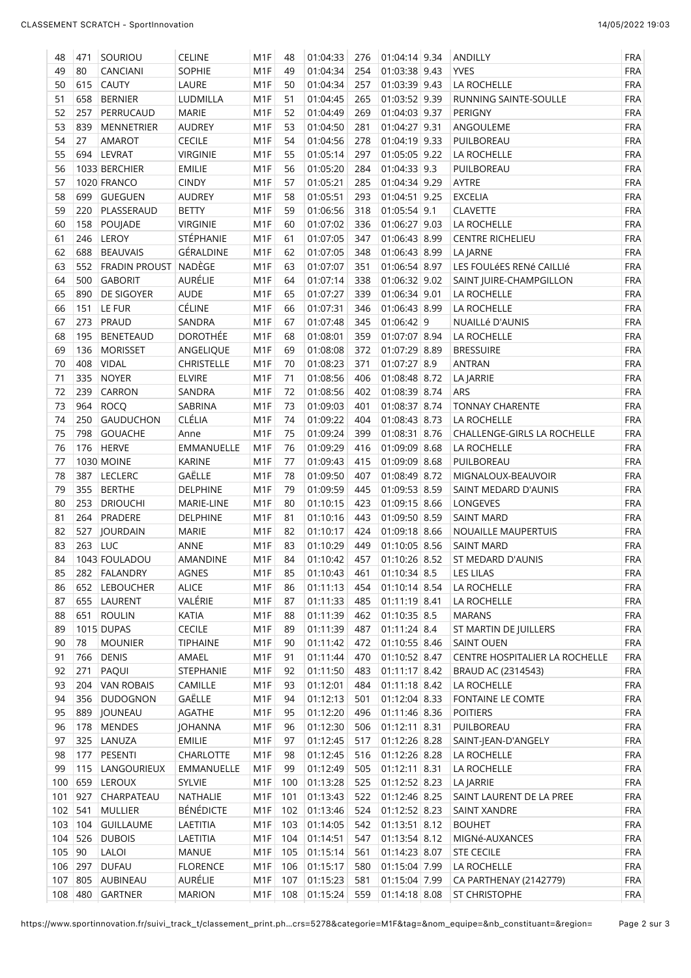| 48  | 471     | SOURIOU           | <b>CELINE</b>     | M <sub>1</sub> F | 48  | 01:04:33     | 276 | 01:04:14 9.34   | ANDILLY                        | <b>FRA</b> |
|-----|---------|-------------------|-------------------|------------------|-----|--------------|-----|-----------------|--------------------------------|------------|
| 49  | 80      | CANCIANI          | <b>SOPHIE</b>     | M <sub>1</sub> F | 49  | 01:04:34     | 254 | 01:03:38 9.43   | <b>YVES</b>                    | <b>FRA</b> |
| 50  | 615     | <b>CAUTY</b>      | LAURE             | M <sub>1</sub> F | 50  | 01:04:34     | 257 | 01:03:39 9.43   | LA ROCHELLE                    | <b>FRA</b> |
| 51  | 658     | <b>BERNIER</b>    | LUDMILLA          | M <sub>1</sub> F | 51  | 01:04:45     | 265 | 01:03:52 9.39   | RUNNING SAINTE-SOULLE          | <b>FRA</b> |
| 52  | 257     | PERRUCAUD         | <b>MARIE</b>      | M <sub>1</sub> F | 52  | 01:04:49     | 269 | 01:04:03 9.37   | PERIGNY                        | <b>FRA</b> |
| 53  | 839     | <b>MENNETRIER</b> | <b>AUDREY</b>     | M <sub>1</sub> F | 53  | 01:04:50     | 281 | 01:04:27 9.31   | ANGOULEME                      | <b>FRA</b> |
| 54  | 27      | AMAROT            | <b>CECILE</b>     | M <sub>1</sub> F | 54  | 01:04:56     | 278 | 01:04:19 9.33   | PUILBOREAU                     | <b>FRA</b> |
| 55  |         | 694 LEVRAT        | <b>VIRGINIE</b>   | M <sub>1</sub> F | 55  | 01:05:14     | 297 | 01:05:05 9.22   | LA ROCHELLE                    | <b>FRA</b> |
| 56  |         | 1033 BERCHIER     | <b>EMILIE</b>     | M <sub>1</sub> F | 56  | 01:05:20     | 284 | $01:04:33$ 9.3  | PUILBOREAU                     | <b>FRA</b> |
| 57  |         |                   |                   |                  |     |              | 285 | 01:04:34 9.29   |                                | <b>FRA</b> |
|     |         | 1020 FRANCO       | <b>CINDY</b>      | M <sub>1</sub> F | 57  | 01:05:21     |     |                 | AYTRE                          |            |
| 58  | 699     | <b>GUEGUEN</b>    | <b>AUDREY</b>     | M <sub>1</sub> F | 58  | 01:05:51     | 293 | 01:04:51 9.25   | <b>EXCELIA</b>                 | <b>FRA</b> |
| 59  | 220     | PLASSERAUD        | <b>BETTY</b>      | M <sub>1</sub> F | 59  | 01:06:56     | 318 | $01:05:54$ 9.1  | <b>CLAVETTE</b>                | <b>FRA</b> |
| 60  | 158     | POUJADE           | <b>VIRGINIE</b>   | M <sub>1</sub> F | 60  | 01:07:02     | 336 | 01:06:27 9.03   | LA ROCHELLE                    | <b>FRA</b> |
| 61  | 246     | <b>LEROY</b>      | STÉPHANIE         | M <sub>1</sub> F | 61  | 01:07:05     | 347 | 01:06:43 8.99   | <b>CENTRE RICHELIEU</b>        | <b>FRA</b> |
| 62  | 688     | <b>BEAUVAIS</b>   | GÉRALDINE         | M <sub>1</sub> F | 62  | 01:07:05     | 348 | 01:06:43 8.99   | LA JARNE                       | <b>FRA</b> |
| 63  | 552     | FRADIN PROUST     | NADÈGE            | M <sub>1</sub> F | 63  | 01:07:07     | 351 | $01:06:54$ 8.97 | LES FOULÉES RENÉ CAILLIÉ       | <b>FRA</b> |
| 64  | 500     | <b>GABORIT</b>    | AURÉLIE           | M <sub>1</sub> F | 64  | 01:07:14     | 338 | 01:06:32 9.02   | SAINT JUIRE-CHAMPGILLON        | <b>FRA</b> |
| 65  | 890     | DE SIGOYER        | AUDE              | M <sub>1</sub> F | 65  | 01:07:27     | 339 | 01:06:34 9.01   | LA ROCHELLE                    | <b>FRA</b> |
| 66  | 151     | LE FUR            | CÉLINE            | M <sub>1</sub> F | 66  | 01:07:31     | 346 | 01:06:43 8.99   | LA ROCHELLE                    | <b>FRA</b> |
| 67  | 273     | PRAUD             | SANDRA            | M <sub>1</sub> F | 67  | 01:07:48     | 345 | $01:06:42$ 9    | NUAILLé D'AUNIS                | <b>FRA</b> |
| 68  | 195     | <b>BENETEAUD</b>  | DOROTHÉE          | M <sub>1</sub> F | 68  | 01:08:01     | 359 | 01:07:07 8.94   | LA ROCHELLE                    | <b>FRA</b> |
| 69  | 136     | <b>MORISSET</b>   | ANGELIQUE         | M <sub>1</sub> F | 69  | 01:08:08     | 372 | 01:07:29 8.89   | <b>BRESSUIRE</b>               | <b>FRA</b> |
| 70  | 408     | <b>VIDAL</b>      | <b>CHRISTELLE</b> | M <sub>1</sub> F | 70  | 01:08:23     | 371 | $01:07:27$ 8.9  | <b>ANTRAN</b>                  | <b>FRA</b> |
| 71  | 335     | <b>NOYER</b>      | <b>ELVIRE</b>     | M <sub>1</sub> F | 71  | 01:08:56     | 406 | 01:08:48 8.72   | LA JARRIE                      | <b>FRA</b> |
| 72  | 239     | CARRON            | SANDRA            | M <sub>1</sub> F | 72  | 01:08:56     | 402 | 01:08:39 8.74   | ARS                            | <b>FRA</b> |
| 73  | 964     | <b>ROCQ</b>       | SABRINA           | M <sub>1</sub> F | 73  | 01:09:03     | 401 | 01:08:37 8.74   | <b>TONNAY CHARENTE</b>         | <b>FRA</b> |
| 74  | 250     | <b>GAUDUCHON</b>  | <b>CLÉLIA</b>     | M <sub>1</sub> F | 74  | 01:09:22     | 404 | 01:08:43 8.73   | LA ROCHELLE                    | <b>FRA</b> |
| 75  | 798     | <b>GOUACHE</b>    | Anne              | M <sub>1</sub> F | 75  | 01:09:24     | 399 | 01:08:31 8.76   | CHALLENGE-GIRLS LA ROCHELLE    | <b>FRA</b> |
| 76  | 176     | <b>HERVE</b>      | EMMANUELLE        | M <sub>1</sub> F | 76  | 01:09:29     | 416 | 01:09:09 8.68   | LA ROCHELLE                    | <b>FRA</b> |
| 77  |         | <b>1030 MOINE</b> | <b>KARINE</b>     | M <sub>1</sub> F | 77  | 01:09:43     | 415 | 01:09:09 8.68   | PUILBOREAU                     | <b>FRA</b> |
|     | 387     |                   |                   |                  | 78  |              | 407 |                 |                                | <b>FRA</b> |
| 78  |         | <b>LECLERC</b>    | GAËLLE            | M <sub>1</sub> F |     | 01:09:50     |     | 01:08:49 8.72   | MIGNALOUX-BEAUVOIR             |            |
| 79  | 355     | <b>BERTHE</b>     | DELPHINE          | M <sub>1</sub> F | 79  | 01:09:59     | 445 | 01:09:53 8.59   | SAINT MEDARD D'AUNIS           | <b>FRA</b> |
| 80  | 253     | <b>DRIOUCHI</b>   | MARIE-LINE        | M <sub>1</sub> F | 80  | 01:10:15     | 423 | 01:09:15 8.66   | LONGEVES                       | <b>FRA</b> |
| 81  | 264     | PRADERE           | <b>DELPHINE</b>   | M <sub>1</sub> F | 81  | 01:10:16     | 443 | 01:09:50 8.59   | <b>SAINT MARD</b>              | <b>FRA</b> |
| 82  | 527     | JOURDAIN          | <b>MARIE</b>      | M <sub>1</sub> F | 82  | 01:10:17     | 424 | 01:09:18 8.66   | NOUAILLE MAUPERTUIS            | <b>FRA</b> |
| 83  | 263 LUC |                   | ANNE              | M <sub>1</sub> F | 83  | 01:10:29     | 449 | 01:10:05 8.56   | <b>SAINT MARD</b>              | <b>FRA</b> |
| 84  |         | 1043 FOULADOU     | AMANDINE          | M1F              | 84  | 01:10:42     | 457 | 01:10:26 8.52   | ST MEDARD D'AUNIS              | <b>FRA</b> |
| 85  | 282     | <b>FALANDRY</b>   | AGNES             | M1F              | 85  | 01:10:43     | 461 | $01:10:34$ 8.5  | <b>LES LILAS</b>               | <b>FRA</b> |
| 86  | 652     | LEBOUCHER         | <b>ALICE</b>      | M1F              | 86  | 01:11:13     | 454 | 01:10:14 8.54   | LA ROCHELLE                    | FRA        |
| 87  | 655     | LAURENT           | VALÉRIE           | M1F              | 87  | 01:11:33     | 485 | 01:11:19 8.41   | LA ROCHELLE                    | <b>FRA</b> |
| 88  | 651     | <b>ROULIN</b>     | KATIA             | M1F              | 88  | 01:11:39     | 462 | $01:10:35$ 8.5  | <b>MARANS</b>                  | <b>FRA</b> |
| 89  |         | 1015 DUPAS        | <b>CECILE</b>     | M1F              | 89  | 01:11:39     | 487 | $01:11:24$ 8.4  | ST MARTIN DE JUILLERS          | <b>FRA</b> |
| 90  | 78      | <b>MOUNIER</b>    | <b>TIPHAINE</b>   | M1F              | 90  | 01:11:42     | 472 | 01:10:55 8.46   | <b>SAINT OUEN</b>              | <b>FRA</b> |
| 91  | 766     | <b>DENIS</b>      | AMAEL             | M1F              | 91  | 01:11:44     | 470 | 01:10:52 8.47   | CENTRE HOSPITALIER LA ROCHELLE | <b>FRA</b> |
| 92  | 271     | PAQUI             | STEPHANIE         | M1F              | 92  | 01:11:50     | 483 | 01:11:17 8.42   | BRAUD AC (2314543)             | <b>FRA</b> |
| 93  | 204     | <b>VAN ROBAIS</b> | CAMILLE           | M1F              | 93  | 01:12:01     | 484 | 01:11:18 8.42   | LA ROCHELLE                    | FRA        |
| 94  | 356     | <b>DUDOGNON</b>   | GAËLLE            | M1F              | 94  | 01:12:13     | 501 | 01:12:04 8.33   | FONTAINE LE COMTE              | FRA        |
| 95  | 889     | JOUNEAU           | <b>AGATHE</b>     | M1F              | 95  | 01:12:20     | 496 | 01:11:46 8.36   | <b>POITIERS</b>                | FRA        |
| 96  | 178     | <b>MENDES</b>     | <b>JOHANNA</b>    | M1F              | 96  | 01:12:30     | 506 | 01:12:11 8.31   | PUILBOREAU                     | <b>FRA</b> |
| 97  | 325     | LANUZA            | <b>EMILIE</b>     | M1F              | 97  | 01:12:45     | 517 | 01:12:26 8.28   | SAINT-JEAN-D'ANGELY            | <b>FRA</b> |
| 98  | 177     | PESENTI           | CHARLOTTE         | M1F              | 98  | 01:12:45     | 516 | 01:12:26 8.28   | LA ROCHELLE                    | FRA        |
|     |         |                   |                   |                  |     |              |     |                 |                                | <b>FRA</b> |
| 99  | 115     | LANGOURIEUX       | EMMANUELLE        | M <sub>1</sub> F | 99  | 01:12:49     | 505 | 01:12:11 8.31   | LA ROCHELLE                    |            |
| 100 | 659     | LEROUX            | <b>SYLVIE</b>     | M1F              | 100 | 01:13:28     | 525 | 01:12:52 8.23   | LA JARRIE                      | <b>FRA</b> |
| 101 | 927     | CHARPATEAU        | NATHALIE          | M1F              | 101 | 01:13:43     | 522 | 01:12:46 8.25   | SAINT LAURENT DE LA PREE       | <b>FRA</b> |
| 102 | 541     | <b>MULLIER</b>    | <b>BÉNÉDICTE</b>  | M1F              | 102 | 01:13:46     | 524 | 01:12:52 8.23   | SAINT XANDRE                   | <b>FRA</b> |
| 103 | $104$   | <b>GUILLAUME</b>  | LAETITIA          | M1F              | 103 | 01:14:05     | 542 | $01:13:51$ 8.12 | <b>BOUHET</b>                  | <b>FRA</b> |
| 104 | 526     | <b>DUBOIS</b>     | LAETITIA          | M1F              | 104 | 01:14:51     | 547 | 01:13:54 8.12   | MIGNé-AUXANCES                 | <b>FRA</b> |
| 105 | 90      | LALOI             | <b>MANUE</b>      | M1F              | 105 | 01:15:14     | 561 | 01:14:23 8.07   | STE CECILE                     | <b>FRA</b> |
|     | 106 297 | <b>DUFAU</b>      | <b>FLORENCE</b>   | M1F              | 106 | 01:15:17     | 580 | 01:15:04 7.99   | LA ROCHELLE                    | <b>FRA</b> |
| 107 |         | 805 AUBINEAU      | AURÉLIE           | M1F              | 107 | 01:15:23     | 581 | 01:15:04 7.99   | CA PARTHENAY (2142779)         | <b>FRA</b> |
|     |         | 108 480 GARTNER   | <b>MARION</b>     | M1F              | 108 | 01:15:24 559 |     | $01:14:18$ 8.08 | <b>ST CHRISTOPHE</b>           | <b>FRA</b> |

https://www.sportinnovation.fr/suivi\_track\_t/classement\_print.ph…crs=5278&categorie=M1F&tag=&nom\_equipe=&nb\_constituant=&region= Page 2 sur 3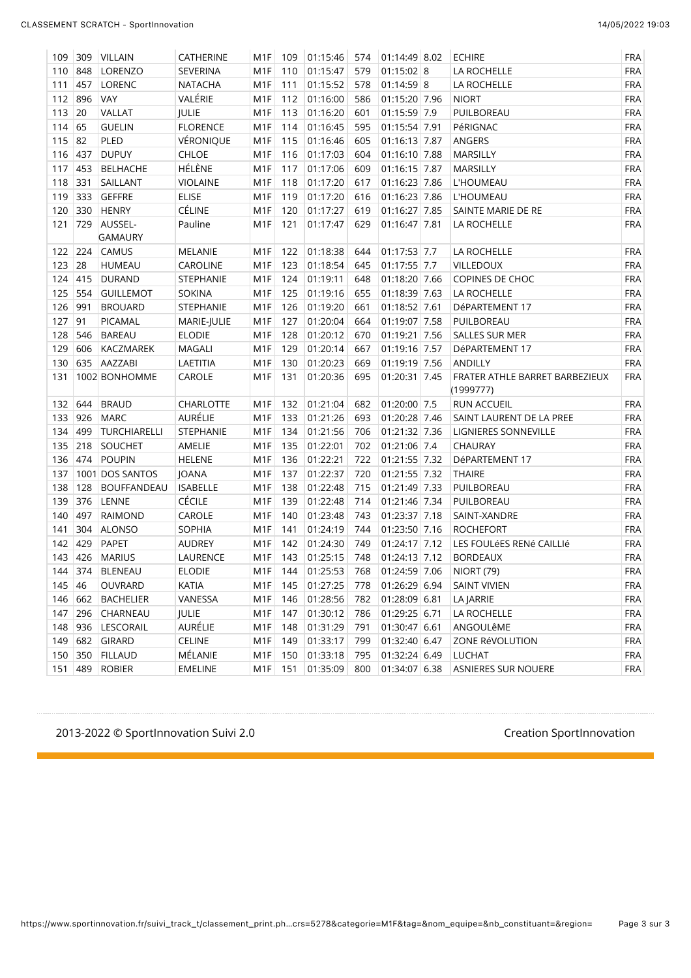| 109 | 309     | VILLAIN             | <b>CATHERINE</b> | M1F              | 109 | 01:15:46 | 574 | 01:14:49 8.02 | <b>ECHIRE</b>                               | <b>FRA</b> |
|-----|---------|---------------------|------------------|------------------|-----|----------|-----|---------------|---------------------------------------------|------------|
| 110 | 848     | LORENZO             | SEVERINA         | M <sub>1</sub> F | 110 | 01:15:47 | 579 | $01:15:02$ 8  | LA ROCHELLE                                 | <b>FRA</b> |
| 111 | 457     | LORENC              | <b>NATACHA</b>   | M <sub>1</sub> F | 111 | 01:15:52 | 578 | $01:14:59$ 8  | LA ROCHELLE                                 | <b>FRA</b> |
|     | 112 896 | <b>VAY</b>          | VALÉRIE          | M <sub>1</sub> F | 112 | 01:16:00 | 586 | 01:15:20 7.96 | <b>NIORT</b>                                | <b>FRA</b> |
| 113 | 20      | VALLAT              | JULIE            | M <sub>1</sub> F | 113 | 01:16:20 | 601 | 01:15:59 7.9  | PUILBOREAU                                  | <b>FRA</b> |
| 114 | 65      | <b>GUELIN</b>       | <b>FLORENCE</b>  | M <sub>1</sub> F | 114 | 01:16:45 | 595 | 01:15:54 7.91 | PéRIGNAC                                    | <b>FRA</b> |
| 115 | 82      | PLED                | VÉRONIQUE        | M <sub>1</sub> F | 115 | 01:16:46 | 605 | 01:16:13 7.87 | ANGERS                                      | <b>FRA</b> |
| 116 | 437     | <b>DUPUY</b>        | <b>CHLOE</b>     | M <sub>1</sub> F | 116 | 01:17:03 | 604 | 01:16:10 7.88 | MARSILLY                                    | <b>FRA</b> |
| 117 | 453     | <b>BELHACHE</b>     | HÉLÈNE           | M <sub>1</sub> F | 117 | 01:17:06 | 609 | 01:16:15 7.87 | <b>MARSILLY</b>                             | <b>FRA</b> |
| 118 | 331     | SAILLANT            | <b>VIOLAINE</b>  | M <sub>1</sub> F | 118 | 01:17:20 | 617 | 01:16:23 7.86 | <b>L'HOUMEAU</b>                            | <b>FRA</b> |
| 119 | 333     | <b>GEFFRE</b>       | <b>ELISE</b>     | M <sub>1</sub> F | 119 | 01:17:20 | 616 | 01:16:23 7.86 | <b>L'HOUMEAU</b>                            | <b>FRA</b> |
| 120 | 330     | <b>HENRY</b>        | CÉLINE           | M <sub>1</sub> F | 120 | 01:17:27 | 619 | 01:16:27 7.85 | SAINTE MARIE DE RE                          | <b>FRA</b> |
| 121 | 729     | AUSSEL-             | Pauline          | M <sub>1</sub> F | 121 | 01:17:47 | 629 | 01:16:47 7.81 | LA ROCHELLE                                 | <b>FRA</b> |
|     |         | <b>GAMAURY</b>      |                  |                  |     |          |     |               |                                             |            |
|     | 122 224 | <b>CAMUS</b>        | MELANIE          | M <sub>1</sub> F | 122 | 01:18:38 | 644 | 01:17:53 7.7  | LA ROCHELLE                                 | <b>FRA</b> |
| 123 | 28      | <b>HUMEAU</b>       | CAROLINE         | M <sub>1</sub> F | 123 | 01:18:54 | 645 | 01:17:55 7.7  | VILLEDOUX                                   | <b>FRA</b> |
| 124 | 415     | DURAND              | STEPHANIE        | M <sub>1</sub> F | 124 | 01:19:11 | 648 | 01:18:20 7.66 | COPINES DE CHOC                             | <b>FRA</b> |
| 125 | 554     | <b>GUILLEMOT</b>    | <b>SOKINA</b>    | M <sub>1</sub> F | 125 | 01:19:16 | 655 | 01:18:39 7.63 | LA ROCHELLE                                 | <b>FRA</b> |
| 126 | 991     | <b>BROUARD</b>      | STEPHANIE        | M <sub>1</sub> F | 126 | 01:19:20 | 661 | 01:18:52 7.61 | DéPARTEMENT 17                              | <b>FRA</b> |
| 127 | 91      | PICAMAL             | MARIE-JULIE      | M <sub>1</sub> F | 127 | 01:20:04 | 664 | 01:19:07 7.58 | PUILBOREAU                                  | <b>FRA</b> |
| 128 | 546     | <b>BAREAU</b>       | <b>ELODIE</b>    | M <sub>1</sub> F | 128 | 01:20:12 | 670 | 01:19:21 7.56 | SALLES SUR MER                              | <b>FRA</b> |
| 129 | 606     | KACZMAREK           | <b>MAGALI</b>    | M <sub>1</sub> F | 129 | 01:20:14 | 667 | 01:19:16 7.57 | DéPARTEMENT 17                              | <b>FRA</b> |
| 130 |         | 635 AAZZABI         | LAETITIA         | M <sub>1</sub> F | 130 | 01:20:23 | 669 | 01:19:19 7.56 | <b>ANDILLY</b>                              | <b>FRA</b> |
| 131 |         | 1002 BONHOMME       | CAROLE           | M <sub>1</sub> F | 131 | 01:20:36 | 695 | 01:20:31 7.45 | FRATER ATHLE BARRET BARBEZIEUX<br>(1999777) | <b>FRA</b> |
| 132 | 644     | <b>BRAUD</b>        | <b>CHARLOTTE</b> | M <sub>1</sub> F | 132 | 01:21:04 | 682 | 01:20:00 7.5  | <b>RUN ACCUEIL</b>                          | <b>FRA</b> |
| 133 | 926     | <b>MARC</b>         | AURÉLIE          | M <sub>1</sub> F | 133 | 01:21:26 | 693 | 01:20:28 7.46 | SAINT LAURENT DE LA PREE                    | <b>FRA</b> |
| 134 | 499     | <b>TURCHIARELLI</b> | STEPHANIE        | M <sub>1</sub> F | 134 | 01:21:56 | 706 | 01:21:32 7.36 | LIGNIERES SONNEVILLE                        | <b>FRA</b> |
| 135 | 218     | SOUCHET             | AMELIE           | M <sub>1</sub> F | 135 | 01:22:01 | 702 | 01:21:06 7.4  | CHAURAY                                     | <b>FRA</b> |
| 136 | 474     | <b>POUPIN</b>       | HELENE           | M <sub>1</sub> F | 136 | 01:22:21 | 722 | 01:21:55 7.32 | DéPARTEMENT 17                              | <b>FRA</b> |
| 137 |         | 1001 DOS SANTOS     | JOANA            | M <sub>1</sub> F | 137 | 01:22:37 | 720 | 01:21:55 7.32 | <b>THAIRE</b>                               | <b>FRA</b> |
| 138 | 128     | <b>BOUFFANDEAU</b>  | <b>ISABELLE</b>  | M <sub>1</sub> F | 138 | 01:22:48 | 715 | 01:21:49 7.33 | PUILBOREAU                                  | <b>FRA</b> |
| 139 | 376     | LENNE               | <b>CÉCILE</b>    | M <sub>1</sub> F | 139 | 01:22:48 | 714 | 01:21:46 7.34 | PUILBOREAU                                  | <b>FRA</b> |
| 140 | 497     | RAIMOND             | CAROLE           | M <sub>1</sub> F | 140 | 01:23:48 | 743 | 01:23:37 7.18 | SAINT-XANDRE                                | <b>FRA</b> |
| 141 | 304     | <b>ALONSO</b>       | <b>SOPHIA</b>    | M <sub>1</sub> F | 141 | 01:24:19 | 744 | 01:23:50 7.16 | <b>ROCHEFORT</b>                            | <b>FRA</b> |
| 142 | 429     | PAPET               | <b>AUDREY</b>    | M <sub>1</sub> F | 142 | 01:24:30 | 749 | 01:24:17 7.12 | LES FOULÉES RENÉ CAILLIÉ                    | <b>FRA</b> |
| 143 | 426     | <b>MARIUS</b>       | LAURENCE         | M <sub>1</sub> F | 143 | 01:25:15 | 748 | 01:24:13 7.12 | <b>BORDEAUX</b>                             | <b>FRA</b> |
|     | 144 374 | <b>BLENEAU</b>      | <b>ELODIE</b>    | M1F              | 144 | 01:25:53 | 768 | 01:24:59 7.06 | <b>NIORT (79)</b>                           | <b>FRA</b> |
| 145 | 46      | OUVRARD             | KATIA            | M1F              | 145 | 01:27:25 | 778 | 01:26:29 6.94 | <b>SAINT VIVIEN</b>                         | <b>FRA</b> |
| 146 | 662     | BACHELIER           | VANESSA          | M1F              | 146 | 01:28:56 | 782 | 01:28:09 6.81 | LA JARRIE                                   | <b>FRA</b> |
| 147 | 296     | CHARNEAU            | JULIE            | M1F              | 147 | 01:30:12 | 786 | 01:29:25 6.71 | LA ROCHELLE                                 | <b>FRA</b> |
| 148 | 936     | LESCORAIL           | AURÉLIE          | M1F              | 148 | 01:31:29 | 791 | 01:30:47 6.61 | ANGOULêME                                   | <b>FRA</b> |
| 149 |         | 682 GIRARD          | <b>CELINE</b>    | M1F              | 149 | 01:33:17 | 799 | 01:32:40 6.47 | ZONE RéVOLUTION                             | <b>FRA</b> |
|     | 150 350 | FILLAUD             | MÉLANIE          | M1F              | 150 | 01:33:18 | 795 | 01:32:24 6.49 | <b>LUCHAT</b>                               | <b>FRA</b> |
| 151 | 489     | <b>ROBIER</b>       | <b>EMELINE</b>   | M <sub>1</sub> F | 151 | 01:35:09 | 800 | 01:34:07 6.38 | <b>ASNIERES SUR NOUERE</b>                  | <b>FRA</b> |

#### 8/ 2013-2022 © SportInnovation Suivi 2.0 by Separation SportInnovation & Creation SportInnovation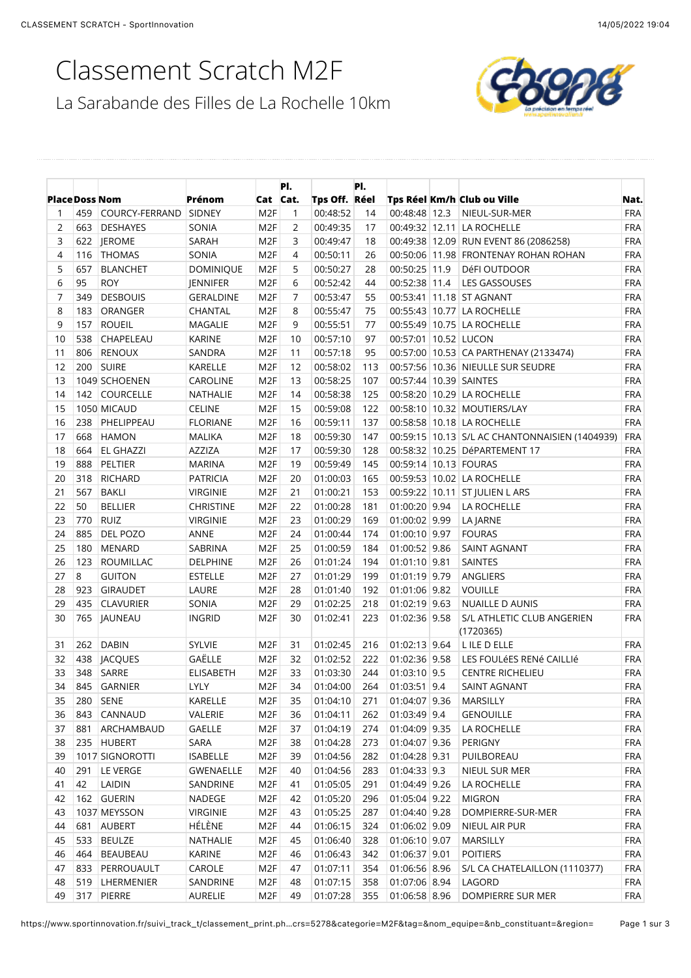# Classement Scratch M2F



| Tps Off. Réel<br><b>Place Doss Nom</b><br>Prénom<br>Cat Cat.<br>Tps Réel Km/h Club ou Ville<br><b>FRA</b><br>459<br>COURCY-FERRAND<br>SIDNEY<br>M <sub>2F</sub><br>00:48:52<br>00:48:48 12.3<br>NIEUL-SUR-MER<br>1<br>14<br>1<br><b>FRA</b><br>2<br>SONIA<br>M <sub>2F</sub><br>2<br>00:49:35<br>17<br>00:49:32 12.11 LA ROCHELLE<br>663<br><b>DESHAYES</b><br>3<br><b>FRA</b><br>622 JEROME<br>SARAH<br>M <sub>2F</sub><br>3<br>00:49:47<br>18<br>00:49:38 12.09 RUN EVENT 86 (2086258)<br><b>FRA</b><br>4<br><b>THOMAS</b><br>SONIA<br>M <sub>2F</sub><br>4<br>00:50:11<br>26<br>00:50:06 11.98 FRONTENAY ROHAN ROHAN<br>116<br>5<br><b>FRA</b><br>657<br><b>DOMINIQUE</b><br>M <sub>2F</sub><br>5<br>00:50:27<br>28<br>00:50:25 11.9<br><b>BLANCHET</b><br>DéFI OUTDOOR<br>6<br><b>FRA</b><br>95<br><b>ROY</b><br>JENNIFER<br>M <sub>2F</sub><br>6<br>00:52:42<br>44<br>00:52:38 11.4<br>LES GASSOUSES<br>7<br><b>FRA</b><br>349<br><b>DESBOUIS</b><br><b>GERALDINE</b><br>M <sub>2F</sub><br>7<br>00:53:47<br>55<br>00:53:41 11.18 ST AGNANT<br><b>FRA</b><br>8<br>183<br>M <sub>2F</sub><br>8<br>00:55:47<br>75<br>00:55:43 10.77 LA ROCHELLE<br>ORANGER<br>CHANTAL<br><b>FRA</b><br>9<br>157<br><b>ROUEIL</b><br>M <sub>2F</sub><br>9<br>00:55:51<br>77<br>00:55:49 10.75 LA ROCHELLE<br><b>MAGALIE</b><br>00:57:01 10.52 LUCON<br><b>FRA</b><br>10<br>538<br>CHAPELEAU<br><b>KARINE</b><br>M <sub>2F</sub><br>10<br>00:57:10<br>97<br><b>FRA</b><br>11<br>806<br><b>RENOUX</b><br>SANDRA<br>M <sub>2F</sub><br>11<br>00:57:18<br>95<br>00:57:00 10.53 CA PARTHENAY (2133474)<br>12<br><b>FRA</b><br>200 SUIRE<br>KARELLE<br>M <sub>2F</sub><br>12<br>00:58:02<br>113<br>00:57:56 10.36 NIEULLE SUR SEUDRE<br><b>FRA</b><br>13<br>1049 SCHOENEN<br>CAROLINE<br>M <sub>2F</sub><br>13<br>00:58:25<br>107<br>00:57:44 10.39 SAINTES<br><b>FRA</b><br>14<br>142 COURCELLE<br>NATHALIE<br>M <sub>2F</sub><br>14<br>00:58:38<br>125<br>00:58:20 10.29 LA ROCHELLE<br><b>FRA</b><br>15<br>1050 MICAUD<br><b>CELINE</b><br>M <sub>2F</sub><br>15<br>00:59:08<br>122<br>00:58:10 10.32 MOUTIERS/LAY<br>16<br><b>FRA</b><br>238<br>PHELIPPEAU<br><b>FLORIANE</b><br>M <sub>2F</sub><br>16<br>00:59:11<br>137<br>00:58:58 10.18 LA ROCHELLE<br>17<br>668<br><b>HAMON</b><br><b>MALIKA</b><br>M <sub>2F</sub><br>18<br>00:59:30<br>147<br>00:59:15 10.13 S/L AC CHANTONNAISIEN (1404939)<br><b>FRA</b><br>18<br><b>FRA</b><br>664<br><b>EL GHAZZI</b><br>AZZIZA<br>M <sub>2F</sub><br>17<br>00:59:30<br>128<br>00:58:32 10.25 DéPARTEMENT 17<br>19<br><b>FRA</b><br>888<br>PELTIER<br><b>MARINA</b><br>M <sub>2F</sub><br>19<br>00:59:49<br>145<br>00:59:14 10.13 FOURAS<br><b>FRA</b><br>20<br>318<br><b>RICHARD</b><br><b>PATRICIA</b><br>M <sub>2F</sub><br>20<br>01:00:03<br>165<br>00:59:53 10.02 LA ROCHELLE<br><b>FRA</b><br>21<br>567<br><b>BAKLI</b><br>M <sub>2F</sub><br>21<br>01:00:21<br>153<br>00:59:22 10.11 ST JULIEN L ARS<br><b>VIRGINIE</b><br>22<br>50<br><b>FRA</b><br><b>BELLIER</b><br><b>CHRISTINE</b><br>M <sub>2F</sub><br>22<br>01:00:28<br>181<br>01:00:20 9.94<br><b>LA ROCHELLE</b><br>23<br>M <sub>2F</sub><br>01:00:02 9.99<br><b>FRA</b><br>770<br><b>RUIZ</b><br>23<br>01:00:29<br>169<br><b>LA JARNE</b><br><b>VIRGINIE</b><br>885<br><b>FRA</b><br>24<br>DEL POZO<br>ANNE<br>M <sub>2F</sub><br>24<br>01:00:44<br>174<br>01:00:10 9.97<br><b>FOURAS</b><br>25<br><b>FRA</b><br>180<br><b>MENARD</b><br>SABRINA<br>M <sub>2F</sub><br>25<br>01:00:59<br>184<br>01:00:52 9.86<br><b>SAINT AGNANT</b><br>26<br><b>FRA</b><br>123<br><b>ROUMILLAC</b><br><b>DELPHINE</b><br>M <sub>2F</sub><br>26<br>01:01:24<br>194<br>01:01:10 9.81<br>SAINTES<br>27<br>8<br><b>FRA</b><br><b>GUITON</b><br><b>ESTELLE</b><br>M <sub>2F</sub><br>27<br>01:01:29<br>199<br>01:01:19 9.79<br>ANGLIERS<br>28<br><b>FRA</b><br>923<br>GIRAUDET<br>LAURE<br>M <sub>2F</sub><br>28<br>01:01:40<br>192<br>01:01:06 9.82<br><b>VOUILLE</b><br>29<br><b>FRA</b><br>435<br><b>CLAVURIER</b><br>SONIA<br>M <sub>2F</sub><br>29<br>01:02:25<br>218<br>01:02:19 9.63<br>NUAILLE D AUNIS<br><b>FRA</b><br>30<br>765 JAUNEAU<br><b>INGRID</b><br>M <sub>2F</sub><br>30<br>01:02:41<br>223<br>01:02:36 9.58<br>S/L ATHLETIC CLUB ANGERIEN<br>(1720365)<br><b>SYLVIE</b><br><b>FRA</b><br><b>DABIN</b><br>M <sub>2F</sub><br>31<br>01:02:45<br>01:02:13 9.64<br>L ILE D ELLE<br>31<br>262<br>216<br>GAËLLE<br><b>FRA</b><br>32<br>438<br><b>JACQUES</b><br>M <sub>2F</sub><br>01:02:52<br>222<br>32<br>01:02:36 9.58<br>LES FOULÉES RENÉ CAILLIÉ<br>33<br>348<br>SARRE<br>M <sub>2F</sub><br>33<br>244<br><b>FRA</b><br><b>ELISABETH</b><br>01:03:30<br>01:03:10 9.5<br><b>CENTRE RICHELIEU</b><br>M <sub>2F</sub><br>34<br>34<br>845 GARNIER<br>LYLY<br>01:04:00<br>264<br>01:03:51 9.4<br>SAINT AGNANT<br>01:04:10<br>35<br>280   SENE<br>KARELLE<br>M <sub>2F</sub><br>01:04:07 9.36<br>MARSILLY<br>35<br>271<br>01:04:11<br>01:03:49 9.4<br>36<br>843 CANNAUD<br>VALERIE<br>M <sub>2F</sub><br>262<br><b>GENOUILLE</b><br>36<br>01:04:09 9.35<br>37<br>881 ARCHAMBAUD<br>GAELLE<br>M <sub>2F</sub><br>01:04:19<br>274<br>LA ROCHELLE<br>37<br>SARA<br>01:04:07 9.36<br>38<br>235 HUBERT<br>M <sub>2F</sub><br>38<br>01:04:28<br>273<br>PERIGNY<br>01:04:28 9.31<br>39<br>1017 SIGNOROTTI<br><b>ISABELLE</b><br>M <sub>2F</sub><br>01:04:56<br>282<br>PUILBOREAU<br>39<br>$01:04:33$ 9.3<br><b>FRA</b><br>40<br>291 LE VERGE<br>GWENAELLE<br>M <sub>2F</sub><br>40<br>01:04:56<br>283<br>NIEUL SUR MER<br>42<br><b>FRA</b><br>41<br>LAIDIN<br>SANDRINE<br>M <sub>2F</sub><br>01:05:05<br>291<br>01:04:49 9.26<br>LA ROCHELLE<br>41<br>01:05:04 9.22<br>42<br>162 GUERIN<br>NADEGE<br>M <sub>2F</sub><br>01:05:20<br>296<br><b>MIGRON</b><br>42<br>01:04:40 9.28<br><b>FRA</b><br>43<br>1037 MEYSSON<br><b>VIRGINIE</b><br>M <sub>2F</sub><br>43<br>01:05:25<br>287<br>DOMPIERRE-SUR-MER<br>HÉLÈNE<br>44<br>01:06:02 9.09<br>681 AUBERT<br>M <sub>2F</sub><br>44<br>01:06:15<br>324<br>NIEUL AIR PUR<br>45<br>533<br><b>BEULZE</b><br>NATHALIE<br>M <sub>2F</sub><br>01:06:40<br>328<br>01:06:10 9.07<br>MARSILLY<br><b>FRA</b><br>45<br><b>FRA</b><br>46<br>464 BEAUBEAU<br>KARINE<br>M <sub>2F</sub><br>01:06:43<br>342<br>01:06:37 9.01<br><b>POITIERS</b><br>46<br>47<br>833 PERROUAULT<br>CAROLE<br>M <sub>2F</sub><br>01:07:11<br>354<br>01:06:56 8.96<br>S/L CA CHATELAILLON (1110377)<br><b>FRA</b><br>47<br>M <sub>2F</sub><br>LAGORD<br>48<br>519 LHERMENIER<br>SANDRINE<br>48<br>01:07:15<br>358<br>01:07:06 8.94<br><b>FRA</b><br>317 PIERRE<br>01:06:58 8.96 |    |  |         |                 | PI. |          | PI. |  |                   |            |
|-------------------------------------------------------------------------------------------------------------------------------------------------------------------------------------------------------------------------------------------------------------------------------------------------------------------------------------------------------------------------------------------------------------------------------------------------------------------------------------------------------------------------------------------------------------------------------------------------------------------------------------------------------------------------------------------------------------------------------------------------------------------------------------------------------------------------------------------------------------------------------------------------------------------------------------------------------------------------------------------------------------------------------------------------------------------------------------------------------------------------------------------------------------------------------------------------------------------------------------------------------------------------------------------------------------------------------------------------------------------------------------------------------------------------------------------------------------------------------------------------------------------------------------------------------------------------------------------------------------------------------------------------------------------------------------------------------------------------------------------------------------------------------------------------------------------------------------------------------------------------------------------------------------------------------------------------------------------------------------------------------------------------------------------------------------------------------------------------------------------------------------------------------------------------------------------------------------------------------------------------------------------------------------------------------------------------------------------------------------------------------------------------------------------------------------------------------------------------------------------------------------------------------------------------------------------------------------------------------------------------------------------------------------------------------------------------------------------------------------------------------------------------------------------------------------------------------------------------------------------------------------------------------------------------------------------------------------------------------------------------------------------------------------------------------------------------------------------------------------------------------------------------------------------------------------------------------------------------------------------------------------------------------------------------------------------------------------------------------------------------------------------------------------------------------------------------------------------------------------------------------------------------------------------------------------------------------------------------------------------------------------------------------------------------------------------------------------------------------------------------------------------------------------------------------------------------------------------------------------------------------------------------------------------------------------------------------------------------------------------------------------------------------------------------------------------------------------------------------------------------------------------------------------------------------------------------------------------------------------------------------------------------------------------------------------------------------------------------------------------------------------------------------------------------------------------------------------------------------------------------------------------------------------------------------------------------------------------------------------------------------------------------------------------------------------------------------------------------------------------------------------------------------------------------------------------------------------------------------------------------------------------------------------------------------------------------------------------------------------------------------------------------------------------------------------------------------------------------------------------------------------------------------------------------------------------------------------------------------------------------------------------------------------------------------------------------------------------------------------------------------------------------------------------------------------------------------------------------------------------------------------------------------------------------------------------------------------------------------------------------------------------------------------------------------------------------------------------------------------------------------------------------------------------------------------------------------------------------------------------------------------------------------------------------------------------------------------------------------------------------------------------------------------------------------------------------------------------------------------------------------------------------------------------------------------------------------------------------------------------------------------------------------------------------------------------------------------------------------------------------------------------------------------------------------------------------------------------------------------------------------------------------------------------------------------------------|----|--|---------|-----------------|-----|----------|-----|--|-------------------|------------|
|                                                                                                                                                                                                                                                                                                                                                                                                                                                                                                                                                                                                                                                                                                                                                                                                                                                                                                                                                                                                                                                                                                                                                                                                                                                                                                                                                                                                                                                                                                                                                                                                                                                                                                                                                                                                                                                                                                                                                                                                                                                                                                                                                                                                                                                                                                                                                                                                                                                                                                                                                                                                                                                                                                                                                                                                                                                                                                                                                                                                                                                                                                                                                                                                                                                                                                                                                                                                                                                                                                                                                                                                                                                                                                                                                                                                                                                                                                                                                                                                                                                                                                                                                                                                                                                                                                                                                                                                                                                                                                                                                                                                                                                                                                                                                                                                                                                                                                                                                                                                                                                                                                                                                                                                                                                                                                                                                                                                                                                                                                                                                                                                                                                                                                                                                                                                                                                                                                                                                                                                                                                                                                                                                                                                                                                                                                                                                                                                                                                                                                                                                                         |    |  |         |                 |     |          |     |  |                   | Nat.       |
|                                                                                                                                                                                                                                                                                                                                                                                                                                                                                                                                                                                                                                                                                                                                                                                                                                                                                                                                                                                                                                                                                                                                                                                                                                                                                                                                                                                                                                                                                                                                                                                                                                                                                                                                                                                                                                                                                                                                                                                                                                                                                                                                                                                                                                                                                                                                                                                                                                                                                                                                                                                                                                                                                                                                                                                                                                                                                                                                                                                                                                                                                                                                                                                                                                                                                                                                                                                                                                                                                                                                                                                                                                                                                                                                                                                                                                                                                                                                                                                                                                                                                                                                                                                                                                                                                                                                                                                                                                                                                                                                                                                                                                                                                                                                                                                                                                                                                                                                                                                                                                                                                                                                                                                                                                                                                                                                                                                                                                                                                                                                                                                                                                                                                                                                                                                                                                                                                                                                                                                                                                                                                                                                                                                                                                                                                                                                                                                                                                                                                                                                                                         |    |  |         |                 |     |          |     |  |                   |            |
|                                                                                                                                                                                                                                                                                                                                                                                                                                                                                                                                                                                                                                                                                                                                                                                                                                                                                                                                                                                                                                                                                                                                                                                                                                                                                                                                                                                                                                                                                                                                                                                                                                                                                                                                                                                                                                                                                                                                                                                                                                                                                                                                                                                                                                                                                                                                                                                                                                                                                                                                                                                                                                                                                                                                                                                                                                                                                                                                                                                                                                                                                                                                                                                                                                                                                                                                                                                                                                                                                                                                                                                                                                                                                                                                                                                                                                                                                                                                                                                                                                                                                                                                                                                                                                                                                                                                                                                                                                                                                                                                                                                                                                                                                                                                                                                                                                                                                                                                                                                                                                                                                                                                                                                                                                                                                                                                                                                                                                                                                                                                                                                                                                                                                                                                                                                                                                                                                                                                                                                                                                                                                                                                                                                                                                                                                                                                                                                                                                                                                                                                                                         |    |  |         |                 |     |          |     |  |                   |            |
|                                                                                                                                                                                                                                                                                                                                                                                                                                                                                                                                                                                                                                                                                                                                                                                                                                                                                                                                                                                                                                                                                                                                                                                                                                                                                                                                                                                                                                                                                                                                                                                                                                                                                                                                                                                                                                                                                                                                                                                                                                                                                                                                                                                                                                                                                                                                                                                                                                                                                                                                                                                                                                                                                                                                                                                                                                                                                                                                                                                                                                                                                                                                                                                                                                                                                                                                                                                                                                                                                                                                                                                                                                                                                                                                                                                                                                                                                                                                                                                                                                                                                                                                                                                                                                                                                                                                                                                                                                                                                                                                                                                                                                                                                                                                                                                                                                                                                                                                                                                                                                                                                                                                                                                                                                                                                                                                                                                                                                                                                                                                                                                                                                                                                                                                                                                                                                                                                                                                                                                                                                                                                                                                                                                                                                                                                                                                                                                                                                                                                                                                                                         |    |  |         |                 |     |          |     |  |                   |            |
|                                                                                                                                                                                                                                                                                                                                                                                                                                                                                                                                                                                                                                                                                                                                                                                                                                                                                                                                                                                                                                                                                                                                                                                                                                                                                                                                                                                                                                                                                                                                                                                                                                                                                                                                                                                                                                                                                                                                                                                                                                                                                                                                                                                                                                                                                                                                                                                                                                                                                                                                                                                                                                                                                                                                                                                                                                                                                                                                                                                                                                                                                                                                                                                                                                                                                                                                                                                                                                                                                                                                                                                                                                                                                                                                                                                                                                                                                                                                                                                                                                                                                                                                                                                                                                                                                                                                                                                                                                                                                                                                                                                                                                                                                                                                                                                                                                                                                                                                                                                                                                                                                                                                                                                                                                                                                                                                                                                                                                                                                                                                                                                                                                                                                                                                                                                                                                                                                                                                                                                                                                                                                                                                                                                                                                                                                                                                                                                                                                                                                                                                                                         |    |  |         |                 |     |          |     |  |                   |            |
|                                                                                                                                                                                                                                                                                                                                                                                                                                                                                                                                                                                                                                                                                                                                                                                                                                                                                                                                                                                                                                                                                                                                                                                                                                                                                                                                                                                                                                                                                                                                                                                                                                                                                                                                                                                                                                                                                                                                                                                                                                                                                                                                                                                                                                                                                                                                                                                                                                                                                                                                                                                                                                                                                                                                                                                                                                                                                                                                                                                                                                                                                                                                                                                                                                                                                                                                                                                                                                                                                                                                                                                                                                                                                                                                                                                                                                                                                                                                                                                                                                                                                                                                                                                                                                                                                                                                                                                                                                                                                                                                                                                                                                                                                                                                                                                                                                                                                                                                                                                                                                                                                                                                                                                                                                                                                                                                                                                                                                                                                                                                                                                                                                                                                                                                                                                                                                                                                                                                                                                                                                                                                                                                                                                                                                                                                                                                                                                                                                                                                                                                                                         |    |  |         |                 |     |          |     |  |                   |            |
|                                                                                                                                                                                                                                                                                                                                                                                                                                                                                                                                                                                                                                                                                                                                                                                                                                                                                                                                                                                                                                                                                                                                                                                                                                                                                                                                                                                                                                                                                                                                                                                                                                                                                                                                                                                                                                                                                                                                                                                                                                                                                                                                                                                                                                                                                                                                                                                                                                                                                                                                                                                                                                                                                                                                                                                                                                                                                                                                                                                                                                                                                                                                                                                                                                                                                                                                                                                                                                                                                                                                                                                                                                                                                                                                                                                                                                                                                                                                                                                                                                                                                                                                                                                                                                                                                                                                                                                                                                                                                                                                                                                                                                                                                                                                                                                                                                                                                                                                                                                                                                                                                                                                                                                                                                                                                                                                                                                                                                                                                                                                                                                                                                                                                                                                                                                                                                                                                                                                                                                                                                                                                                                                                                                                                                                                                                                                                                                                                                                                                                                                                                         |    |  |         |                 |     |          |     |  |                   |            |
|                                                                                                                                                                                                                                                                                                                                                                                                                                                                                                                                                                                                                                                                                                                                                                                                                                                                                                                                                                                                                                                                                                                                                                                                                                                                                                                                                                                                                                                                                                                                                                                                                                                                                                                                                                                                                                                                                                                                                                                                                                                                                                                                                                                                                                                                                                                                                                                                                                                                                                                                                                                                                                                                                                                                                                                                                                                                                                                                                                                                                                                                                                                                                                                                                                                                                                                                                                                                                                                                                                                                                                                                                                                                                                                                                                                                                                                                                                                                                                                                                                                                                                                                                                                                                                                                                                                                                                                                                                                                                                                                                                                                                                                                                                                                                                                                                                                                                                                                                                                                                                                                                                                                                                                                                                                                                                                                                                                                                                                                                                                                                                                                                                                                                                                                                                                                                                                                                                                                                                                                                                                                                                                                                                                                                                                                                                                                                                                                                                                                                                                                                                         |    |  |         |                 |     |          |     |  |                   |            |
|                                                                                                                                                                                                                                                                                                                                                                                                                                                                                                                                                                                                                                                                                                                                                                                                                                                                                                                                                                                                                                                                                                                                                                                                                                                                                                                                                                                                                                                                                                                                                                                                                                                                                                                                                                                                                                                                                                                                                                                                                                                                                                                                                                                                                                                                                                                                                                                                                                                                                                                                                                                                                                                                                                                                                                                                                                                                                                                                                                                                                                                                                                                                                                                                                                                                                                                                                                                                                                                                                                                                                                                                                                                                                                                                                                                                                                                                                                                                                                                                                                                                                                                                                                                                                                                                                                                                                                                                                                                                                                                                                                                                                                                                                                                                                                                                                                                                                                                                                                                                                                                                                                                                                                                                                                                                                                                                                                                                                                                                                                                                                                                                                                                                                                                                                                                                                                                                                                                                                                                                                                                                                                                                                                                                                                                                                                                                                                                                                                                                                                                                                                         |    |  |         |                 |     |          |     |  |                   |            |
|                                                                                                                                                                                                                                                                                                                                                                                                                                                                                                                                                                                                                                                                                                                                                                                                                                                                                                                                                                                                                                                                                                                                                                                                                                                                                                                                                                                                                                                                                                                                                                                                                                                                                                                                                                                                                                                                                                                                                                                                                                                                                                                                                                                                                                                                                                                                                                                                                                                                                                                                                                                                                                                                                                                                                                                                                                                                                                                                                                                                                                                                                                                                                                                                                                                                                                                                                                                                                                                                                                                                                                                                                                                                                                                                                                                                                                                                                                                                                                                                                                                                                                                                                                                                                                                                                                                                                                                                                                                                                                                                                                                                                                                                                                                                                                                                                                                                                                                                                                                                                                                                                                                                                                                                                                                                                                                                                                                                                                                                                                                                                                                                                                                                                                                                                                                                                                                                                                                                                                                                                                                                                                                                                                                                                                                                                                                                                                                                                                                                                                                                                                         |    |  |         |                 |     |          |     |  |                   |            |
|                                                                                                                                                                                                                                                                                                                                                                                                                                                                                                                                                                                                                                                                                                                                                                                                                                                                                                                                                                                                                                                                                                                                                                                                                                                                                                                                                                                                                                                                                                                                                                                                                                                                                                                                                                                                                                                                                                                                                                                                                                                                                                                                                                                                                                                                                                                                                                                                                                                                                                                                                                                                                                                                                                                                                                                                                                                                                                                                                                                                                                                                                                                                                                                                                                                                                                                                                                                                                                                                                                                                                                                                                                                                                                                                                                                                                                                                                                                                                                                                                                                                                                                                                                                                                                                                                                                                                                                                                                                                                                                                                                                                                                                                                                                                                                                                                                                                                                                                                                                                                                                                                                                                                                                                                                                                                                                                                                                                                                                                                                                                                                                                                                                                                                                                                                                                                                                                                                                                                                                                                                                                                                                                                                                                                                                                                                                                                                                                                                                                                                                                                                         |    |  |         |                 |     |          |     |  |                   |            |
|                                                                                                                                                                                                                                                                                                                                                                                                                                                                                                                                                                                                                                                                                                                                                                                                                                                                                                                                                                                                                                                                                                                                                                                                                                                                                                                                                                                                                                                                                                                                                                                                                                                                                                                                                                                                                                                                                                                                                                                                                                                                                                                                                                                                                                                                                                                                                                                                                                                                                                                                                                                                                                                                                                                                                                                                                                                                                                                                                                                                                                                                                                                                                                                                                                                                                                                                                                                                                                                                                                                                                                                                                                                                                                                                                                                                                                                                                                                                                                                                                                                                                                                                                                                                                                                                                                                                                                                                                                                                                                                                                                                                                                                                                                                                                                                                                                                                                                                                                                                                                                                                                                                                                                                                                                                                                                                                                                                                                                                                                                                                                                                                                                                                                                                                                                                                                                                                                                                                                                                                                                                                                                                                                                                                                                                                                                                                                                                                                                                                                                                                                                         |    |  |         |                 |     |          |     |  |                   |            |
|                                                                                                                                                                                                                                                                                                                                                                                                                                                                                                                                                                                                                                                                                                                                                                                                                                                                                                                                                                                                                                                                                                                                                                                                                                                                                                                                                                                                                                                                                                                                                                                                                                                                                                                                                                                                                                                                                                                                                                                                                                                                                                                                                                                                                                                                                                                                                                                                                                                                                                                                                                                                                                                                                                                                                                                                                                                                                                                                                                                                                                                                                                                                                                                                                                                                                                                                                                                                                                                                                                                                                                                                                                                                                                                                                                                                                                                                                                                                                                                                                                                                                                                                                                                                                                                                                                                                                                                                                                                                                                                                                                                                                                                                                                                                                                                                                                                                                                                                                                                                                                                                                                                                                                                                                                                                                                                                                                                                                                                                                                                                                                                                                                                                                                                                                                                                                                                                                                                                                                                                                                                                                                                                                                                                                                                                                                                                                                                                                                                                                                                                                                         |    |  |         |                 |     |          |     |  |                   |            |
|                                                                                                                                                                                                                                                                                                                                                                                                                                                                                                                                                                                                                                                                                                                                                                                                                                                                                                                                                                                                                                                                                                                                                                                                                                                                                                                                                                                                                                                                                                                                                                                                                                                                                                                                                                                                                                                                                                                                                                                                                                                                                                                                                                                                                                                                                                                                                                                                                                                                                                                                                                                                                                                                                                                                                                                                                                                                                                                                                                                                                                                                                                                                                                                                                                                                                                                                                                                                                                                                                                                                                                                                                                                                                                                                                                                                                                                                                                                                                                                                                                                                                                                                                                                                                                                                                                                                                                                                                                                                                                                                                                                                                                                                                                                                                                                                                                                                                                                                                                                                                                                                                                                                                                                                                                                                                                                                                                                                                                                                                                                                                                                                                                                                                                                                                                                                                                                                                                                                                                                                                                                                                                                                                                                                                                                                                                                                                                                                                                                                                                                                                                         |    |  |         |                 |     |          |     |  |                   |            |
|                                                                                                                                                                                                                                                                                                                                                                                                                                                                                                                                                                                                                                                                                                                                                                                                                                                                                                                                                                                                                                                                                                                                                                                                                                                                                                                                                                                                                                                                                                                                                                                                                                                                                                                                                                                                                                                                                                                                                                                                                                                                                                                                                                                                                                                                                                                                                                                                                                                                                                                                                                                                                                                                                                                                                                                                                                                                                                                                                                                                                                                                                                                                                                                                                                                                                                                                                                                                                                                                                                                                                                                                                                                                                                                                                                                                                                                                                                                                                                                                                                                                                                                                                                                                                                                                                                                                                                                                                                                                                                                                                                                                                                                                                                                                                                                                                                                                                                                                                                                                                                                                                                                                                                                                                                                                                                                                                                                                                                                                                                                                                                                                                                                                                                                                                                                                                                                                                                                                                                                                                                                                                                                                                                                                                                                                                                                                                                                                                                                                                                                                                                         |    |  |         |                 |     |          |     |  |                   |            |
|                                                                                                                                                                                                                                                                                                                                                                                                                                                                                                                                                                                                                                                                                                                                                                                                                                                                                                                                                                                                                                                                                                                                                                                                                                                                                                                                                                                                                                                                                                                                                                                                                                                                                                                                                                                                                                                                                                                                                                                                                                                                                                                                                                                                                                                                                                                                                                                                                                                                                                                                                                                                                                                                                                                                                                                                                                                                                                                                                                                                                                                                                                                                                                                                                                                                                                                                                                                                                                                                                                                                                                                                                                                                                                                                                                                                                                                                                                                                                                                                                                                                                                                                                                                                                                                                                                                                                                                                                                                                                                                                                                                                                                                                                                                                                                                                                                                                                                                                                                                                                                                                                                                                                                                                                                                                                                                                                                                                                                                                                                                                                                                                                                                                                                                                                                                                                                                                                                                                                                                                                                                                                                                                                                                                                                                                                                                                                                                                                                                                                                                                                                         |    |  |         |                 |     |          |     |  |                   |            |
|                                                                                                                                                                                                                                                                                                                                                                                                                                                                                                                                                                                                                                                                                                                                                                                                                                                                                                                                                                                                                                                                                                                                                                                                                                                                                                                                                                                                                                                                                                                                                                                                                                                                                                                                                                                                                                                                                                                                                                                                                                                                                                                                                                                                                                                                                                                                                                                                                                                                                                                                                                                                                                                                                                                                                                                                                                                                                                                                                                                                                                                                                                                                                                                                                                                                                                                                                                                                                                                                                                                                                                                                                                                                                                                                                                                                                                                                                                                                                                                                                                                                                                                                                                                                                                                                                                                                                                                                                                                                                                                                                                                                                                                                                                                                                                                                                                                                                                                                                                                                                                                                                                                                                                                                                                                                                                                                                                                                                                                                                                                                                                                                                                                                                                                                                                                                                                                                                                                                                                                                                                                                                                                                                                                                                                                                                                                                                                                                                                                                                                                                                                         |    |  |         |                 |     |          |     |  |                   |            |
|                                                                                                                                                                                                                                                                                                                                                                                                                                                                                                                                                                                                                                                                                                                                                                                                                                                                                                                                                                                                                                                                                                                                                                                                                                                                                                                                                                                                                                                                                                                                                                                                                                                                                                                                                                                                                                                                                                                                                                                                                                                                                                                                                                                                                                                                                                                                                                                                                                                                                                                                                                                                                                                                                                                                                                                                                                                                                                                                                                                                                                                                                                                                                                                                                                                                                                                                                                                                                                                                                                                                                                                                                                                                                                                                                                                                                                                                                                                                                                                                                                                                                                                                                                                                                                                                                                                                                                                                                                                                                                                                                                                                                                                                                                                                                                                                                                                                                                                                                                                                                                                                                                                                                                                                                                                                                                                                                                                                                                                                                                                                                                                                                                                                                                                                                                                                                                                                                                                                                                                                                                                                                                                                                                                                                                                                                                                                                                                                                                                                                                                                                                         |    |  |         |                 |     |          |     |  |                   |            |
|                                                                                                                                                                                                                                                                                                                                                                                                                                                                                                                                                                                                                                                                                                                                                                                                                                                                                                                                                                                                                                                                                                                                                                                                                                                                                                                                                                                                                                                                                                                                                                                                                                                                                                                                                                                                                                                                                                                                                                                                                                                                                                                                                                                                                                                                                                                                                                                                                                                                                                                                                                                                                                                                                                                                                                                                                                                                                                                                                                                                                                                                                                                                                                                                                                                                                                                                                                                                                                                                                                                                                                                                                                                                                                                                                                                                                                                                                                                                                                                                                                                                                                                                                                                                                                                                                                                                                                                                                                                                                                                                                                                                                                                                                                                                                                                                                                                                                                                                                                                                                                                                                                                                                                                                                                                                                                                                                                                                                                                                                                                                                                                                                                                                                                                                                                                                                                                                                                                                                                                                                                                                                                                                                                                                                                                                                                                                                                                                                                                                                                                                                                         |    |  |         |                 |     |          |     |  |                   |            |
|                                                                                                                                                                                                                                                                                                                                                                                                                                                                                                                                                                                                                                                                                                                                                                                                                                                                                                                                                                                                                                                                                                                                                                                                                                                                                                                                                                                                                                                                                                                                                                                                                                                                                                                                                                                                                                                                                                                                                                                                                                                                                                                                                                                                                                                                                                                                                                                                                                                                                                                                                                                                                                                                                                                                                                                                                                                                                                                                                                                                                                                                                                                                                                                                                                                                                                                                                                                                                                                                                                                                                                                                                                                                                                                                                                                                                                                                                                                                                                                                                                                                                                                                                                                                                                                                                                                                                                                                                                                                                                                                                                                                                                                                                                                                                                                                                                                                                                                                                                                                                                                                                                                                                                                                                                                                                                                                                                                                                                                                                                                                                                                                                                                                                                                                                                                                                                                                                                                                                                                                                                                                                                                                                                                                                                                                                                                                                                                                                                                                                                                                                                         |    |  |         |                 |     |          |     |  |                   |            |
|                                                                                                                                                                                                                                                                                                                                                                                                                                                                                                                                                                                                                                                                                                                                                                                                                                                                                                                                                                                                                                                                                                                                                                                                                                                                                                                                                                                                                                                                                                                                                                                                                                                                                                                                                                                                                                                                                                                                                                                                                                                                                                                                                                                                                                                                                                                                                                                                                                                                                                                                                                                                                                                                                                                                                                                                                                                                                                                                                                                                                                                                                                                                                                                                                                                                                                                                                                                                                                                                                                                                                                                                                                                                                                                                                                                                                                                                                                                                                                                                                                                                                                                                                                                                                                                                                                                                                                                                                                                                                                                                                                                                                                                                                                                                                                                                                                                                                                                                                                                                                                                                                                                                                                                                                                                                                                                                                                                                                                                                                                                                                                                                                                                                                                                                                                                                                                                                                                                                                                                                                                                                                                                                                                                                                                                                                                                                                                                                                                                                                                                                                                         |    |  |         |                 |     |          |     |  |                   |            |
|                                                                                                                                                                                                                                                                                                                                                                                                                                                                                                                                                                                                                                                                                                                                                                                                                                                                                                                                                                                                                                                                                                                                                                                                                                                                                                                                                                                                                                                                                                                                                                                                                                                                                                                                                                                                                                                                                                                                                                                                                                                                                                                                                                                                                                                                                                                                                                                                                                                                                                                                                                                                                                                                                                                                                                                                                                                                                                                                                                                                                                                                                                                                                                                                                                                                                                                                                                                                                                                                                                                                                                                                                                                                                                                                                                                                                                                                                                                                                                                                                                                                                                                                                                                                                                                                                                                                                                                                                                                                                                                                                                                                                                                                                                                                                                                                                                                                                                                                                                                                                                                                                                                                                                                                                                                                                                                                                                                                                                                                                                                                                                                                                                                                                                                                                                                                                                                                                                                                                                                                                                                                                                                                                                                                                                                                                                                                                                                                                                                                                                                                                                         |    |  |         |                 |     |          |     |  |                   |            |
|                                                                                                                                                                                                                                                                                                                                                                                                                                                                                                                                                                                                                                                                                                                                                                                                                                                                                                                                                                                                                                                                                                                                                                                                                                                                                                                                                                                                                                                                                                                                                                                                                                                                                                                                                                                                                                                                                                                                                                                                                                                                                                                                                                                                                                                                                                                                                                                                                                                                                                                                                                                                                                                                                                                                                                                                                                                                                                                                                                                                                                                                                                                                                                                                                                                                                                                                                                                                                                                                                                                                                                                                                                                                                                                                                                                                                                                                                                                                                                                                                                                                                                                                                                                                                                                                                                                                                                                                                                                                                                                                                                                                                                                                                                                                                                                                                                                                                                                                                                                                                                                                                                                                                                                                                                                                                                                                                                                                                                                                                                                                                                                                                                                                                                                                                                                                                                                                                                                                                                                                                                                                                                                                                                                                                                                                                                                                                                                                                                                                                                                                                                         |    |  |         |                 |     |          |     |  |                   |            |
|                                                                                                                                                                                                                                                                                                                                                                                                                                                                                                                                                                                                                                                                                                                                                                                                                                                                                                                                                                                                                                                                                                                                                                                                                                                                                                                                                                                                                                                                                                                                                                                                                                                                                                                                                                                                                                                                                                                                                                                                                                                                                                                                                                                                                                                                                                                                                                                                                                                                                                                                                                                                                                                                                                                                                                                                                                                                                                                                                                                                                                                                                                                                                                                                                                                                                                                                                                                                                                                                                                                                                                                                                                                                                                                                                                                                                                                                                                                                                                                                                                                                                                                                                                                                                                                                                                                                                                                                                                                                                                                                                                                                                                                                                                                                                                                                                                                                                                                                                                                                                                                                                                                                                                                                                                                                                                                                                                                                                                                                                                                                                                                                                                                                                                                                                                                                                                                                                                                                                                                                                                                                                                                                                                                                                                                                                                                                                                                                                                                                                                                                                                         |    |  |         |                 |     |          |     |  |                   |            |
|                                                                                                                                                                                                                                                                                                                                                                                                                                                                                                                                                                                                                                                                                                                                                                                                                                                                                                                                                                                                                                                                                                                                                                                                                                                                                                                                                                                                                                                                                                                                                                                                                                                                                                                                                                                                                                                                                                                                                                                                                                                                                                                                                                                                                                                                                                                                                                                                                                                                                                                                                                                                                                                                                                                                                                                                                                                                                                                                                                                                                                                                                                                                                                                                                                                                                                                                                                                                                                                                                                                                                                                                                                                                                                                                                                                                                                                                                                                                                                                                                                                                                                                                                                                                                                                                                                                                                                                                                                                                                                                                                                                                                                                                                                                                                                                                                                                                                                                                                                                                                                                                                                                                                                                                                                                                                                                                                                                                                                                                                                                                                                                                                                                                                                                                                                                                                                                                                                                                                                                                                                                                                                                                                                                                                                                                                                                                                                                                                                                                                                                                                                         |    |  |         |                 |     |          |     |  |                   |            |
|                                                                                                                                                                                                                                                                                                                                                                                                                                                                                                                                                                                                                                                                                                                                                                                                                                                                                                                                                                                                                                                                                                                                                                                                                                                                                                                                                                                                                                                                                                                                                                                                                                                                                                                                                                                                                                                                                                                                                                                                                                                                                                                                                                                                                                                                                                                                                                                                                                                                                                                                                                                                                                                                                                                                                                                                                                                                                                                                                                                                                                                                                                                                                                                                                                                                                                                                                                                                                                                                                                                                                                                                                                                                                                                                                                                                                                                                                                                                                                                                                                                                                                                                                                                                                                                                                                                                                                                                                                                                                                                                                                                                                                                                                                                                                                                                                                                                                                                                                                                                                                                                                                                                                                                                                                                                                                                                                                                                                                                                                                                                                                                                                                                                                                                                                                                                                                                                                                                                                                                                                                                                                                                                                                                                                                                                                                                                                                                                                                                                                                                                                                         |    |  |         |                 |     |          |     |  |                   |            |
|                                                                                                                                                                                                                                                                                                                                                                                                                                                                                                                                                                                                                                                                                                                                                                                                                                                                                                                                                                                                                                                                                                                                                                                                                                                                                                                                                                                                                                                                                                                                                                                                                                                                                                                                                                                                                                                                                                                                                                                                                                                                                                                                                                                                                                                                                                                                                                                                                                                                                                                                                                                                                                                                                                                                                                                                                                                                                                                                                                                                                                                                                                                                                                                                                                                                                                                                                                                                                                                                                                                                                                                                                                                                                                                                                                                                                                                                                                                                                                                                                                                                                                                                                                                                                                                                                                                                                                                                                                                                                                                                                                                                                                                                                                                                                                                                                                                                                                                                                                                                                                                                                                                                                                                                                                                                                                                                                                                                                                                                                                                                                                                                                                                                                                                                                                                                                                                                                                                                                                                                                                                                                                                                                                                                                                                                                                                                                                                                                                                                                                                                                                         |    |  |         |                 |     |          |     |  |                   |            |
|                                                                                                                                                                                                                                                                                                                                                                                                                                                                                                                                                                                                                                                                                                                                                                                                                                                                                                                                                                                                                                                                                                                                                                                                                                                                                                                                                                                                                                                                                                                                                                                                                                                                                                                                                                                                                                                                                                                                                                                                                                                                                                                                                                                                                                                                                                                                                                                                                                                                                                                                                                                                                                                                                                                                                                                                                                                                                                                                                                                                                                                                                                                                                                                                                                                                                                                                                                                                                                                                                                                                                                                                                                                                                                                                                                                                                                                                                                                                                                                                                                                                                                                                                                                                                                                                                                                                                                                                                                                                                                                                                                                                                                                                                                                                                                                                                                                                                                                                                                                                                                                                                                                                                                                                                                                                                                                                                                                                                                                                                                                                                                                                                                                                                                                                                                                                                                                                                                                                                                                                                                                                                                                                                                                                                                                                                                                                                                                                                                                                                                                                                                         |    |  |         |                 |     |          |     |  |                   |            |
|                                                                                                                                                                                                                                                                                                                                                                                                                                                                                                                                                                                                                                                                                                                                                                                                                                                                                                                                                                                                                                                                                                                                                                                                                                                                                                                                                                                                                                                                                                                                                                                                                                                                                                                                                                                                                                                                                                                                                                                                                                                                                                                                                                                                                                                                                                                                                                                                                                                                                                                                                                                                                                                                                                                                                                                                                                                                                                                                                                                                                                                                                                                                                                                                                                                                                                                                                                                                                                                                                                                                                                                                                                                                                                                                                                                                                                                                                                                                                                                                                                                                                                                                                                                                                                                                                                                                                                                                                                                                                                                                                                                                                                                                                                                                                                                                                                                                                                                                                                                                                                                                                                                                                                                                                                                                                                                                                                                                                                                                                                                                                                                                                                                                                                                                                                                                                                                                                                                                                                                                                                                                                                                                                                                                                                                                                                                                                                                                                                                                                                                                                                         |    |  |         |                 |     |          |     |  |                   |            |
|                                                                                                                                                                                                                                                                                                                                                                                                                                                                                                                                                                                                                                                                                                                                                                                                                                                                                                                                                                                                                                                                                                                                                                                                                                                                                                                                                                                                                                                                                                                                                                                                                                                                                                                                                                                                                                                                                                                                                                                                                                                                                                                                                                                                                                                                                                                                                                                                                                                                                                                                                                                                                                                                                                                                                                                                                                                                                                                                                                                                                                                                                                                                                                                                                                                                                                                                                                                                                                                                                                                                                                                                                                                                                                                                                                                                                                                                                                                                                                                                                                                                                                                                                                                                                                                                                                                                                                                                                                                                                                                                                                                                                                                                                                                                                                                                                                                                                                                                                                                                                                                                                                                                                                                                                                                                                                                                                                                                                                                                                                                                                                                                                                                                                                                                                                                                                                                                                                                                                                                                                                                                                                                                                                                                                                                                                                                                                                                                                                                                                                                                                                         |    |  |         |                 |     |          |     |  |                   |            |
|                                                                                                                                                                                                                                                                                                                                                                                                                                                                                                                                                                                                                                                                                                                                                                                                                                                                                                                                                                                                                                                                                                                                                                                                                                                                                                                                                                                                                                                                                                                                                                                                                                                                                                                                                                                                                                                                                                                                                                                                                                                                                                                                                                                                                                                                                                                                                                                                                                                                                                                                                                                                                                                                                                                                                                                                                                                                                                                                                                                                                                                                                                                                                                                                                                                                                                                                                                                                                                                                                                                                                                                                                                                                                                                                                                                                                                                                                                                                                                                                                                                                                                                                                                                                                                                                                                                                                                                                                                                                                                                                                                                                                                                                                                                                                                                                                                                                                                                                                                                                                                                                                                                                                                                                                                                                                                                                                                                                                                                                                                                                                                                                                                                                                                                                                                                                                                                                                                                                                                                                                                                                                                                                                                                                                                                                                                                                                                                                                                                                                                                                                                         |    |  |         |                 |     |          |     |  |                   |            |
|                                                                                                                                                                                                                                                                                                                                                                                                                                                                                                                                                                                                                                                                                                                                                                                                                                                                                                                                                                                                                                                                                                                                                                                                                                                                                                                                                                                                                                                                                                                                                                                                                                                                                                                                                                                                                                                                                                                                                                                                                                                                                                                                                                                                                                                                                                                                                                                                                                                                                                                                                                                                                                                                                                                                                                                                                                                                                                                                                                                                                                                                                                                                                                                                                                                                                                                                                                                                                                                                                                                                                                                                                                                                                                                                                                                                                                                                                                                                                                                                                                                                                                                                                                                                                                                                                                                                                                                                                                                                                                                                                                                                                                                                                                                                                                                                                                                                                                                                                                                                                                                                                                                                                                                                                                                                                                                                                                                                                                                                                                                                                                                                                                                                                                                                                                                                                                                                                                                                                                                                                                                                                                                                                                                                                                                                                                                                                                                                                                                                                                                                                                         |    |  |         |                 |     |          |     |  |                   |            |
|                                                                                                                                                                                                                                                                                                                                                                                                                                                                                                                                                                                                                                                                                                                                                                                                                                                                                                                                                                                                                                                                                                                                                                                                                                                                                                                                                                                                                                                                                                                                                                                                                                                                                                                                                                                                                                                                                                                                                                                                                                                                                                                                                                                                                                                                                                                                                                                                                                                                                                                                                                                                                                                                                                                                                                                                                                                                                                                                                                                                                                                                                                                                                                                                                                                                                                                                                                                                                                                                                                                                                                                                                                                                                                                                                                                                                                                                                                                                                                                                                                                                                                                                                                                                                                                                                                                                                                                                                                                                                                                                                                                                                                                                                                                                                                                                                                                                                                                                                                                                                                                                                                                                                                                                                                                                                                                                                                                                                                                                                                                                                                                                                                                                                                                                                                                                                                                                                                                                                                                                                                                                                                                                                                                                                                                                                                                                                                                                                                                                                                                                                                         |    |  |         |                 |     |          |     |  |                   |            |
|                                                                                                                                                                                                                                                                                                                                                                                                                                                                                                                                                                                                                                                                                                                                                                                                                                                                                                                                                                                                                                                                                                                                                                                                                                                                                                                                                                                                                                                                                                                                                                                                                                                                                                                                                                                                                                                                                                                                                                                                                                                                                                                                                                                                                                                                                                                                                                                                                                                                                                                                                                                                                                                                                                                                                                                                                                                                                                                                                                                                                                                                                                                                                                                                                                                                                                                                                                                                                                                                                                                                                                                                                                                                                                                                                                                                                                                                                                                                                                                                                                                                                                                                                                                                                                                                                                                                                                                                                                                                                                                                                                                                                                                                                                                                                                                                                                                                                                                                                                                                                                                                                                                                                                                                                                                                                                                                                                                                                                                                                                                                                                                                                                                                                                                                                                                                                                                                                                                                                                                                                                                                                                                                                                                                                                                                                                                                                                                                                                                                                                                                                                         |    |  |         |                 |     |          |     |  |                   |            |
|                                                                                                                                                                                                                                                                                                                                                                                                                                                                                                                                                                                                                                                                                                                                                                                                                                                                                                                                                                                                                                                                                                                                                                                                                                                                                                                                                                                                                                                                                                                                                                                                                                                                                                                                                                                                                                                                                                                                                                                                                                                                                                                                                                                                                                                                                                                                                                                                                                                                                                                                                                                                                                                                                                                                                                                                                                                                                                                                                                                                                                                                                                                                                                                                                                                                                                                                                                                                                                                                                                                                                                                                                                                                                                                                                                                                                                                                                                                                                                                                                                                                                                                                                                                                                                                                                                                                                                                                                                                                                                                                                                                                                                                                                                                                                                                                                                                                                                                                                                                                                                                                                                                                                                                                                                                                                                                                                                                                                                                                                                                                                                                                                                                                                                                                                                                                                                                                                                                                                                                                                                                                                                                                                                                                                                                                                                                                                                                                                                                                                                                                                                         |    |  |         |                 |     |          |     |  |                   |            |
|                                                                                                                                                                                                                                                                                                                                                                                                                                                                                                                                                                                                                                                                                                                                                                                                                                                                                                                                                                                                                                                                                                                                                                                                                                                                                                                                                                                                                                                                                                                                                                                                                                                                                                                                                                                                                                                                                                                                                                                                                                                                                                                                                                                                                                                                                                                                                                                                                                                                                                                                                                                                                                                                                                                                                                                                                                                                                                                                                                                                                                                                                                                                                                                                                                                                                                                                                                                                                                                                                                                                                                                                                                                                                                                                                                                                                                                                                                                                                                                                                                                                                                                                                                                                                                                                                                                                                                                                                                                                                                                                                                                                                                                                                                                                                                                                                                                                                                                                                                                                                                                                                                                                                                                                                                                                                                                                                                                                                                                                                                                                                                                                                                                                                                                                                                                                                                                                                                                                                                                                                                                                                                                                                                                                                                                                                                                                                                                                                                                                                                                                                                         |    |  |         |                 |     |          |     |  |                   | <b>FRA</b> |
|                                                                                                                                                                                                                                                                                                                                                                                                                                                                                                                                                                                                                                                                                                                                                                                                                                                                                                                                                                                                                                                                                                                                                                                                                                                                                                                                                                                                                                                                                                                                                                                                                                                                                                                                                                                                                                                                                                                                                                                                                                                                                                                                                                                                                                                                                                                                                                                                                                                                                                                                                                                                                                                                                                                                                                                                                                                                                                                                                                                                                                                                                                                                                                                                                                                                                                                                                                                                                                                                                                                                                                                                                                                                                                                                                                                                                                                                                                                                                                                                                                                                                                                                                                                                                                                                                                                                                                                                                                                                                                                                                                                                                                                                                                                                                                                                                                                                                                                                                                                                                                                                                                                                                                                                                                                                                                                                                                                                                                                                                                                                                                                                                                                                                                                                                                                                                                                                                                                                                                                                                                                                                                                                                                                                                                                                                                                                                                                                                                                                                                                                                                         |    |  |         |                 |     |          |     |  |                   | <b>FRA</b> |
|                                                                                                                                                                                                                                                                                                                                                                                                                                                                                                                                                                                                                                                                                                                                                                                                                                                                                                                                                                                                                                                                                                                                                                                                                                                                                                                                                                                                                                                                                                                                                                                                                                                                                                                                                                                                                                                                                                                                                                                                                                                                                                                                                                                                                                                                                                                                                                                                                                                                                                                                                                                                                                                                                                                                                                                                                                                                                                                                                                                                                                                                                                                                                                                                                                                                                                                                                                                                                                                                                                                                                                                                                                                                                                                                                                                                                                                                                                                                                                                                                                                                                                                                                                                                                                                                                                                                                                                                                                                                                                                                                                                                                                                                                                                                                                                                                                                                                                                                                                                                                                                                                                                                                                                                                                                                                                                                                                                                                                                                                                                                                                                                                                                                                                                                                                                                                                                                                                                                                                                                                                                                                                                                                                                                                                                                                                                                                                                                                                                                                                                                                                         |    |  |         |                 |     |          |     |  |                   | <b>FRA</b> |
|                                                                                                                                                                                                                                                                                                                                                                                                                                                                                                                                                                                                                                                                                                                                                                                                                                                                                                                                                                                                                                                                                                                                                                                                                                                                                                                                                                                                                                                                                                                                                                                                                                                                                                                                                                                                                                                                                                                                                                                                                                                                                                                                                                                                                                                                                                                                                                                                                                                                                                                                                                                                                                                                                                                                                                                                                                                                                                                                                                                                                                                                                                                                                                                                                                                                                                                                                                                                                                                                                                                                                                                                                                                                                                                                                                                                                                                                                                                                                                                                                                                                                                                                                                                                                                                                                                                                                                                                                                                                                                                                                                                                                                                                                                                                                                                                                                                                                                                                                                                                                                                                                                                                                                                                                                                                                                                                                                                                                                                                                                                                                                                                                                                                                                                                                                                                                                                                                                                                                                                                                                                                                                                                                                                                                                                                                                                                                                                                                                                                                                                                                                         |    |  |         |                 |     |          |     |  |                   | <b>FRA</b> |
|                                                                                                                                                                                                                                                                                                                                                                                                                                                                                                                                                                                                                                                                                                                                                                                                                                                                                                                                                                                                                                                                                                                                                                                                                                                                                                                                                                                                                                                                                                                                                                                                                                                                                                                                                                                                                                                                                                                                                                                                                                                                                                                                                                                                                                                                                                                                                                                                                                                                                                                                                                                                                                                                                                                                                                                                                                                                                                                                                                                                                                                                                                                                                                                                                                                                                                                                                                                                                                                                                                                                                                                                                                                                                                                                                                                                                                                                                                                                                                                                                                                                                                                                                                                                                                                                                                                                                                                                                                                                                                                                                                                                                                                                                                                                                                                                                                                                                                                                                                                                                                                                                                                                                                                                                                                                                                                                                                                                                                                                                                                                                                                                                                                                                                                                                                                                                                                                                                                                                                                                                                                                                                                                                                                                                                                                                                                                                                                                                                                                                                                                                                         |    |  |         |                 |     |          |     |  |                   | <b>FRA</b> |
|                                                                                                                                                                                                                                                                                                                                                                                                                                                                                                                                                                                                                                                                                                                                                                                                                                                                                                                                                                                                                                                                                                                                                                                                                                                                                                                                                                                                                                                                                                                                                                                                                                                                                                                                                                                                                                                                                                                                                                                                                                                                                                                                                                                                                                                                                                                                                                                                                                                                                                                                                                                                                                                                                                                                                                                                                                                                                                                                                                                                                                                                                                                                                                                                                                                                                                                                                                                                                                                                                                                                                                                                                                                                                                                                                                                                                                                                                                                                                                                                                                                                                                                                                                                                                                                                                                                                                                                                                                                                                                                                                                                                                                                                                                                                                                                                                                                                                                                                                                                                                                                                                                                                                                                                                                                                                                                                                                                                                                                                                                                                                                                                                                                                                                                                                                                                                                                                                                                                                                                                                                                                                                                                                                                                                                                                                                                                                                                                                                                                                                                                                                         |    |  |         |                 |     |          |     |  |                   | <b>FRA</b> |
|                                                                                                                                                                                                                                                                                                                                                                                                                                                                                                                                                                                                                                                                                                                                                                                                                                                                                                                                                                                                                                                                                                                                                                                                                                                                                                                                                                                                                                                                                                                                                                                                                                                                                                                                                                                                                                                                                                                                                                                                                                                                                                                                                                                                                                                                                                                                                                                                                                                                                                                                                                                                                                                                                                                                                                                                                                                                                                                                                                                                                                                                                                                                                                                                                                                                                                                                                                                                                                                                                                                                                                                                                                                                                                                                                                                                                                                                                                                                                                                                                                                                                                                                                                                                                                                                                                                                                                                                                                                                                                                                                                                                                                                                                                                                                                                                                                                                                                                                                                                                                                                                                                                                                                                                                                                                                                                                                                                                                                                                                                                                                                                                                                                                                                                                                                                                                                                                                                                                                                                                                                                                                                                                                                                                                                                                                                                                                                                                                                                                                                                                                                         |    |  |         |                 |     |          |     |  |                   |            |
|                                                                                                                                                                                                                                                                                                                                                                                                                                                                                                                                                                                                                                                                                                                                                                                                                                                                                                                                                                                                                                                                                                                                                                                                                                                                                                                                                                                                                                                                                                                                                                                                                                                                                                                                                                                                                                                                                                                                                                                                                                                                                                                                                                                                                                                                                                                                                                                                                                                                                                                                                                                                                                                                                                                                                                                                                                                                                                                                                                                                                                                                                                                                                                                                                                                                                                                                                                                                                                                                                                                                                                                                                                                                                                                                                                                                                                                                                                                                                                                                                                                                                                                                                                                                                                                                                                                                                                                                                                                                                                                                                                                                                                                                                                                                                                                                                                                                                                                                                                                                                                                                                                                                                                                                                                                                                                                                                                                                                                                                                                                                                                                                                                                                                                                                                                                                                                                                                                                                                                                                                                                                                                                                                                                                                                                                                                                                                                                                                                                                                                                                                                         |    |  |         |                 |     |          |     |  |                   |            |
|                                                                                                                                                                                                                                                                                                                                                                                                                                                                                                                                                                                                                                                                                                                                                                                                                                                                                                                                                                                                                                                                                                                                                                                                                                                                                                                                                                                                                                                                                                                                                                                                                                                                                                                                                                                                                                                                                                                                                                                                                                                                                                                                                                                                                                                                                                                                                                                                                                                                                                                                                                                                                                                                                                                                                                                                                                                                                                                                                                                                                                                                                                                                                                                                                                                                                                                                                                                                                                                                                                                                                                                                                                                                                                                                                                                                                                                                                                                                                                                                                                                                                                                                                                                                                                                                                                                                                                                                                                                                                                                                                                                                                                                                                                                                                                                                                                                                                                                                                                                                                                                                                                                                                                                                                                                                                                                                                                                                                                                                                                                                                                                                                                                                                                                                                                                                                                                                                                                                                                                                                                                                                                                                                                                                                                                                                                                                                                                                                                                                                                                                                                         |    |  |         |                 |     |          |     |  |                   | <b>FRA</b> |
|                                                                                                                                                                                                                                                                                                                                                                                                                                                                                                                                                                                                                                                                                                                                                                                                                                                                                                                                                                                                                                                                                                                                                                                                                                                                                                                                                                                                                                                                                                                                                                                                                                                                                                                                                                                                                                                                                                                                                                                                                                                                                                                                                                                                                                                                                                                                                                                                                                                                                                                                                                                                                                                                                                                                                                                                                                                                                                                                                                                                                                                                                                                                                                                                                                                                                                                                                                                                                                                                                                                                                                                                                                                                                                                                                                                                                                                                                                                                                                                                                                                                                                                                                                                                                                                                                                                                                                                                                                                                                                                                                                                                                                                                                                                                                                                                                                                                                                                                                                                                                                                                                                                                                                                                                                                                                                                                                                                                                                                                                                                                                                                                                                                                                                                                                                                                                                                                                                                                                                                                                                                                                                                                                                                                                                                                                                                                                                                                                                                                                                                                                                         |    |  |         |                 |     |          |     |  |                   |            |
|                                                                                                                                                                                                                                                                                                                                                                                                                                                                                                                                                                                                                                                                                                                                                                                                                                                                                                                                                                                                                                                                                                                                                                                                                                                                                                                                                                                                                                                                                                                                                                                                                                                                                                                                                                                                                                                                                                                                                                                                                                                                                                                                                                                                                                                                                                                                                                                                                                                                                                                                                                                                                                                                                                                                                                                                                                                                                                                                                                                                                                                                                                                                                                                                                                                                                                                                                                                                                                                                                                                                                                                                                                                                                                                                                                                                                                                                                                                                                                                                                                                                                                                                                                                                                                                                                                                                                                                                                                                                                                                                                                                                                                                                                                                                                                                                                                                                                                                                                                                                                                                                                                                                                                                                                                                                                                                                                                                                                                                                                                                                                                                                                                                                                                                                                                                                                                                                                                                                                                                                                                                                                                                                                                                                                                                                                                                                                                                                                                                                                                                                                                         |    |  |         |                 |     |          |     |  |                   | <b>FRA</b> |
|                                                                                                                                                                                                                                                                                                                                                                                                                                                                                                                                                                                                                                                                                                                                                                                                                                                                                                                                                                                                                                                                                                                                                                                                                                                                                                                                                                                                                                                                                                                                                                                                                                                                                                                                                                                                                                                                                                                                                                                                                                                                                                                                                                                                                                                                                                                                                                                                                                                                                                                                                                                                                                                                                                                                                                                                                                                                                                                                                                                                                                                                                                                                                                                                                                                                                                                                                                                                                                                                                                                                                                                                                                                                                                                                                                                                                                                                                                                                                                                                                                                                                                                                                                                                                                                                                                                                                                                                                                                                                                                                                                                                                                                                                                                                                                                                                                                                                                                                                                                                                                                                                                                                                                                                                                                                                                                                                                                                                                                                                                                                                                                                                                                                                                                                                                                                                                                                                                                                                                                                                                                                                                                                                                                                                                                                                                                                                                                                                                                                                                                                                                         |    |  |         |                 |     |          |     |  |                   |            |
|                                                                                                                                                                                                                                                                                                                                                                                                                                                                                                                                                                                                                                                                                                                                                                                                                                                                                                                                                                                                                                                                                                                                                                                                                                                                                                                                                                                                                                                                                                                                                                                                                                                                                                                                                                                                                                                                                                                                                                                                                                                                                                                                                                                                                                                                                                                                                                                                                                                                                                                                                                                                                                                                                                                                                                                                                                                                                                                                                                                                                                                                                                                                                                                                                                                                                                                                                                                                                                                                                                                                                                                                                                                                                                                                                                                                                                                                                                                                                                                                                                                                                                                                                                                                                                                                                                                                                                                                                                                                                                                                                                                                                                                                                                                                                                                                                                                                                                                                                                                                                                                                                                                                                                                                                                                                                                                                                                                                                                                                                                                                                                                                                                                                                                                                                                                                                                                                                                                                                                                                                                                                                                                                                                                                                                                                                                                                                                                                                                                                                                                                                                         |    |  |         |                 |     |          |     |  |                   |            |
|                                                                                                                                                                                                                                                                                                                                                                                                                                                                                                                                                                                                                                                                                                                                                                                                                                                                                                                                                                                                                                                                                                                                                                                                                                                                                                                                                                                                                                                                                                                                                                                                                                                                                                                                                                                                                                                                                                                                                                                                                                                                                                                                                                                                                                                                                                                                                                                                                                                                                                                                                                                                                                                                                                                                                                                                                                                                                                                                                                                                                                                                                                                                                                                                                                                                                                                                                                                                                                                                                                                                                                                                                                                                                                                                                                                                                                                                                                                                                                                                                                                                                                                                                                                                                                                                                                                                                                                                                                                                                                                                                                                                                                                                                                                                                                                                                                                                                                                                                                                                                                                                                                                                                                                                                                                                                                                                                                                                                                                                                                                                                                                                                                                                                                                                                                                                                                                                                                                                                                                                                                                                                                                                                                                                                                                                                                                                                                                                                                                                                                                                                                         |    |  |         |                 |     |          |     |  |                   |            |
|                                                                                                                                                                                                                                                                                                                                                                                                                                                                                                                                                                                                                                                                                                                                                                                                                                                                                                                                                                                                                                                                                                                                                                                                                                                                                                                                                                                                                                                                                                                                                                                                                                                                                                                                                                                                                                                                                                                                                                                                                                                                                                                                                                                                                                                                                                                                                                                                                                                                                                                                                                                                                                                                                                                                                                                                                                                                                                                                                                                                                                                                                                                                                                                                                                                                                                                                                                                                                                                                                                                                                                                                                                                                                                                                                                                                                                                                                                                                                                                                                                                                                                                                                                                                                                                                                                                                                                                                                                                                                                                                                                                                                                                                                                                                                                                                                                                                                                                                                                                                                                                                                                                                                                                                                                                                                                                                                                                                                                                                                                                                                                                                                                                                                                                                                                                                                                                                                                                                                                                                                                                                                                                                                                                                                                                                                                                                                                                                                                                                                                                                                                         |    |  |         |                 |     |          |     |  |                   |            |
|                                                                                                                                                                                                                                                                                                                                                                                                                                                                                                                                                                                                                                                                                                                                                                                                                                                                                                                                                                                                                                                                                                                                                                                                                                                                                                                                                                                                                                                                                                                                                                                                                                                                                                                                                                                                                                                                                                                                                                                                                                                                                                                                                                                                                                                                                                                                                                                                                                                                                                                                                                                                                                                                                                                                                                                                                                                                                                                                                                                                                                                                                                                                                                                                                                                                                                                                                                                                                                                                                                                                                                                                                                                                                                                                                                                                                                                                                                                                                                                                                                                                                                                                                                                                                                                                                                                                                                                                                                                                                                                                                                                                                                                                                                                                                                                                                                                                                                                                                                                                                                                                                                                                                                                                                                                                                                                                                                                                                                                                                                                                                                                                                                                                                                                                                                                                                                                                                                                                                                                                                                                                                                                                                                                                                                                                                                                                                                                                                                                                                                                                                                         | 49 |  | AURELIE | M <sub>2F</sub> | 49  | 01:07:28 | 355 |  | DOMPIERRE SUR MER | <b>FRA</b> |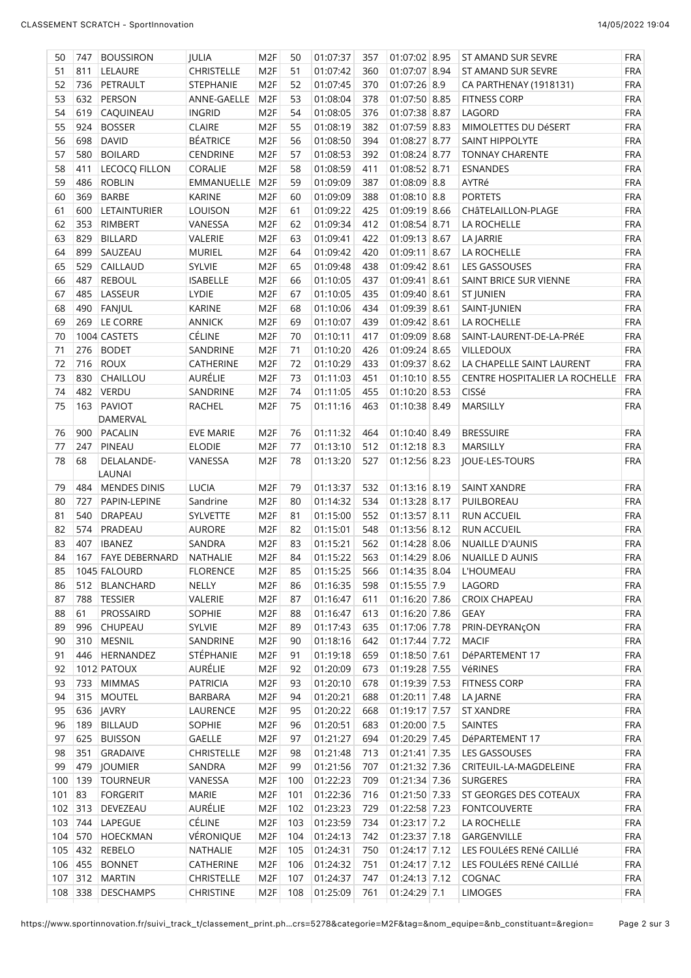| 50  | 747     | <b>BOUSSIRON</b>      | <b>JULIA</b>      | M <sub>2F</sub> | 50  | 01:07:37 | 357 | 01:07:02 8.95  | ST AMAND SUR SEVRE             | <b>FRA</b> |
|-----|---------|-----------------------|-------------------|-----------------|-----|----------|-----|----------------|--------------------------------|------------|
| 51  | 811     | LELAURE               | <b>CHRISTELLE</b> | M <sub>2F</sub> | 51  | 01:07:42 | 360 | 01:07:07 8.94  | ST AMAND SUR SEVRE             | <b>FRA</b> |
| 52  | 736     | PETRAULT              | STEPHANIE         | M <sub>2F</sub> | 52  | 01:07:45 | 370 | 01:07:26 8.9   | CA PARTHENAY (1918131)         | <b>FRA</b> |
| 53  | 632     | PERSON                | ANNE-GAELLE       | M <sub>2F</sub> | 53  | 01:08:04 | 378 | 01:07:50 8.85  | <b>FITNESS CORP</b>            | <b>FRA</b> |
| 54  | 619     | CAQUINEAU             | <b>INGRID</b>     | M <sub>2F</sub> | 54  | 01:08:05 | 376 | 01:07:38 8.87  | LAGORD                         | <b>FRA</b> |
| 55  | 924     | <b>BOSSER</b>         | <b>CLAIRE</b>     | M <sub>2F</sub> | 55  | 01:08:19 | 382 | 01:07:59 8.83  | MIMOLETTES DU DéSERT           | <b>FRA</b> |
| 56  | 698     | <b>DAVID</b>          | <b>BÉATRICE</b>   | M <sub>2F</sub> | 56  | 01:08:50 | 394 | 01:08:27 8.77  | SAINT HIPPOLYTE                | <b>FRA</b> |
| 57  | 580     | <b>BOILARD</b>        | CENDRINE          | M <sub>2F</sub> | 57  | 01:08:53 | 392 | 01:08:24 8.77  | <b>TONNAY CHARENTE</b>         | <b>FRA</b> |
| 58  | 411     | LECOCQ FILLON         | CORALIE           | M <sub>2F</sub> | 58  | 01:08:59 | 411 | 01:08:52 8.71  | <b>ESNANDES</b>                | <b>FRA</b> |
| 59  | 486     | <b>ROBLIN</b>         | EMMANUELLE        | M <sub>2F</sub> | 59  | 01:09:09 | 387 | $01:08:09$ 8.8 | AYTRé                          | <b>FRA</b> |
| 60  | 369     | <b>BARBE</b>          | <b>KARINE</b>     | M <sub>2F</sub> | 60  | 01:09:09 | 388 | $01:08:10$ 8.8 | <b>PORTETS</b>                 | <b>FRA</b> |
| 61  | 600     | <b>LETAINTURIER</b>   | LOUISON           | M <sub>2F</sub> | 61  | 01:09:22 | 425 | 01:09:19 8.66  | CHÂTELAILLON-PLAGE             | <b>FRA</b> |
| 62  | 353     | RIMBERT               | VANESSA           | M <sub>2F</sub> | 62  | 01:09:34 | 412 | 01:08:54 8.71  | LA ROCHELLE                    | <b>FRA</b> |
| 63  | 829     | <b>BILLARD</b>        | VALERIE           | M <sub>2F</sub> | 63  | 01:09:41 | 422 | 01:09:13 8.67  |                                | <b>FRA</b> |
| 64  | 899     |                       |                   | M <sub>2F</sub> |     |          | 420 |                | LA JARRIE                      | <b>FRA</b> |
|     |         | SAUZEAU               | <b>MURIEL</b>     |                 | 64  | 01:09:42 |     | 01:09:11 8.67  | LA ROCHELLE                    | <b>FRA</b> |
| 65  | 529     | CAILLAUD              | SYLVIE            | M <sub>2F</sub> | 65  | 01:09:48 | 438 | 01:09:42 8.61  | LES GASSOUSES                  |            |
| 66  | 487     | <b>REBOUL</b>         | <b>ISABELLE</b>   | M <sub>2F</sub> | 66  | 01:10:05 | 437 | 01:09:41 8.61  | SAINT BRICE SUR VIENNE         | <b>FRA</b> |
| 67  | 485     | LASSEUR               | LYDIE             | M <sub>2F</sub> | 67  | 01:10:05 | 435 | 01:09:40 8.61  | ST JUNIEN                      | <b>FRA</b> |
| 68  | 490     | FANJUL                | <b>KARINE</b>     | M <sub>2F</sub> | 68  | 01:10:06 | 434 | 01:09:39 8.61  | SAINT-JUNIEN                   | <b>FRA</b> |
| 69  | 269     | <b>LE CORRE</b>       | <b>ANNICK</b>     | M <sub>2F</sub> | 69  | 01:10:07 | 439 | 01:09:42 8.61  | LA ROCHELLE                    | <b>FRA</b> |
| 70  |         | 1004 CASTETS          | CÉLINE            | M <sub>2F</sub> | 70  | 01:10:11 | 417 | 01:09:09 8.68  | SAINT-LAURENT-DE-LA-PRéE       | <b>FRA</b> |
| 71  | 276     | <b>BODET</b>          | SANDRINE          | M <sub>2F</sub> | 71  | 01:10:20 | 426 | 01:09:24 8.65  | VILLEDOUX                      | <b>FRA</b> |
| 72  | 716     | <b>ROUX</b>           | CATHERINE         | M <sub>2F</sub> | 72  | 01:10:29 | 433 | 01:09:37 8.62  | LA CHAPELLE SAINT LAURENT      | <b>FRA</b> |
| 73  | 830     | CHAILLOU              | AURÉLIE           | M <sub>2F</sub> | 73  | 01:11:03 | 451 | 01:10:10 8.55  | CENTRE HOSPITALIER LA ROCHELLE | <b>FRA</b> |
| 74  | 482     | VERDU                 | SANDRINE          | M <sub>2F</sub> | 74  | 01:11:05 | 455 | 01:10:20 8.53  | CISSé                          | <b>FRA</b> |
| 75  | 163     | <b>PAVIOT</b>         | <b>RACHEL</b>     | M <sub>2F</sub> | 75  | 01:11:16 | 463 | 01:10:38 8.49  | MARSILLY                       | <b>FRA</b> |
|     |         | DAMERVAL              |                   |                 |     |          |     |                |                                |            |
| 76  |         | 900 PACALIN           | <b>EVE MARIE</b>  | M <sub>2F</sub> | 76  | 01:11:32 | 464 | 01:10:40 8.49  | <b>BRESSUIRE</b>               | <b>FRA</b> |
| 77  | 247     | <b>PINEAU</b>         | <b>ELODIE</b>     | M <sub>2F</sub> | 77  | 01:13:10 | 512 | $01:12:18$ 8.3 | MARSILLY                       | <b>FRA</b> |
| 78  | 68      | DELALANDE-            | VANESSA           | M <sub>2F</sub> | 78  | 01:13:20 | 527 | 01:12:56 8.23  | JOUE-LES-TOURS                 | <b>FRA</b> |
|     |         | LAUNAI                |                   |                 |     |          |     |                |                                |            |
| 79  | 484     | <b>MENDES DINIS</b>   | <b>LUCIA</b>      | M <sub>2F</sub> | 79  | 01:13:37 | 532 | 01:13:16 8.19  | <b>SAINT XANDRE</b>            | <b>FRA</b> |
| 80  | 727     | PAPIN-LEPINE          | Sandrine          | M <sub>2F</sub> | 80  | 01:14:32 | 534 | 01:13:28 8.17  | PUILBOREAU                     | <b>FRA</b> |
| 81  | 540     | <b>DRAPEAU</b>        | SYLVETTE          | M <sub>2F</sub> | 81  | 01:15:00 | 552 | 01:13:57 8.11  | RUN ACCUEIL                    | <b>FRA</b> |
| 82  |         | 574 PRADEAU           | <b>AURORE</b>     | M <sub>2F</sub> | 82  | 01:15:01 | 548 | 01:13:56 8.12  | RUN ACCUEIL                    | <b>FRA</b> |
| 83  | 407     | <b>IBANEZ</b>         | SANDRA            | M <sub>2F</sub> | 83  | 01:15:21 | 562 | 01:14:28 8.06  | <b>NUAILLE D'AUNIS</b>         | <b>FRA</b> |
| 84  | 167     | <b>FAYE DEBERNARD</b> | NATHALIE          | M <sub>2F</sub> | 84  | 01:15:22 | 563 | 01:14:29 8.06  | <b>NUAILLE D AUNIS</b>         | <b>FRA</b> |
| 85  |         | 1045 FALOURD          | <b>FLORENCE</b>   | M <sub>2F</sub> | 85  | 01:15:25 | 566 | 01:14:35 8.04  | <b>L'HOUMEAU</b>               | <b>FRA</b> |
| 86  | 512     | <b>BLANCHARD</b>      | NELLY             | M <sub>2F</sub> | 86  | 01:16:35 | 598 | $01:15:55$ 7.9 | LAGORD                         | <b>FRA</b> |
| 87  | 788     | <b>TESSIER</b>        | VALERIE           | M <sub>2F</sub> | 87  | 01:16:47 | 611 | 01:16:20 7.86  | <b>CROIX CHAPEAU</b>           | <b>FRA</b> |
| 88  | 61      | PROSSAIRD             | SOPHIE            | M <sub>2F</sub> | 88  | 01:16:47 | 613 | 01:16:20 7.86  | <b>GEAY</b>                    | <b>FRA</b> |
| 89  | 996     | <b>CHUPEAU</b>        | <b>SYLVIE</b>     | M <sub>2F</sub> | 89  | 01:17:43 | 635 | 01:17:06 7.78  | PRIN-DEYRANÇON                 | <b>FRA</b> |
| 90  | 310     | MESNIL                | SANDRINE          | M <sub>2F</sub> | 90  | 01:18:16 | 642 | 01:17:44 7.72  | <b>MACIF</b>                   | <b>FRA</b> |
| 91  | 446     | HERNANDEZ             | STÉPHANIE         | M <sub>2F</sub> | 91  | 01:19:18 | 659 | 01:18:50 7.61  | DéPARTEMENT 17                 | <b>FRA</b> |
| 92  |         | 1012 PATOUX           | AURÉLIE           | M <sub>2F</sub> | 92  | 01:20:09 | 673 | 01:19:28 7.55  | VéRINES                        | <b>FRA</b> |
| 93  | 733     | <b>MIMMAS</b>         | <b>PATRICIA</b>   | M <sub>2F</sub> |     | 01:20:10 | 678 | 01:19:39 7.53  | <b>FITNESS CORP</b>            | <b>FRA</b> |
|     |         |                       | <b>BARBARA</b>    |                 | 93  |          |     |                |                                |            |
| 94  | 315     | <b>MOUTEL</b>         |                   | M <sub>2F</sub> | 94  | 01:20:21 | 688 | 01:20:11 7.48  | LA JARNE                       | <b>FRA</b> |
| 95  | 636     | <b>JAVRY</b>          | LAURENCE          | M <sub>2F</sub> | 95  | 01:20:22 | 668 | 01:19:17 7.57  | ST XANDRE                      | <b>FRA</b> |
| 96  | 189     | <b>BILLAUD</b>        | SOPHIE            | M <sub>2F</sub> | 96  | 01:20:51 | 683 | 01:20:00 7.5   | SAINTES                        | <b>FRA</b> |
| 97  | 625     | <b>BUISSON</b>        | <b>GAELLE</b>     | M <sub>2F</sub> | 97  | 01:21:27 | 694 | 01:20:29 7.45  | DéPARTEMENT 17                 | <b>FRA</b> |
| 98  | 351     | GRADAIVE              | <b>CHRISTELLE</b> | M <sub>2F</sub> | 98  | 01:21:48 | 713 | 01:21:41 7.35  | LES GASSOUSES                  | <b>FRA</b> |
| 99  | 479     | <b>JOUMIER</b>        | SANDRA            | M <sub>2F</sub> | 99  | 01:21:56 | 707 | 01:21:32 7.36  | CRITEUIL-LA-MAGDELEINE         | <b>FRA</b> |
| 100 | 139     | <b>TOURNEUR</b>       | VANESSA           | M <sub>2F</sub> | 100 | 01:22:23 | 709 | 01:21:34 7.36  | <b>SURGERES</b>                | <b>FRA</b> |
| 101 | 83      | <b>FORGERIT</b>       | <b>MARIE</b>      | M <sub>2F</sub> | 101 | 01:22:36 | 716 | 01:21:50 7.33  | ST GEORGES DES COTEAUX         | <b>FRA</b> |
| 102 | $313$   | DEVEZEAU              | AURÉLIE           | M <sub>2F</sub> | 102 | 01:23:23 | 729 | 01:22:58 7.23  | <b>FONTCOUVERTE</b>            | <b>FRA</b> |
| 103 | 744     | LAPEGUE               | CÉLINE            | M <sub>2F</sub> | 103 | 01:23:59 | 734 | $01:23:17$ 7.2 | LA ROCHELLE                    | <b>FRA</b> |
| 104 | 570     | HOECKMAN              | VÉRONIQUE         | M <sub>2F</sub> | 104 | 01:24:13 | 742 | 01:23:37 7.18  | GARGENVILLE                    | <b>FRA</b> |
| 105 | 432     | <b>REBELO</b>         | NATHALIE          | M <sub>2F</sub> | 105 | 01:24:31 | 750 | 01:24:17 7.12  | LES FOULÉES RENÉ CAILLIÉ       | <b>FRA</b> |
| 106 | 455     | <b>BONNET</b>         | CATHERINE         | M <sub>2F</sub> | 106 | 01:24:32 | 751 | 01:24:17 7.12  | LES FOULÉES RENÉ CAILLIÉ       | <b>FRA</b> |
| 107 | 312     | <b>MARTIN</b>         | <b>CHRISTELLE</b> | M <sub>2F</sub> | 107 | 01:24:37 | 747 | 01:24:13 7.12  | COGNAC                         | <b>FRA</b> |
|     | 108 338 | <b>DESCHAMPS</b>      | CHRISTINE         | M <sub>2F</sub> | 108 | 01:25:09 | 761 | 01:24:29 7.1   | <b>LIMOGES</b>                 | <b>FRA</b> |
|     |         |                       |                   |                 |     |          |     |                |                                |            |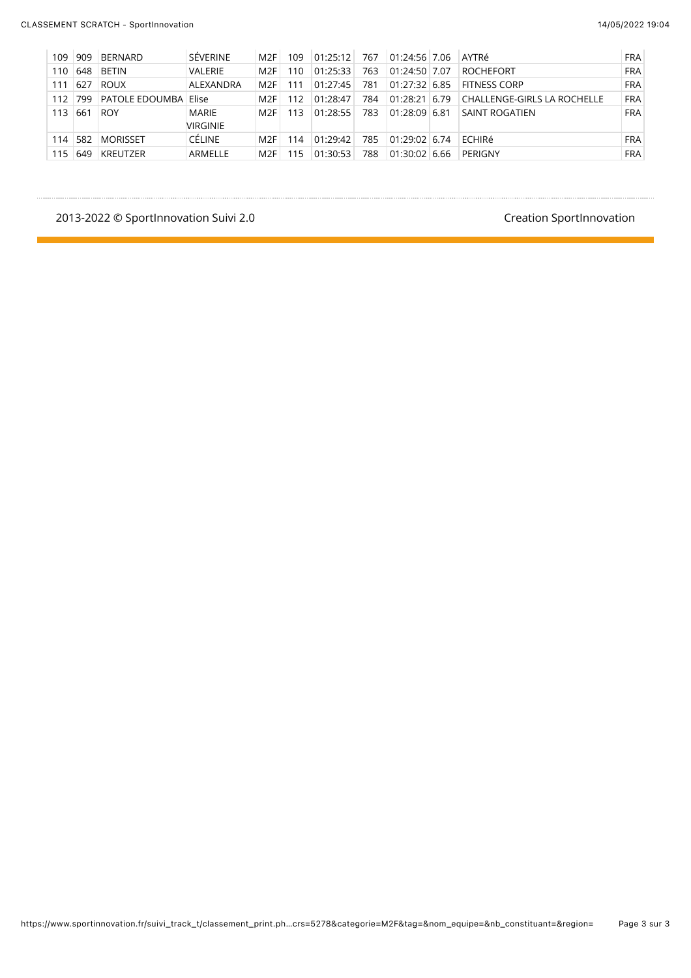| 109 | 909     | <b>BERNARD</b>              | SÉVERINE        | M2F             | 109. | 01:25:12 | 767 | 01:24:56 7.06   | AYTRé                       | <b>FRA</b> |
|-----|---------|-----------------------------|-----------------|-----------------|------|----------|-----|-----------------|-----------------------------|------------|
| 110 | 648     | <b>BETIN</b>                | <b>VALERIE</b>  | M <sub>2F</sub> | 110. | 01:25:33 | 763 | $01:24:50$ 7.07 | ROCHEFORT                   | <b>FRA</b> |
| 111 | 627     | <b>ROUX</b>                 | ALEXANDRA       | M2F             | 111  | 01:27:45 | 781 | $01:27:32$ 6.85 | <b>FITNESS CORP</b>         | <b>FRA</b> |
|     | 112 799 | <b>PATOLE EDOUMBA Elise</b> |                 | M2F             | 112  | 01:28:47 | 784 | 01:28:21 6.79   | CHALLENGE-GIRLS LA ROCHELLE | <b>FRA</b> |
| 113 | 661     | <b>ROY</b>                  | MARIE           | M2F             | 113. | 01:28:55 | 783 | $01:28:09$ 6.81 | <b>SAINT ROGATIEN</b>       | <b>FRA</b> |
|     |         |                             | <b>VIRGINIE</b> |                 |      |          |     |                 |                             |            |
| 114 | 582     | <b>MORISSET</b>             | <b>CÉLINE</b>   | M2F             | 114  | 01:29:42 | 785 | $01:29:02$ 6.74 | <b>FCHIRé</b>               | <b>FRA</b> |
| 115 | 649     | <b>KREUTZER</b>             | ARMELLE         | M2F             | 115. | 01:30:53 | 788 | $01:30:02$ 6.66 | PERIGNY                     | <b>FRA</b> |

#### 2013-2022 © SportInnovation Suivi 2.0 and the state of the state of the SportInnovation Creation SportInnovation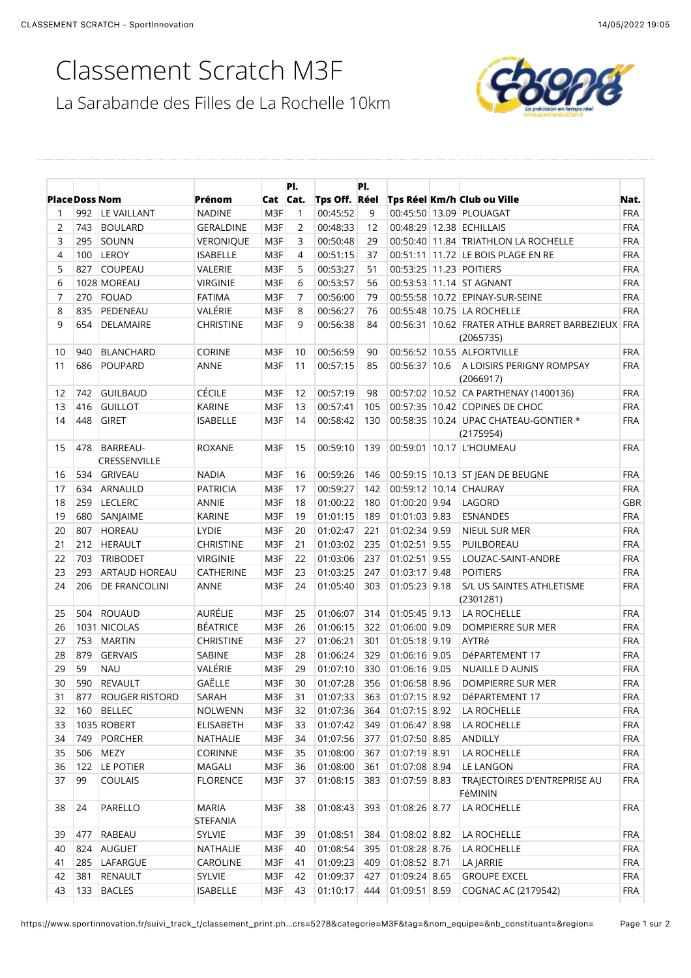# Classement Scratch M3F

La Sarabande des Filles de La Rochelle 10km



| <b>Place Doss Nom</b><br>1<br>$\overline{2}$<br>3 | 992 |                          | Prénom                          |     |          |               |     |               |                                                                |            |
|---------------------------------------------------|-----|--------------------------|---------------------------------|-----|----------|---------------|-----|---------------|----------------------------------------------------------------|------------|
|                                                   |     |                          |                                 |     | Cat Cat. | Tps Off. Réel |     |               | Tps Réel Km/h Club ou Ville                                    | Nat.       |
|                                                   |     | LE VAILLANT              | <b>NADINE</b>                   | M3F | 1        | 00:45:52      | 9   |               | 00:45:50 13.09 PLOUAGAT                                        | <b>FRA</b> |
|                                                   | 743 | <b>BOULARD</b>           | <b>GERALDINE</b>                | M3F | 2        | 00:48:33      | 12  |               | 00:48:29 12.38 ECHILLAIS                                       | <b>FRA</b> |
|                                                   | 295 | SOUNN                    | <b>VERONIQUE</b>                | M3F | 3        | 00:50:48      | 29  |               | 00:50:40 11.84 TRIATHLON LA ROCHELLE                           | <b>FRA</b> |
| 4                                                 | 100 | LEROY                    | <b>ISABELLE</b>                 | M3F | 4        | 00:51:15      | 37  |               | 00:51:11 11.72 LE BOIS PLAGE EN RE                             | <b>FRA</b> |
| 5                                                 | 827 | COUPEAU                  | VALERIE                         | M3F | 5        | 00:53:27      | 51  |               | 00:53:25 11.23 POITIERS                                        | <b>FRA</b> |
| 6                                                 |     | 1028 MOREAU              | <b>VIRGINIE</b>                 | M3F | 6        | 00:53:57      | 56  |               | 00:53:53 11.14 ST AGNANT                                       | <b>FRA</b> |
| 7                                                 | 270 | FOUAD                    | <b>FATIMA</b>                   | M3F | 7        | 00:56:00      | 79  |               | 00:55:58 10.72 EPINAY-SUR-SEINE                                | <b>FRA</b> |
| 8                                                 | 835 | PEDENEAU                 | VALÉRIE                         | M3F | 8        | 00:56:27      | 76  |               | 00:55:48 10.75 LA ROCHELLE                                     | <b>FRA</b> |
| 9                                                 | 654 | DELAMAIRE                | <b>CHRISTINE</b>                | M3F | 9        | 00:56:38      | 84  |               | 00:56:31 10.62 FRATER ATHLE BARRET BARBEZIEUX FRA<br>(2065735) |            |
| 10                                                | 940 | <b>BLANCHARD</b>         | <b>CORINE</b>                   | M3F | 10       | 00:56:59      | 90  |               | 00:56:52 10.55 ALFORTVILLE                                     | <b>FRA</b> |
| 11                                                | 686 | <b>POUPARD</b>           | <b>ANNE</b>                     | M3F | 11       | 00:57:15      | 85  | 00:56:37 10.6 | A LOISIRS PERIGNY ROMPSAY<br>(2066917)                         | <b>FRA</b> |
| 12                                                | 742 | <b>GUILBAUD</b>          | <b>CÉCILE</b>                   | M3F | 12       | 00:57:19      | 98  |               | 00:57:02 10.52 CA PARTHENAY (1400136)                          | <b>FRA</b> |
| 13                                                | 416 | <b>GUILLOT</b>           | <b>KARINE</b>                   | M3F | 13       | 00:57:41      | 105 |               | 00:57:35 10.42 COPINES DE CHOC                                 | <b>FRA</b> |
| 14                                                | 448 | <b>GIRET</b>             | <b>ISABELLE</b>                 | M3F | 14       | 00:58:42      | 130 |               | 00:58:35 10.24 UPAC CHATEAU-GONTIER *<br>(2175954)             | <b>FRA</b> |
| 15                                                | 478 | BARREAU-<br>CRESSENVILLE | <b>ROXANE</b>                   | M3F | 15       | 00:59:10      | 139 |               | 00:59:01   10.17   L'HOUMEAU                                   | <b>FRA</b> |
| 16                                                |     | 534 GRIVEAU              | <b>NADIA</b>                    | M3F | 16       | 00:59:26      | 146 |               | 00:59:15 10.13 ST JEAN DE BEUGNE                               | <b>FRA</b> |
| 17                                                |     | 634 ARNAULD              | <b>PATRICIA</b>                 | M3F | 17       | 00:59:27      | 142 |               | 00:59:12 10.14 CHAURAY                                         | <b>FRA</b> |
| 18                                                |     | 259 LECLERC              | ANNIE                           | M3F | 18       | 01:00:22      | 180 | 01:00:20 9.94 | LAGORD                                                         | GBR        |
| 19                                                | 680 | SANJAIME                 | <b>KARINE</b>                   | M3F | 19       | 01:01:15      | 189 | 01:01:03 9.83 | <b>ESNANDES</b>                                                | <b>FRA</b> |
| 20                                                | 807 | HOREAU                   | LYDIE                           | M3F | 20       | 01:02:47      | 221 | 01:02:34 9.59 | NIEUL SUR MER                                                  | <b>FRA</b> |
| 21                                                | 212 | HERAULT                  | <b>CHRISTINE</b>                | M3F | 21       | 01:03:02      | 235 | 01:02:51 9.55 | PUILBOREAU                                                     | <b>FRA</b> |
| 22                                                | 703 | <b>TRIBODET</b>          | <b>VIRGINIE</b>                 | M3F | 22       | 01:03:06      | 237 | 01:02:51 9.55 | LOUZAC-SAINT-ANDRE                                             | <b>FRA</b> |
| 23                                                | 293 | <b>ARTAUD HOREAU</b>     | CATHERINE                       | M3F | 23       | 01:03:25      | 247 | 01:03:17 9.48 | <b>POITIERS</b>                                                | <b>FRA</b> |
| 24                                                | 206 | <b>DE FRANCOLINI</b>     | ANNE                            | M3F | 24       | 01:05:40      | 303 | 01:05:23 9.18 | S/L US SAINTES ATHLETISME<br>(2301281)                         | <b>FRA</b> |
| 25                                                | 504 | ROUAUD                   | AURÉLIE                         | M3F | 25       | 01:06:07      | 314 | 01:05:45 9.13 | LA ROCHELLE                                                    | <b>FRA</b> |
| 26                                                |     | 1031 NICOLAS             | <b>BÉATRICE</b>                 | M3F | 26       | 01:06:15      | 322 | 01:06:00 9.09 | DOMPIERRE SUR MER                                              | <b>FRA</b> |
| 27                                                | 753 | <b>MARTIN</b>            | <b>CHRISTINE</b>                | M3F | 27       | 01:06:21      | 301 | 01:05:18 9.19 | AYTRé                                                          | <b>FRA</b> |
| 28                                                | 879 | <b>GERVAIS</b>           | SABINE                          | M3F | 28       | 01:06:24      | 329 | 01:06:16 9.05 | DéPARTEMENT 17                                                 | <b>FRA</b> |
| 29                                                | 59  | <b>NAU</b>               | VALÉRIE                         | M3F | 29       | 01:07:10      | 330 | 01:06:16 9.05 | NUAILLE D AUNIS                                                | <b>FRA</b> |
| 30                                                |     | 590 REVAULT              | GAËLLE                          | M3F | 30       | 01:07:28      | 356 | 01:06:58 8.96 | DOMPIERRE SUR MER                                              | <b>FRA</b> |
|                                                   |     | 31 877 ROUGER RISTORD    | SARAH                           | M3F | 31       |               |     |               | 01:07:33 363 01:07:15 8.92 DéPARTEMENT 17                      | <b>FRA</b> |
| 32                                                |     | 160 BELLEC               | NOLWENN                         | M3F | 32       | 01:07:36      | 364 | 01:07:15 8.92 | LA ROCHELLE                                                    | <b>FRA</b> |
| 33                                                |     | 1035 ROBERT              | ELISABETH                       | M3F | 33       | 01:07:42      | 349 | 01:06:47 8.98 | LA ROCHELLE                                                    | <b>FRA</b> |
| 34                                                | 749 | PORCHER                  | NATHALIE                        | M3F | 34       | 01:07:56      | 377 | 01:07:50 8.85 | ANDILLY                                                        | <b>FRA</b> |
| 35                                                | 506 | MEZY                     | CORINNE                         | M3F | 35       | 01:08:00      | 367 | 01:07:19 8.91 | LA ROCHELLE                                                    | <b>FRA</b> |
| 36                                                |     | 122 LE POTIER            | MAGALI                          | M3F | 36       | 01:08:00      | 361 | 01:07:08 8.94 | LE LANGON                                                      | <b>FRA</b> |
| 37                                                | 99  | <b>COULAIS</b>           | <b>FLORENCE</b>                 | M3F | 37       | 01:08:15      | 383 | 01:07:59 8.83 | TRAJECTOIRES D'ENTREPRISE AU<br>FéMININ                        | <b>FRA</b> |
| 38                                                | 24  | PARELLO                  | <b>MARIA</b><br><b>STEFANIA</b> | M3F | 38       | 01:08:43      | 393 | 01:08:26 8.77 | LA ROCHELLE                                                    | <b>FRA</b> |
| 39                                                | 477 | RABEAU                   | SYLVIE                          | M3F | 39       | 01:08:51      | 384 | 01:08:02 8.82 | LA ROCHELLE                                                    | <b>FRA</b> |
| 40                                                |     | 824 AUGUET               | NATHALIE                        | M3F | 40       | 01:08:54      | 395 | 01:08:28 8.76 | LA ROCHELLE                                                    | <b>FRA</b> |
| 41                                                |     | 285   LAFARGUE           | CAROLINE                        | M3F | 41       | 01:09:23      | 409 | 01:08:52 8.71 | LA JARRIE                                                      | <b>FRA</b> |
| 42                                                |     | 381 RENAULT              | SYLVIE                          | M3F | 42       | 01:09:37      | 427 | 01:09:24 8.65 | <b>GROUPE EXCEL</b>                                            | FRA        |
| 43                                                |     | 133 BACLES               | <b>ISABELLE</b>                 | M3F | 43       | 01:10:17      | 444 | 01:09:51 8.59 | COGNAC AC (2179542)                                            | <b>FRA</b> |

https://www.sportinnovation.fr/suivi\_track\_t/classement\_print.ph...crs=5278&categorie=M3F&tag=&nom\_equipe=&nb\_constituant=&region=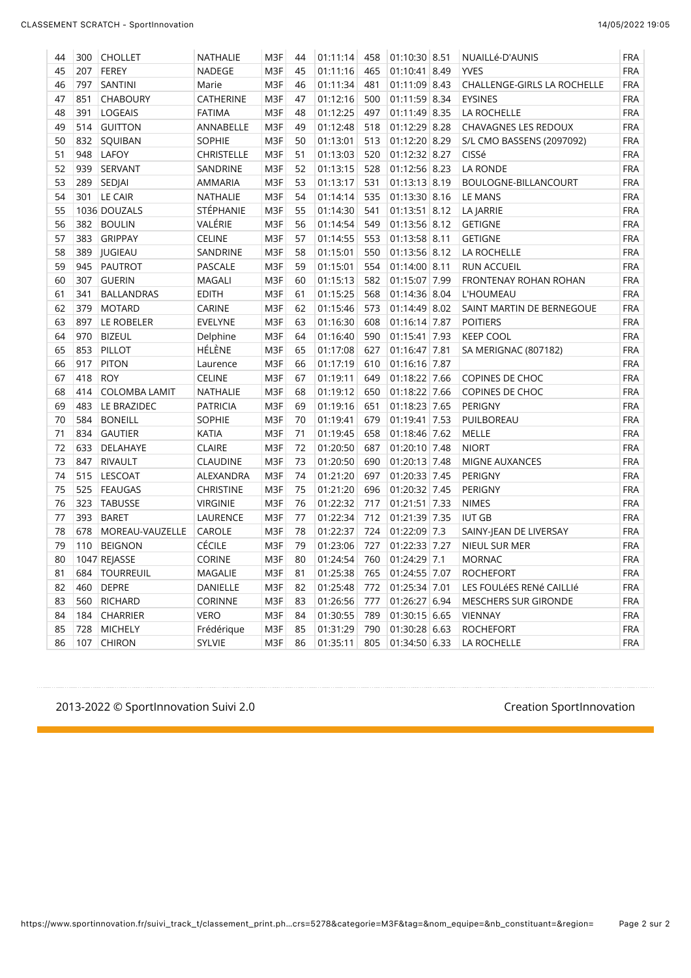| 44 | 300 | <b>CHOLLET</b>       | NATHALIE         | M3F | 44 | 01:11:14 | 458 | 01:10:30 8.51 | NUAILLé-D'AUNIS             | <b>FRA</b> |
|----|-----|----------------------|------------------|-----|----|----------|-----|---------------|-----------------------------|------------|
| 45 | 207 | <b>FEREY</b>         | NADEGE           | M3F | 45 | 01:11:16 | 465 | 01:10:41 8.49 | <b>YVES</b>                 | <b>FRA</b> |
| 46 | 797 | SANTINI              | Marie            | M3F | 46 | 01:11:34 | 481 | 01:11:09 8.43 | CHALLENGE-GIRLS LA ROCHELLE | <b>FRA</b> |
| 47 | 851 | <b>CHABOURY</b>      | CATHERINE        | M3F | 47 | 01:12:16 | 500 | 01:11:59 8.34 | <b>EYSINES</b>              | <b>FRA</b> |
| 48 | 391 | <b>LOGEAIS</b>       | <b>FATIMA</b>    | M3F | 48 | 01:12:25 | 497 | 01:11:49 8.35 | LA ROCHELLE                 | <b>FRA</b> |
| 49 | 514 | <b>GUITTON</b>       | ANNABELLE        | M3F | 49 | 01:12:48 | 518 | 01:12:29 8.28 | CHAVAGNES LES REDOUX        | <b>FRA</b> |
| 50 | 832 | SQUIBAN              | <b>SOPHIE</b>    | M3F | 50 | 01:13:01 | 513 | 01:12:20 8.29 | S/L CMO BASSENS (2097092)   | <b>FRA</b> |
| 51 | 948 | <b>LAFOY</b>         | CHRISTELLE       | M3F | 51 | 01:13:03 | 520 | 01:12:32 8.27 | CISSé                       | <b>FRA</b> |
| 52 | 939 | SERVANT              | SANDRINE         | M3F | 52 | 01:13:15 | 528 | 01:12:56 8.23 | LA RONDE                    | <b>FRA</b> |
| 53 | 289 | SEDJAI               | AMMARIA          | M3F | 53 | 01:13:17 | 531 | 01:13:13 8.19 | BOULOGNE-BILLANCOURT        | <b>FRA</b> |
| 54 | 301 | LE CAIR              | <b>NATHALIE</b>  | M3F | 54 | 01:14:14 | 535 | 01:13:30 8.16 | LE MANS                     | <b>FRA</b> |
| 55 |     | 1036 DOUZALS         | STÉPHANIE        | M3F | 55 | 01:14:30 | 541 | 01:13:51 8.12 | LA JARRIE                   | <b>FRA</b> |
| 56 | 382 | <b>BOULIN</b>        | VALÉRIE          | M3F | 56 | 01:14:54 | 549 | 01:13:56 8.12 | <b>GETIGNE</b>              | <b>FRA</b> |
| 57 | 383 | <b>GRIPPAY</b>       | <b>CELINE</b>    | M3F | 57 | 01:14:55 | 553 | 01:13:58 8.11 | <b>GETIGNE</b>              | <b>FRA</b> |
| 58 | 389 | <b>JUGIEAU</b>       | SANDRINE         | M3F | 58 | 01:15:01 | 550 | 01:13:56 8.12 | LA ROCHELLE                 | <b>FRA</b> |
| 59 | 945 | <b>PAUTROT</b>       | PASCALE          | M3F | 59 | 01:15:01 | 554 | 01:14:00 8.11 | <b>RUN ACCUEIL</b>          | <b>FRA</b> |
| 60 | 307 | <b>GUERIN</b>        | <b>MAGALI</b>    | M3F | 60 | 01:15:13 | 582 | 01:15:07 7.99 | FRONTENAY ROHAN ROHAN       | <b>FRA</b> |
| 61 | 341 | <b>BALLANDRAS</b>    | <b>EDITH</b>     | M3F | 61 | 01:15:25 | 568 | 01:14:36 8.04 | L'HOUMEAU                   | <b>FRA</b> |
| 62 | 379 | <b>MOTARD</b>        | CARINE           | M3F | 62 | 01:15:46 | 573 | 01:14:49 8.02 | SAINT MARTIN DE BERNEGOUE   | <b>FRA</b> |
| 63 | 897 | LE ROBELER           | EVELYNE          | M3F | 63 | 01:16:30 | 608 | 01:16:14 7.87 | <b>POITIERS</b>             | <b>FRA</b> |
| 64 | 970 | <b>BIZEUL</b>        | Delphine         | M3F | 64 | 01:16:40 | 590 | 01:15:41 7.93 | <b>KEEP COOL</b>            | <b>FRA</b> |
| 65 | 853 | PILLOT               | HÉLÈNE           | M3F | 65 | 01:17:08 | 627 | 01:16:47 7.81 | SA MERIGNAC (807182)        | <b>FRA</b> |
| 66 | 917 | <b>PITON</b>         | Laurence         | M3F | 66 | 01:17:19 | 610 | 01:16:16 7.87 |                             | <b>FRA</b> |
| 67 | 418 | <b>ROY</b>           | CELINE           | M3F | 67 | 01:19:11 | 649 | 01:18:22 7.66 | COPINES DE CHOC             | <b>FRA</b> |
| 68 | 414 | <b>COLOMBA LAMIT</b> | NATHALIE         | M3F | 68 | 01:19:12 | 650 | 01:18:22 7.66 | COPINES DE CHOC             | <b>FRA</b> |
| 69 | 483 | LE BRAZIDEC          | <b>PATRICIA</b>  | M3F | 69 | 01:19:16 | 651 | 01:18:23 7.65 | PERIGNY                     | <b>FRA</b> |
| 70 | 584 | <b>BONEILL</b>       | <b>SOPHIE</b>    | M3F | 70 | 01:19:41 | 679 | 01:19:41 7.53 | PUILBOREAU                  | <b>FRA</b> |
| 71 | 834 | <b>GAUTIER</b>       | <b>KATIA</b>     | M3F | 71 | 01:19:45 | 658 | 01:18:46 7.62 | <b>MELLE</b>                | <b>FRA</b> |
| 72 | 633 | DELAHAYE             | <b>CLAIRE</b>    | M3F | 72 | 01:20:50 | 687 | 01:20:10 7.48 | <b>NIORT</b>                | <b>FRA</b> |
| 73 | 847 | <b>RIVAULT</b>       | CLAUDINE         | M3F | 73 | 01:20:50 | 690 | 01:20:13 7.48 | MIGNE AUXANCES              | <b>FRA</b> |
| 74 |     | 515 LESCOAT          | ALEXANDRA        | M3F | 74 | 01:21:20 | 697 | 01:20:33 7.45 | PERIGNY                     | <b>FRA</b> |
| 75 | 525 | <b>FEAUGAS</b>       | <b>CHRISTINE</b> | M3F | 75 | 01:21:20 | 696 | 01:20:32 7.45 | PERIGNY                     | <b>FRA</b> |
| 76 | 323 | <b>TABUSSE</b>       | <b>VIRGINIE</b>  | M3F | 76 | 01:22:32 | 717 | 01:21:51 7.33 | <b>NIMES</b>                | <b>FRA</b> |
| 77 | 393 | <b>BARET</b>         | LAURENCE         | M3F | 77 | 01:22:34 | 712 | 01:21:39 7.35 | <b>IUT GB</b>               | <b>FRA</b> |
| 78 | 678 | MOREAU-VAUZELLE      | CAROLE           | M3F | 78 | 01:22:37 | 724 | 01:22:09 7.3  | SAINY-JEAN DE LIVERSAY      | <b>FRA</b> |
| 79 | 110 | <b>BEIGNON</b>       | <b>CÉCILE</b>    | M3F | 79 | 01:23:06 | 727 | 01:22:33 7.27 | NIEUL SUR MER               | <b>FRA</b> |
| 80 |     | 1047 REJASSE         | <b>CORINE</b>    | M3F | 80 | 01:24:54 | 760 | 01:24:29 7.1  | <b>MORNAC</b>               | <b>FRA</b> |
| 81 | 684 | <b>TOURREUIL</b>     | MAGALIE          | M3F | 81 | 01:25:38 | 765 | 01:24:55 7.07 | <b>ROCHEFORT</b>            | <b>FRA</b> |
| 82 | 460 | <b>DEPRE</b>         | DANIELLE         | M3F | 82 | 01:25:48 | 772 | 01:25:34 7.01 | LES FOULÉES RENÉ CAILLIÉ    | <b>FRA</b> |
| 83 | 560 | <b>RICHARD</b>       | CORINNE          | M3F | 83 | 01:26:56 | 777 | 01:26:27 6.94 | MESCHERS SUR GIRONDE        | <b>FRA</b> |
| 84 | 184 | <b>CHARRIER</b>      | <b>VERO</b>      | M3F | 84 | 01:30:55 | 789 | 01:30:15 6.65 | VIENNAY                     | <b>FRA</b> |
| 85 | 728 | <b>MICHELY</b>       | Frédérique       | M3F | 85 | 01:31:29 | 790 | 01:30:28 6.63 | <b>ROCHEFORT</b>            | <b>FRA</b> |
| 86 | 107 | <b>CHIRON</b>        | <b>SYLVIE</b>    | M3F | 86 | 01:35:11 | 805 | 01:34:50 6.33 | LA ROCHELLE                 | <b>FRA</b> |

#### 2013-2022 © SportInnovation Suivi 2.0 et al. et al. et al. et al. et al. et al. et al. et al. et al. et al. et a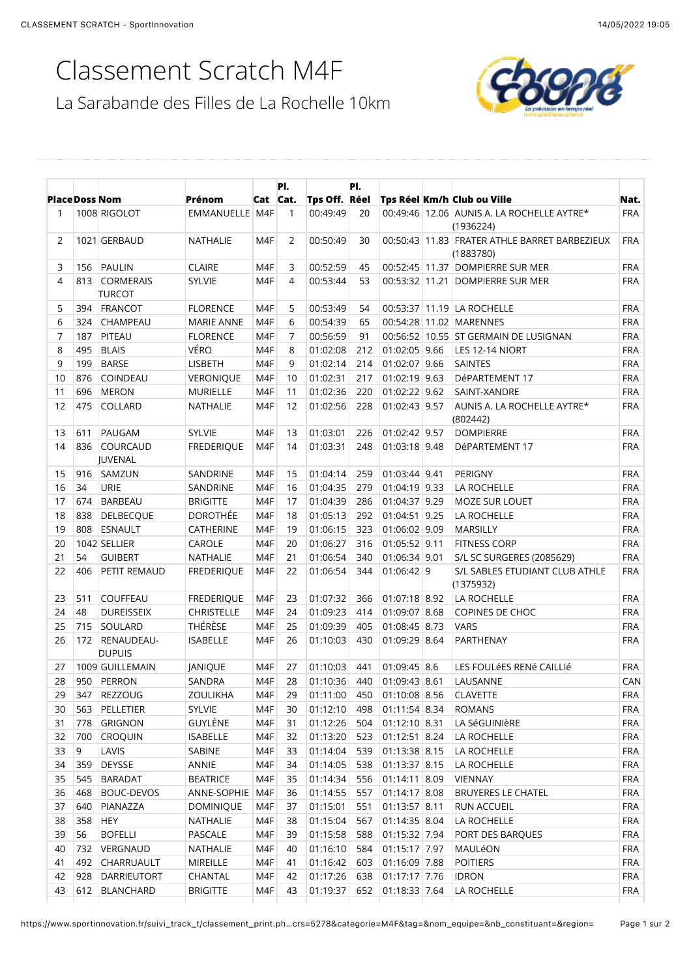## Classement Scratch M4F

La Sarabande des Filles de La Rochelle 10km



|                | <b>Place Doss Nom</b> |                                 | <b>Prénom</b>                                         | Cat Cat. | PI.          | Tps Off. Réel | PI. |                 | Tps Réel Km/h Club ou Ville                                | Nat.       |
|----------------|-----------------------|---------------------------------|-------------------------------------------------------|----------|--------------|---------------|-----|-----------------|------------------------------------------------------------|------------|
| 1              |                       | 1008 RIGOLOT                    | EMMANUELLE   M4F                                      |          | $\mathbf{1}$ | 00:49:49      | 20  |                 | 00:49:46 12.06 AUNIS A. LA ROCHELLE AYTRE*                 | <b>FRA</b> |
| $\overline{2}$ |                       | 1021 GERBAUD                    |                                                       | M4F      | 2            | 00:50:49      |     |                 | (1936224)<br>00:50:43 11.83 FRATER ATHLE BARRET BARBEZIEUX | <b>FRA</b> |
|                |                       |                                 | NATHALIE                                              |          |              |               | 30  |                 | (1883780)                                                  |            |
| 3              | 156                   | PAULIN                          | <b>CLAIRE</b>                                         | M4F      | 3            | 00:52:59      | 45  |                 | 00:52:45 11.37 DOMPIERRE SUR MER                           | <b>FRA</b> |
| 4              |                       | 813 CORMERAIS<br><b>TURCOT</b>  | <b>SYLVIE</b>                                         | M4F      | 4            | 00:53:44      | 53  |                 | 00:53:32 11.21 DOMPIERRE SUR MER                           | <b>FRA</b> |
| 5              |                       | 394 FRANCOT                     | <b>FLORENCE</b>                                       | M4F      | 5            | 00:53:49      | 54  |                 | 00:53:37 11.19 LA ROCHELLE                                 | <b>FRA</b> |
| 6              | 324                   | <b>CHAMPEAU</b>                 | <b>MARIE ANNE</b>                                     | M4F      | 6            | 00:54:39      | 65  |                 | 00:54:28 11.02 MARENNES                                    | <b>FRA</b> |
| $\overline{7}$ | 187                   | PITEAU                          | <b>FLORENCE</b>                                       | M4F      | 7            | 00:56:59      | 91  |                 | 00:56:52 10.55 ST GERMAIN DE LUSIGNAN                      | <b>FRA</b> |
| 8              | 495                   | <b>BLAIS</b>                    | VÉRO                                                  | M4F      | 8            | 01:02:08      | 212 | 01:02:05 9.66   | LES 12-14 NIORT                                            | <b>FRA</b> |
| 9              | 199                   | <b>BARSE</b>                    | LISBETH                                               | M4F      | 9            | 01:02:14      | 214 | 01:02:07 9.66   | <b>SAINTES</b>                                             | <b>FRA</b> |
| 10             | 876                   | COINDEAU                        | VERONIQUE                                             | M4F      | 10           | 01:02:31      | 217 | 01:02:19 9.63   | DéPARTEMENT 17                                             | <b>FRA</b> |
| 11             | 696                   | MERON                           | <b>MURIELLE</b>                                       | M4F      | 11           | 01:02:36      | 220 | 01:02:22 9.62   | SAINT-XANDRE                                               | <b>FRA</b> |
| 12             | 475                   | COLLARD                         | NATHALIE                                              | M4F      | 12           | 01:02:56      | 228 | 01:02:43 9.57   | AUNIS A. LA ROCHELLE AYTRE*<br>(802442)                    | <b>FRA</b> |
| 13             | 611                   | PAUGAM                          | <b>SYLVIE</b>                                         | M4F      | 13           | 01:03:01      | 226 | 01:02:42 9.57   | <b>DOMPIERRE</b>                                           | <b>FRA</b> |
| 14             | 836                   | COURCAUD<br>JUVENAL             | <b>FREDERIQUE</b>                                     | M4F      | 14           | 01:03:31      | 248 | 01:03:18 9.48   | DéPARTEMENT 17                                             | <b>FRA</b> |
| 15             | 916                   | SAMZUN                          | SANDRINE                                              | M4F      | 15           | 01:04:14      | 259 | 01:03:44 9.41   | <b>PERIGNY</b>                                             | <b>FRA</b> |
| 16             | 34                    | URIE                            | SANDRINE                                              | M4F      | 16           | 01:04:35      | 279 | 01:04:19 9.33   | LA ROCHELLE                                                | <b>FRA</b> |
| 17             | 674                   | <b>BARBEAU</b>                  | <b>BRIGITTE</b>                                       | M4F      | 17           | 01:04:39      | 286 | 01:04:37 9.29   | <b>MOZE SUR LOUET</b>                                      | <b>FRA</b> |
| 18             | 838                   | <b>DELBECQUE</b>                | <b>DOROTHÉE</b>                                       | M4F      | 18           | 01:05:13      | 292 | 01:04:51 9.25   | LA ROCHELLE                                                | <b>FRA</b> |
| 19             |                       | 808 ESNAULT                     | CATHERINE                                             | M4F      | 19           | 01:06:15      | 323 | 01:06:02 9.09   | MARSILLY                                                   | <b>FRA</b> |
| 20             |                       | 1042 SELLIER                    | CAROLE                                                | M4F      | 20           | 01:06:27      | 316 | 01:05:52 9.11   | <b>FITNESS CORP</b>                                        | <b>FRA</b> |
| 21             | 54                    | <b>GUIBERT</b>                  | NATHALIE                                              | M4F      | 21           | 01:06:54      | 340 | 01:06:34 9.01   | S/L SC SURGERES (2085629)                                  | <b>FRA</b> |
| 22             | 406                   | PETIT REMAUD                    | <b>FREDERIQUE</b>                                     | M4F      | 22           | 01:06:54      | 344 | 01:06:42 9      | S/L SABLES ETUDIANT CLUB ATHLE<br>(1375932)                | <b>FRA</b> |
| 23             | 511                   | <b>COUFFEAU</b>                 | <b>FREDERIQUE</b>                                     | M4F      | 23           | 01:07:32      | 366 | 01:07:18 8.92   | LA ROCHELLE                                                | <b>FRA</b> |
| 24             | 48                    | <b>DUREISSEIX</b>               | <b>CHRISTELLE</b>                                     | M4F      | 24           | 01:09:23      | 414 | 01:09:07 8.68   | COPINES DE CHOC                                            | <b>FRA</b> |
| 25             | 715                   | SOULARD                         | THÉRÈSE                                               | M4F      | 25           | 01:09:39      | 405 | 01:08:45 8.73   | <b>VARS</b>                                                | <b>FRA</b> |
| 26             |                       | 172 RENAUDEAU-<br><b>DUPUIS</b> | <b>ISABELLE</b>                                       | M4F      | 26           | 01:10:03      | 430 | 01:09:29 8.64   | PARTHENAY                                                  | <b>FRA</b> |
| 27             |                       | 1009 GUILLEMAIN                 | JANIQUE                                               | M4F      | 27           | 01:10:03      | 441 | 01:09:45 8.6    | LES FOULÉES RENÉ CAILLIÉ                                   | <b>FRA</b> |
| 28             |                       | 950 PERRON                      | SANDRA                                                | M4F      | 28           | 01:10:36      | 440 | 01:09:43 8.61   | LAUSANNE                                                   | CAN        |
|                |                       | 29 347 REZZOUG                  | ZOULIKHA   M4F 29 01:11:00 450 01:10:08 8.56 CLAVETTE |          |              |               |     |                 |                                                            | <b>FRA</b> |
| 30             | 563                   | PELLETIER                       | <b>SYLVIE</b>                                         | M4F      | 30           | 01:12:10      | 498 | 01:11:54 8.34   | <b>ROMANS</b>                                              | <b>FRA</b> |
| 31             | 778                   | GRIGNON                         | GUYLÈNE                                               | M4F      | 31           | 01:12:26      | 504 | $01:12:10$ 8.31 | LA SéGUINIèRE                                              | <b>FRA</b> |
| 32             | 700                   | <b>CROQUIN</b>                  | <b>ISABELLE</b>                                       | M4F      | 32           | 01:13:20      | 523 | 01:12:51 8.24   | LA ROCHELLE                                                | <b>FRA</b> |
| 33             | 9                     | LAVIS                           | SABINE                                                | M4F      | 33           | 01:14:04      | 539 | 01:13:38 8.15   | LA ROCHELLE                                                | <b>FRA</b> |
| 34             | 359                   | DEYSSE                          | ANNIE                                                 | M4F      | 34           | 01:14:05      | 538 | 01:13:37 8.15   | LA ROCHELLE                                                | <b>FRA</b> |
| 35             | 545                   | <b>BARADAT</b>                  | <b>BEATRICE</b>                                       | M4F      | 35           | 01:14:34      | 556 | 01:14:11 8.09   | VIENNAY                                                    | <b>FRA</b> |
| 36             | 468                   | BOUC-DEVOS                      | ANNE-SOPHIE M4F                                       |          | 36           | 01:14:55      | 557 | 01:14:17 8.08   | <b>BRUYERES LE CHATEL</b>                                  | <b>FRA</b> |
| 37             | 640                   | PIANAZZA                        | <b>DOMINIQUE</b>                                      | M4F      | 37           | 01:15:01      | 551 | 01:13:57 8.11   | RUN ACCUEIL                                                | <b>FRA</b> |
| 38             | 358                   | <b>HEY</b>                      | NATHALIE                                              | M4F      | 38           | 01:15:04      | 567 | 01:14:35 8.04   | LA ROCHELLE                                                | <b>FRA</b> |
| 39             | 56                    | <b>BOFELLI</b>                  | PASCALE                                               | M4F      | 39           | 01:15:58      | 588 | 01:15:32 7.94   | PORT DES BARQUES                                           | <b>FRA</b> |
| 40             | 732                   | VERGNAUD                        | NATHALIE                                              | M4F      | 40           | 01:16:10      | 584 | 01:15:17 7.97   | MAULéON                                                    | <b>FRA</b> |
| 41             | 492                   | CHARRUAULT                      | MIREILLE                                              | M4F      | 41           | 01:16:42      | 603 | 01:16:09 7.88   | <b>POITIERS</b>                                            | <b>FRA</b> |
| 42             | 928                   | DARRIEUTORT                     | CHANTAL                                               | M4F      | 42           | 01:17:26      | 638 | 01:17:17 7.76   | <b>IDRON</b>                                               | <b>FRA</b> |
| 43             | 612                   | <b>BLANCHARD</b>                | <b>BRIGITTE</b>                                       | M4F      | 43           | 01:19:37      | 652 | 01:18:33 7.64   | LA ROCHELLE                                                | FRA        |
|                |                       |                                 |                                                       |          |              |               |     |                 |                                                            |            |

https://www.sportinnovation.fr/suivi\_track\_t/classement\_print.ph…crs=5278&categorie=M4F&tag=&nom\_equipe=&nb\_constituant=&region= Page 1 sur 2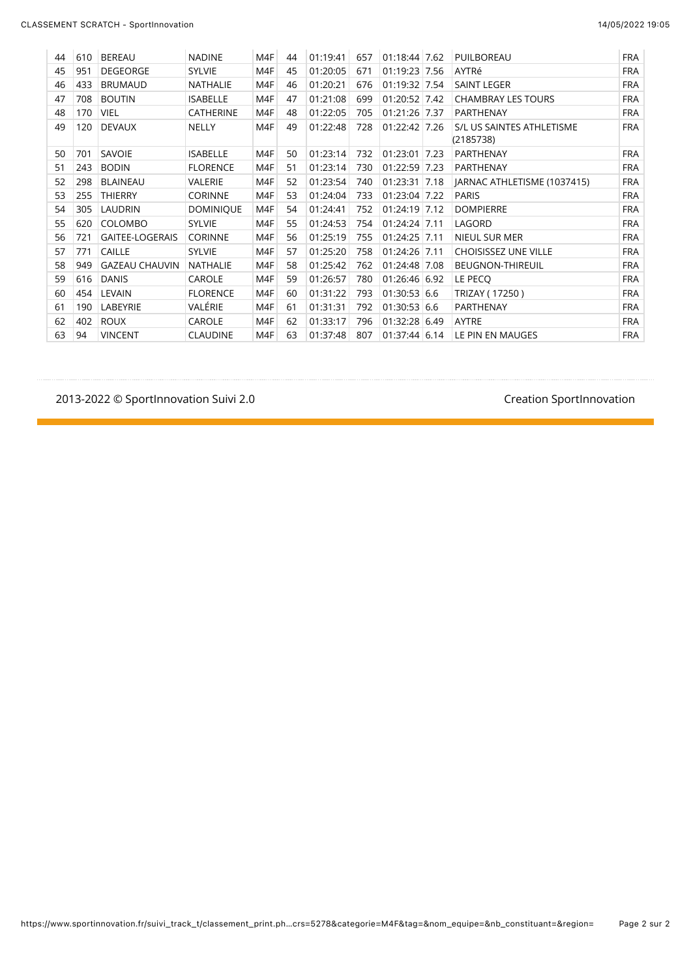| 44 | 610 | <b>BEREAU</b>          | <b>NADINE</b>    | M4F | 44 | 01:19:41 | 657 | 01:18:44 7.62   | PUILBOREAU                             | <b>FRA</b> |
|----|-----|------------------------|------------------|-----|----|----------|-----|-----------------|----------------------------------------|------------|
| 45 | 951 | <b>DEGEORGE</b>        | <b>SYLVIE</b>    | M4F | 45 | 01:20:05 | 671 | $01:19:23$ 7.56 | AYTRé                                  | <b>FRA</b> |
| 46 | 433 | <b>BRUMAUD</b>         | <b>NATHALIE</b>  | M4F | 46 | 01:20:21 | 676 | 01:19:32 7.54   | <b>SAINT LEGER</b>                     | <b>FRA</b> |
| 47 | 708 | <b>BOUTIN</b>          | <b>ISABELLE</b>  | M4F | 47 | 01:21:08 | 699 | 01:20:52 7.42   | <b>CHAMBRAY LES TOURS</b>              | <b>FRA</b> |
| 48 | 170 | <b>VIEL</b>            | <b>CATHERINE</b> | M4F | 48 | 01:22:05 | 705 | 01:21:26 7.37   | <b>PARTHENAY</b>                       | <b>FRA</b> |
| 49 | 120 | <b>DEVAUX</b>          | <b>NELLY</b>     | M4F | 49 | 01:22:48 | 728 | 01:22:42 7.26   | S/L US SAINTES ATHLETISME<br>(2185738) | <b>FRA</b> |
| 50 | 701 | SAVOIE                 | <b>ISABELLE</b>  | M4F | 50 | 01:23:14 | 732 | 01:23:01 7.23   | PARTHENAY                              | <b>FRA</b> |
| 51 | 243 | <b>BODIN</b>           | <b>FLORENCE</b>  | M4F | 51 | 01:23:14 | 730 | 01:22:59 7.23   | <b>PARTHENAY</b>                       | <b>FRA</b> |
| 52 | 298 | <b>BLAINEAU</b>        | <b>VALERIE</b>   | M4F | 52 | 01:23:54 | 740 | 01:23:31 7.18   | JARNAC ATHLETISME (1037415)            | <b>FRA</b> |
| 53 | 255 | <b>THIERRY</b>         | <b>CORINNE</b>   | M4F | 53 | 01:24:04 | 733 | 01:23:04 7.22   | <b>PARIS</b>                           | <b>FRA</b> |
| 54 | 305 | <b>LAUDRIN</b>         | <b>DOMINIQUE</b> | M4F | 54 | 01:24:41 | 752 | 01:24:19 7.12   | <b>DOMPIERRE</b>                       | <b>FRA</b> |
| 55 | 620 | <b>COLOMBO</b>         | <b>SYLVIE</b>    | M4F | 55 | 01:24:53 | 754 | $01:24:24$ 7.11 | LAGORD                                 | <b>FRA</b> |
| 56 | 721 | <b>GAITEE-LOGERAIS</b> | <b>CORINNE</b>   | M4F | 56 | 01:25:19 | 755 | 01:24:25 7.11   | <b>NIEUL SUR MER</b>                   | <b>FRA</b> |
| 57 | 771 | <b>CAILLE</b>          | <b>SYLVIE</b>    | M4F | 57 | 01:25:20 | 758 | $01:24:26$ 7.11 | <b>CHOISISSEZ UNE VILLE</b>            | <b>FRA</b> |
| 58 | 949 | <b>GAZEAU CHAUVIN</b>  | <b>NATHALIE</b>  | M4F | 58 | 01:25:42 | 762 | 01:24:48 7.08   | <b>BEUGNON-THIREUIL</b>                | <b>FRA</b> |
| 59 | 616 | <b>DANIS</b>           | <b>CAROLE</b>    | M4F | 59 | 01:26:57 | 780 | 01:26:46 6.92   | LE PECO                                | <b>FRA</b> |
| 60 | 454 | LEVAIN                 | <b>FLORENCE</b>  | M4F | 60 | 01:31:22 | 793 | 01:30:53 6.6    | TRIZAY (17250)                         | <b>FRA</b> |
| 61 | 190 | LABEYRIE               | VALÉRIE          | M4F | 61 | 01:31:31 | 792 | 01:30:53 6.6    | <b>PARTHENAY</b>                       | <b>FRA</b> |
| 62 | 402 | <b>ROUX</b>            | CAROLE           | M4F | 62 | 01:33:17 | 796 | 01:32:28 6.49   | AYTRE                                  | <b>FRA</b> |
| 63 | 94  | <b>VINCENT</b>         | <b>CLAUDINE</b>  | M4F | 63 | 01:37:48 | 807 | 01:37:44 6.14   | LE PIN EN MAUGES                       | <b>FRA</b> |

#### 2013-2022 © SportInnovation Suivi 2.0 and the state of the state of the SportInnovation Creation SportInnovation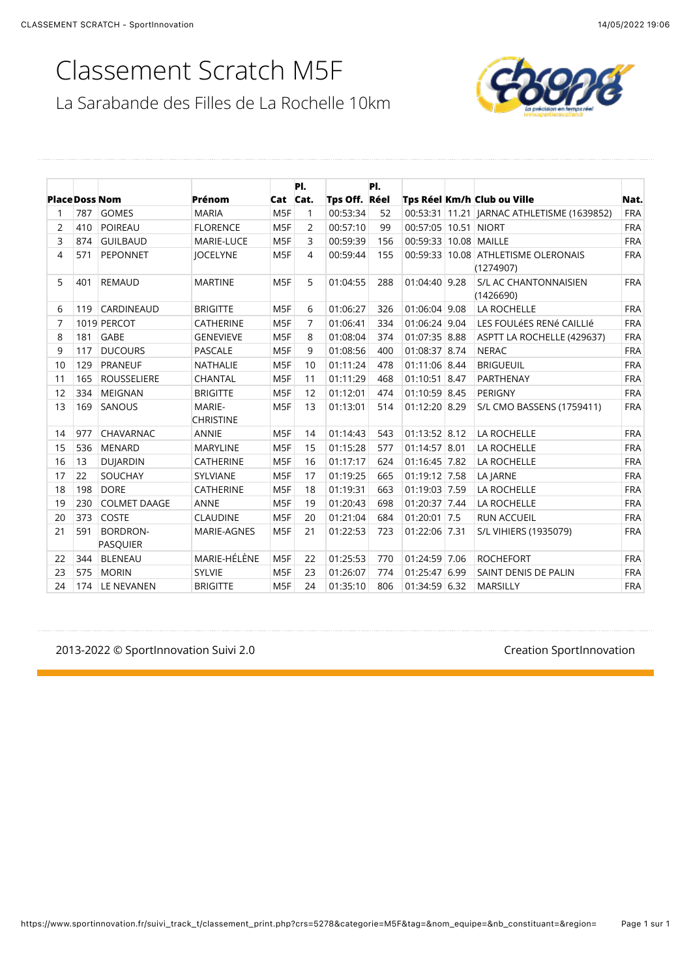# Classement Scratch M5F

La Sarabande des Filles de La Rochelle 10km



|                       |     |                             |                            |                 | PI. |               | PI. |                       |                                                  |            |
|-----------------------|-----|-----------------------------|----------------------------|-----------------|-----|---------------|-----|-----------------------|--------------------------------------------------|------------|
| <b>Place Doss Nom</b> |     |                             | Prénom                     | Cat Cat.        |     | Tps Off. Réel |     |                       | Tps Réel Km/h Club ou Ville                      | Nat.       |
|                       | 787 | <b>GOMES</b>                | <b>MARIA</b>               | M <sub>5F</sub> | 1   | 00:53:34      | 52  |                       | 00:53:31 11.21   JARNAC ATHLETISME (1639852)     | <b>FRA</b> |
| 2                     | 410 | <b>POIREAU</b>              | <b>FLORENCE</b>            | M <sub>5F</sub> | 2   | 00:57:10      | 99  | 00:57:05 10.51 NIORT  |                                                  | <b>FRA</b> |
| 3                     | 874 | <b>GUILBAUD</b>             | <b>MARIE-LUCE</b>          | M <sub>5F</sub> | 3   | 00:59:39      | 156 | 00:59:33 10.08 MAILLE |                                                  | <b>FRA</b> |
| 4                     | 571 | PEPONNET                    | <b>JOCELYNE</b>            | M <sub>5F</sub> | 4   | 00:59:44      | 155 |                       | 00:59:33 10.08 ATHLETISME OLERONAIS<br>(1274907) | <b>FRA</b> |
| 5                     | 401 | <b>REMAUD</b>               | <b>MARTINE</b>             | M <sub>5F</sub> | 5   | 01:04:55      | 288 | 01:04:40 9.28         | S/L AC CHANTONNAISIEN<br>(1426690)               | <b>FRA</b> |
| 6                     | 119 | <b>CARDINEAUD</b>           | <b>BRIGITTE</b>            | M <sub>5F</sub> | 6   | 01:06:27      | 326 | 01:06:04 9.08         | <b>LA ROCHELLE</b>                               | <b>FRA</b> |
| 7                     |     | 1019 PERCOT                 | <b>CATHERINE</b>           | M <sub>5F</sub> | 7   | 01:06:41      | 334 | 01:06:24 9.04         | LES FOULÉES RENÉ CAILLIÉ                         | <b>FRA</b> |
| 8                     | 181 | <b>GABE</b>                 | <b>GENEVIEVE</b>           | M <sub>5F</sub> | 8   | 01:08:04      | 374 | 01:07:35 8.88         | ASPTT LA ROCHELLE (429637)                       | <b>FRA</b> |
| 9                     | 117 | <b>DUCOURS</b>              | <b>PASCALE</b>             | M <sub>5F</sub> | 9   | 01:08:56      | 400 | 01:08:37 8.74         | <b>NERAC</b>                                     | <b>FRA</b> |
| 10                    | 129 | <b>PRANEUF</b>              | <b>NATHALIE</b>            | M <sub>5F</sub> | 10  | 01:11:24      | 478 | 01:11:06 8.44         | <b>BRIGUEUIL</b>                                 | <b>FRA</b> |
| 11                    | 165 | <b>ROUSSELIERE</b>          | <b>CHANTAL</b>             | M <sub>5F</sub> | 11  | 01:11:29      | 468 | 01:10:51 8.47         | PARTHENAY                                        | <b>FRA</b> |
| 12                    | 334 | <b>MEIGNAN</b>              | <b>BRIGITTE</b>            | M <sub>5F</sub> | 12  | 01:12:01      | 474 | 01:10:59 8.45         | PERIGNY                                          | <b>FRA</b> |
| 13                    | 169 | <b>SANOUS</b>               | MARIE-<br><b>CHRISTINE</b> | M <sub>5F</sub> | 13  | 01:13:01      | 514 | $01:12:20$ 8.29       | <b>S/L CMO BASSENS (1759411)</b>                 | <b>FRA</b> |
| 14                    | 977 | CHAVARNAC                   | <b>ANNIE</b>               | M <sub>5F</sub> | 14  | 01:14:43      | 543 | 01:13:52 8.12         | <b>LA ROCHELLE</b>                               | <b>FRA</b> |
| 15                    | 536 | <b>MENARD</b>               | <b>MARYLINE</b>            | M <sub>5F</sub> | 15  | 01:15:28      | 577 | 01:14:57 8.01         | <b>LA ROCHELLE</b>                               | <b>FRA</b> |
| 16                    | 13  | <b>DUJARDIN</b>             | <b>CATHERINE</b>           | M <sub>5F</sub> | 16  | 01:17:17      | 624 | 01:16:45 7.82         | <b>LA ROCHELLE</b>                               | <b>FRA</b> |
| 17                    | 22  | SOUCHAY                     | SYLVIANE                   | M <sub>5F</sub> | 17  | 01:19:25      | 665 | 01:19:12 7.58         | LA JARNE                                         | <b>FRA</b> |
| 18                    | 198 | <b>DORE</b>                 | <b>CATHERINE</b>           | M <sub>5F</sub> | 18  | 01:19:31      | 663 | 01:19:03 7.59         | <b>LA ROCHELLE</b>                               | <b>FRA</b> |
| 19                    | 230 | <b>COLMET DAAGE</b>         | <b>ANNE</b>                | M <sub>5F</sub> | 19  | 01:20:43      | 698 | 01:20:37 7.44         | LA ROCHELLE                                      | <b>FRA</b> |
| 20                    | 373 | COSTE                       | <b>CLAUDINE</b>            | M <sub>5F</sub> | 20  | 01:21:04      | 684 | 01:20:01 7.5          | <b>RUN ACCUEIL</b>                               | <b>FRA</b> |
| 21                    | 591 | BORDRON-<br><b>PASQUIER</b> | MARIE-AGNES                | M <sub>5F</sub> | 21  | 01:22:53      | 723 | 01:22:06 7.31         | S/L VIHIERS (1935079)                            | <b>FRA</b> |
| 22                    | 344 | <b>BLENEAU</b>              | MARIE-HÉLÈNE               | M <sub>5F</sub> | 22  | 01:25:53      | 770 | 01:24:59 7.06         | <b>ROCHEFORT</b>                                 | <b>FRA</b> |
| 23                    | 575 | <b>MORIN</b>                | <b>SYLVIE</b>              | M <sub>5F</sub> | 23  | 01:26:07      | 774 | 01:25:47 6.99         | SAINT DENIS DE PALIN                             | <b>FRA</b> |
| 24                    | 174 | LE NEVANEN                  | <b>BRIGITTE</b>            | M <sub>5F</sub> | 24  | 01:35:10      | 806 | 01:34:59 6.32         | <b>MARSILLY</b>                                  | <b>FRA</b> |

./012./..)3)\*+'"%,(('-\$%&'()\*4&-&).5/ !"#\$%&'()\*+'"%,(('-\$%&'(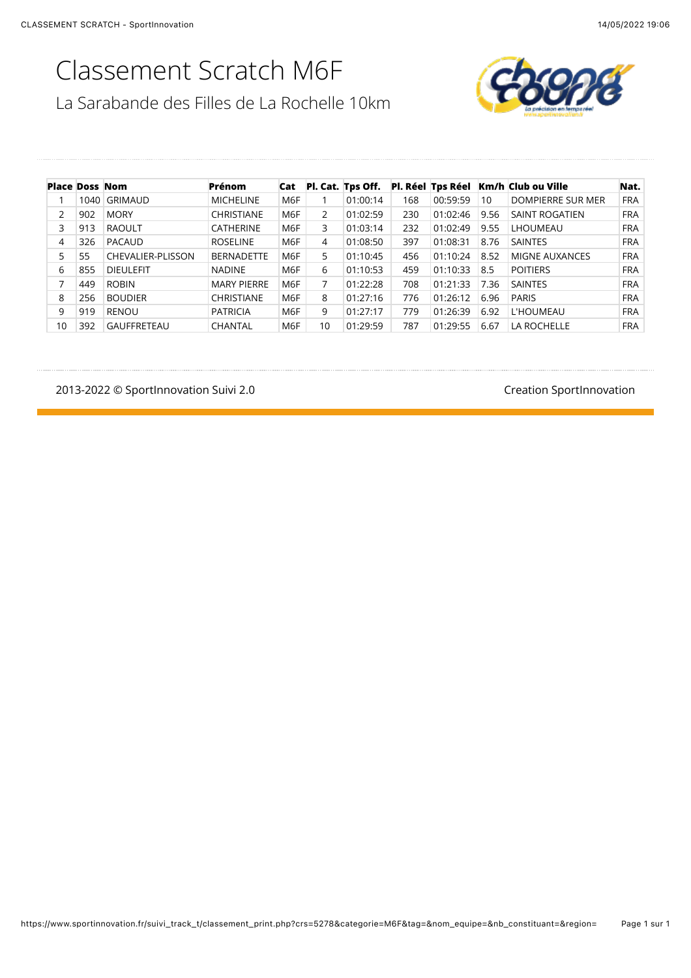#### Classement Scratch M6F La Sarabande des Filles de La Rochelle 10km



| <b>Place Doss Nom</b> |      |                    | Prénom             | Cat |    | Pl. Cat. Tps Off. |     |          |      | Pl. Réel Tps Réel Km/h Club ou Ville | Nat.       |
|-----------------------|------|--------------------|--------------------|-----|----|-------------------|-----|----------|------|--------------------------------------|------------|
|                       | 1040 | GRIMAUD            | <b>MICHELINE</b>   | M6F |    | 01:00:14          | 168 | 00:59:59 | 10   | DOMPIERRE SUR MER                    | <b>FRA</b> |
| 2                     | 902  | <b>MORY</b>        | <b>CHRISTIANE</b>  | M6F | 2  | 01:02:59          | 230 | 01:02:46 | 9.56 | SAINT ROGATIEN                       | <b>FRA</b> |
| 3                     | 913  | <b>RAOULT</b>      | <b>CATHERINE</b>   | M6F | 3  | 01:03:14          | 232 | 01:02:49 | 9.55 | LHOUMEAU                             | <b>FRA</b> |
| 4                     | 326  | PACAUD             | <b>ROSELINE</b>    | M6F | 4  | 01:08:50          | 397 | 01:08:31 | 8.76 | <b>SAINTES</b>                       | <b>FRA</b> |
| 5                     | 55   | CHEVALIER-PLISSON  | <b>BERNADETTE</b>  | M6F | 5  | 01:10:45          | 456 | 01:10:24 | 8.52 | MIGNE AUXANCES                       | <b>FRA</b> |
| 6                     | 855  | <b>DIEULEFIT</b>   | <b>NADINE</b>      | M6F | 6  | 01:10:53          | 459 | 01:10:33 | 8.5  | <b>POITIERS</b>                      | <b>FRA</b> |
| 7                     | 449  | <b>ROBIN</b>       | <b>MARY PIERRE</b> | M6F |    | 01:22:28          | 708 | 01:21:33 | 7.36 | <b>SAINTES</b>                       | <b>FRA</b> |
| 8                     | 256  | <b>BOUDIER</b>     | <b>CHRISTIANE</b>  | M6F | 8  | 01:27:16          | 776 | 01:26:12 | 6.96 | <b>PARIS</b>                         | <b>FRA</b> |
| 9                     | 919  | <b>RENOU</b>       | <b>PATRICIA</b>    | M6F | 9  | 01:27:17          | 779 | 01:26:39 | 6.92 | L'HOUMEAU                            | <b>FRA</b> |
| 10                    | 392  | <b>GAUFFRETEAU</b> | CHANTAL            | M6F | 10 | 01:29:59          | 787 | 01:29:55 | 6.67 | LA ROCHELLE                          | <b>FRA</b> |

2013-2022 © SportInnovation Suivi 2.0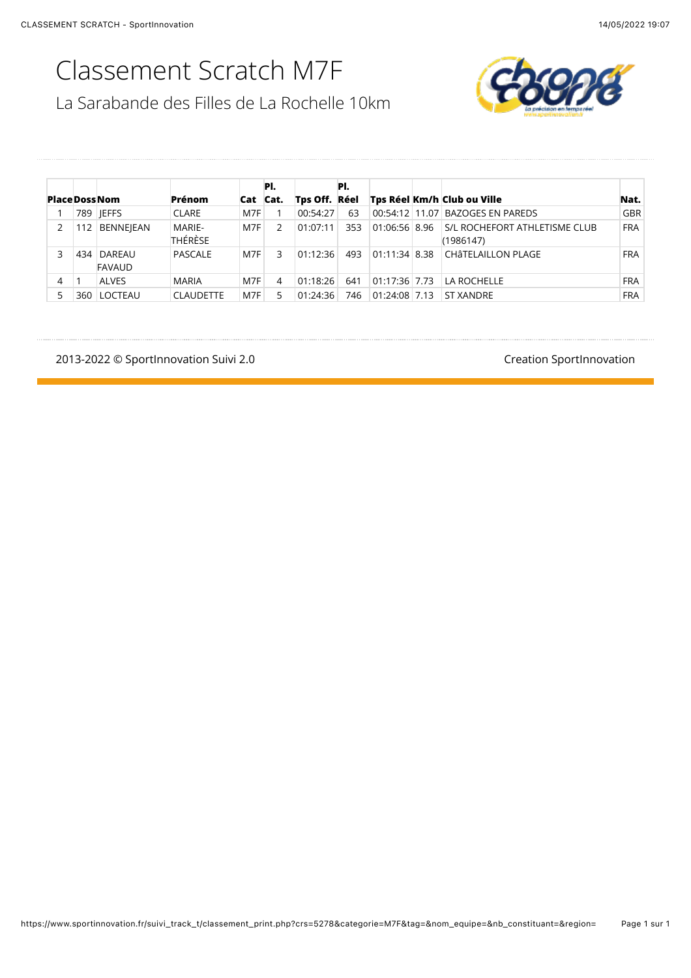# Classement Scratch M7F

La Sarabande des Filles de La Rochelle 10km



| <b>PlaceDossNom</b> |     |                         | Prénom            |     | PI.<br>Cat Cat. | Tps Off. Réel | PI. |                 | Tps Réel Km/h Club ou Ville                | Nat.       |
|---------------------|-----|-------------------------|-------------------|-----|-----------------|---------------|-----|-----------------|--------------------------------------------|------------|
|                     |     | 789 IEFFS               | <b>CLARE</b>      | M7F |                 | 00:54:27      | 63  | 00:54:12 11.07  | <b>BAZOGES EN PAREDS</b>                   | GBR        |
| 2                   |     | <b>BENNEJEAN</b>        | MARIE-<br>THÉRÈSE | M7F | $\mathfrak{p}$  | 01:07:11      | 353 | 01:06:56 8.96   | S/L ROCHEFORT ATHLETISME CLUB<br>(1986147) | <b>FRA</b> |
| 3                   | 434 | DAREAU<br><b>FAVAUD</b> | PASCALE           | M7F | 3               | 01:12:36      | 493 | $01:11:34$ 8.38 | CHÂTELAILLON PLAGE                         | <b>FRA</b> |
| 4                   |     | <b>ALVES</b>            | <b>MARIA</b>      | M7F | 4               | 01:18:26      | 641 | 01:17:36 7.73   | LA ROCHELLE                                | <b>FRA</b> |
|                     | 360 | LOCTEAU                 | <b>CLAUDETTE</b>  | M7F |                 | 01:24:36      | 746 | $01:24:08$ 7.13 | <b>ST XANDRE</b>                           | <b>FRA</b> |

2013-2022 © SportInnovation Suivi 2.0